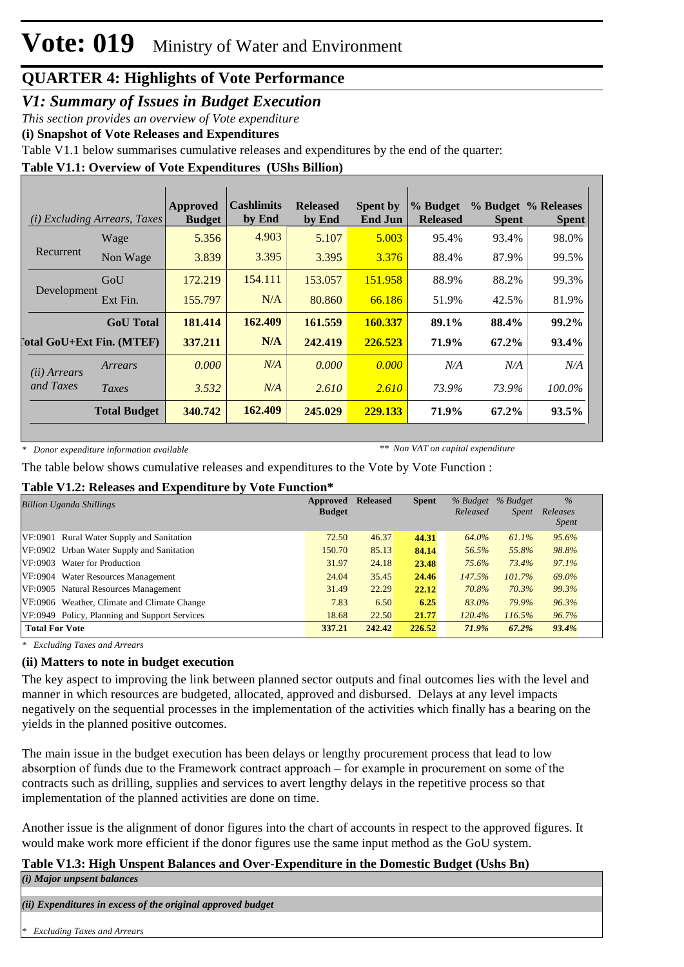#### *V1: Summary of Issues in Budget Execution*

*This section provides an overview of Vote expenditure*

**(i) Snapshot of Vote Releases and Expenditures**

Table V1.1 below summarises cumulative releases and expenditures by the end of the quarter:

**Table V1.1: Overview of Vote Expenditures (UShs Billion)**

| (i)                                | <i>Excluding Arrears, Taxes</i>  | <b>Approved</b><br><b>Budget</b> | <b>Cashlimits</b><br>by End | <b>Released</b><br>by End | <b>Spent by</b><br><b>End Jun</b> | % Budget<br><b>Released</b> | <b>Spent</b> | % Budget % Releases<br><b>Spent</b> |
|------------------------------------|----------------------------------|----------------------------------|-----------------------------|---------------------------|-----------------------------------|-----------------------------|--------------|-------------------------------------|
|                                    | Wage                             | 5.356                            | 4.903                       | 5.107                     | 5.003                             | 95.4%                       | 93.4%        | 98.0%                               |
| Recurrent                          | Non Wage                         | 3.839                            | 3.395                       | 3.395                     | 3.376                             | 88.4%                       | 87.9%        | 99.5%                               |
| Development                        | GoU                              | 172.219                          | 154.111                     | 153.057                   | 151.958                           | 88.9%                       | 88.2%        | 99.3%                               |
|                                    | Ext Fin.                         | 155.797                          | N/A                         | 80.860                    | 66.186                            | 51.9%                       | 42.5%        | 81.9%                               |
|                                    | <b>GoU</b> Total                 | 181.414                          | 162.409                     | 161.559                   | 160.337                           | 89.1%                       | 88.4%        | $99.2\%$                            |
|                                    | <b>Total GoU+Ext Fin. (MTEF)</b> | 337.211                          | N/A                         | 242,419                   | 226.523                           | 71.9%                       | 67.2%        | 93.4%                               |
| ( <i>ii</i> ) Arrears<br>and Taxes | Arrears                          | 0.000                            | N/A                         | 0.000                     | 0.000                             | N/A                         | N/A          | N/A                                 |
|                                    | Taxes                            | 3.532                            | N/A                         | 2.610                     | 2.610                             | 73.9%                       | 73.9%        | 100.0%                              |
|                                    | <b>Total Budget</b>              | 340.742                          | 162.409                     | 245.029                   | 229.133                           | 71.9%                       | 67.2%        | 93.5%                               |

*\* Donor expenditure information available*

*\*\* Non VAT on capital expenditure*

The table below shows cumulative releases and expenditures to the Vote by Vote Function :

#### **Table V1.2: Releases and Expenditure by Vote Function\***

| <b>Billion Uganda Shillings</b>               | Approved      | <b>Released</b> | <b>Spent</b> |          | % Budget % Budget | $\frac{0}{6}$     |
|-----------------------------------------------|---------------|-----------------|--------------|----------|-------------------|-------------------|
|                                               | <b>Budget</b> |                 |              | Released | Spent             | Releases<br>Spent |
| VF:0901 Rural Water Supply and Sanitation     | 72.50         | 46.37           | 44.31        | 64.0%    | 61.1%             | 95.6%             |
| VF:0902 Urban Water Supply and Sanitation     | 150.70        | 85.13           | 84.14        | 56.5%    | 55.8%             | 98.8%             |
| VF:0903 Water for Production                  | 31.97         | 24.18           | 23.48        | 75.6%    | 73.4%             | 97.1%             |
| VF:0904 Water Resources Management            | 24.04         | 35.45           | 24.46        | 147.5%   | 101.7%            | 69.0%             |
| VF:0905 Natural Resources Management          | 31.49         | 22.29           | 22.12        | 70.8%    | 70.3%             | 99.3%             |
| VF:0906 Weather, Climate and Climate Change   | 7.83          | 6.50            | 6.25         | 83.0%    | 79.9%             | 96.3%             |
| VF:0949 Policy, Planning and Support Services | 18.68         | 22.50           | 21.77        | 120.4%   | 116.5%            | 96.7%             |
| <b>Total For Vote</b>                         | 337.21        | 242.42          | 226.52       | 71.9%    | 67.2%             | 93.4%             |

*\* Excluding Taxes and Arrears*

#### **(ii) Matters to note in budget execution**

The key aspect to improving the link between planned sector outputs and final outcomes lies with the level and manner in which resources are budgeted, allocated, approved and disbursed. Delays at any level impacts negatively on the sequential processes in the implementation of the activities which finally has a bearing on the yields in the planned positive outcomes.

The main issue in the budget execution has been delays or lengthy procurement process that lead to low absorption of funds due to the Framework contract approach – for example in procurement on some of the contracts such as drilling, supplies and services to avert lengthy delays in the repetitive process so that implementation of the planned activities are done on time.

Another issue is the alignment of donor figures into the chart of accounts in respect to the approved figures. It would make work more efficient if the donor figures use the same input method as the GoU system.

#### **Table V1.3: High Unspent Balances and Over-Expenditure in the Domestic Budget (Ushs Bn)**

*(i) Major unpsent balances*

*(ii) Expenditures in excess of the original approved budget*

*\* Excluding Taxes and Arrears*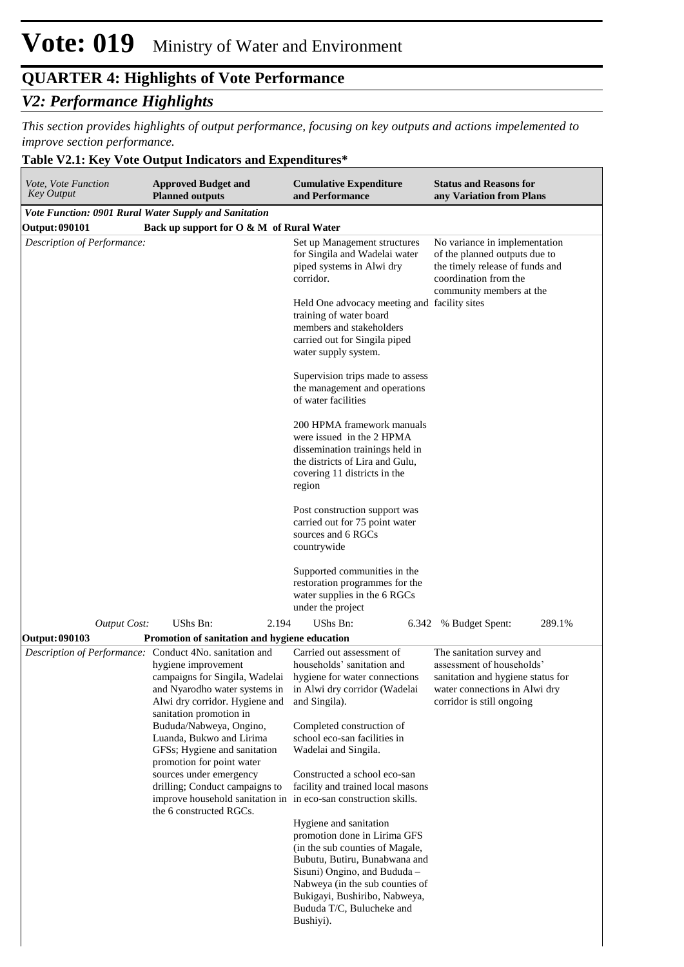#### *V2: Performance Highlights*

*This section provides highlights of output performance, focusing on key outputs and actions impelemented to improve section performance.*

#### **Table V2.1: Key Vote Output Indicators and Expenditures\***

| Vote, Vote Function<br><b>Key Output</b>                     | <b>Approved Budget and</b><br><b>Planned outputs</b>                                                                                                                                                                                                                                                                                                                                            | <b>Cumulative Expenditure</b><br>and Performance                                                                                                                                                                                                                                                     | <b>Status and Reasons for</b><br>any Variation from Plans                                                                                                 |
|--------------------------------------------------------------|-------------------------------------------------------------------------------------------------------------------------------------------------------------------------------------------------------------------------------------------------------------------------------------------------------------------------------------------------------------------------------------------------|------------------------------------------------------------------------------------------------------------------------------------------------------------------------------------------------------------------------------------------------------------------------------------------------------|-----------------------------------------------------------------------------------------------------------------------------------------------------------|
| <b>Vote Function: 0901 Rural Water Supply and Sanitation</b> |                                                                                                                                                                                                                                                                                                                                                                                                 |                                                                                                                                                                                                                                                                                                      |                                                                                                                                                           |
| <b>Output: 090101</b>                                        | Back up support for O & M of Rural Water                                                                                                                                                                                                                                                                                                                                                        |                                                                                                                                                                                                                                                                                                      |                                                                                                                                                           |
| Description of Performance:                                  |                                                                                                                                                                                                                                                                                                                                                                                                 | Set up Management structures<br>for Singila and Wadelai water<br>piped systems in Alwi dry<br>corridor.<br>Held One advocacy meeting and facility sites                                                                                                                                              | No variance in implementation<br>of the planned outputs due to<br>the timely release of funds and<br>coordination from the<br>community members at the    |
|                                                              |                                                                                                                                                                                                                                                                                                                                                                                                 | training of water board<br>members and stakeholders<br>carried out for Singila piped<br>water supply system.                                                                                                                                                                                         |                                                                                                                                                           |
|                                                              |                                                                                                                                                                                                                                                                                                                                                                                                 | Supervision trips made to assess<br>the management and operations<br>of water facilities                                                                                                                                                                                                             |                                                                                                                                                           |
|                                                              |                                                                                                                                                                                                                                                                                                                                                                                                 | 200 HPMA framework manuals<br>were issued in the 2 HPMA<br>dissemination trainings held in<br>the districts of Lira and Gulu,<br>covering 11 districts in the<br>region                                                                                                                              |                                                                                                                                                           |
|                                                              |                                                                                                                                                                                                                                                                                                                                                                                                 | Post construction support was<br>carried out for 75 point water<br>sources and 6 RGCs<br>countrywide                                                                                                                                                                                                 |                                                                                                                                                           |
|                                                              |                                                                                                                                                                                                                                                                                                                                                                                                 | Supported communities in the<br>restoration programmes for the<br>water supplies in the 6 RGCs<br>under the project                                                                                                                                                                                  |                                                                                                                                                           |
| <b>Output Cost:</b>                                          | UShs Bn:<br>2.194                                                                                                                                                                                                                                                                                                                                                                               | UShs Bn:                                                                                                                                                                                                                                                                                             | 289.1%<br>6.342 % Budget Spent:                                                                                                                           |
| <b>Output: 090103</b>                                        | Promotion of sanitation and hygiene education                                                                                                                                                                                                                                                                                                                                                   |                                                                                                                                                                                                                                                                                                      |                                                                                                                                                           |
|                                                              | Description of Performance: Conduct 4No. sanitation and<br>hygiene improvement<br>campaigns for Singila, Wadelai<br>and Nyarodho water systems in<br>Alwi dry corridor. Hygiene and<br>sanitation promotion in<br>Bududa/Nabweya, Ongino,<br>Luanda, Bukwo and Lirima<br>GFSs; Hygiene and sanitation<br>promotion for point water<br>sources under emergency<br>drilling; Conduct campaigns to | Carried out assessment of<br>households' sanitation and<br>hygiene for water connections<br>in Alwi dry corridor (Wadelai<br>and Singila).<br>Completed construction of<br>school eco-san facilities in<br>Wadelai and Singila.<br>Constructed a school eco-san<br>facility and trained local masons | The sanitation survey and<br>assessment of households'<br>sanitation and hygiene status for<br>water connections in Alwi dry<br>corridor is still ongoing |
|                                                              | improve household sanitation in in eco-san construction skills.<br>the 6 constructed RGCs.                                                                                                                                                                                                                                                                                                      | Hygiene and sanitation<br>promotion done in Lirima GFS<br>(in the sub counties of Magale,<br>Bubutu, Butiru, Bunabwana and<br>Sisuni) Ongino, and Bududa -<br>Nabweya (in the sub counties of<br>Bukigayi, Bushiribo, Nabweya,<br>Bududa T/C, Bulucheke and<br>Bushiyi).                             |                                                                                                                                                           |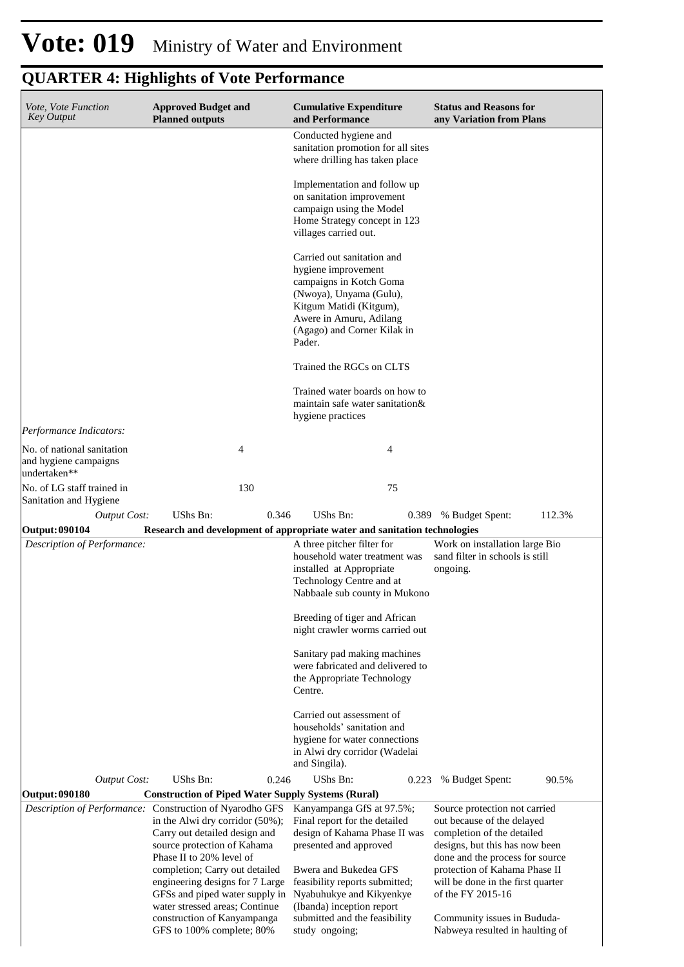## **Vote: 019** Ministry of Water and Environment

| Vote, Vote Function<br><b>Key Output</b>                            | <b>Approved Budget and</b><br><b>Planned outputs</b>                                                                                                                                                                                                                                                                                                            | <b>Cumulative Expenditure</b><br>and Performance                                                                                                                                                                                                                           | <b>Status and Reasons for</b><br>any Variation from Plans                                                                                                                                                                                                                                |  |  |
|---------------------------------------------------------------------|-----------------------------------------------------------------------------------------------------------------------------------------------------------------------------------------------------------------------------------------------------------------------------------------------------------------------------------------------------------------|----------------------------------------------------------------------------------------------------------------------------------------------------------------------------------------------------------------------------------------------------------------------------|------------------------------------------------------------------------------------------------------------------------------------------------------------------------------------------------------------------------------------------------------------------------------------------|--|--|
|                                                                     |                                                                                                                                                                                                                                                                                                                                                                 | Conducted hygiene and<br>sanitation promotion for all sites<br>where drilling has taken place                                                                                                                                                                              |                                                                                                                                                                                                                                                                                          |  |  |
|                                                                     |                                                                                                                                                                                                                                                                                                                                                                 | Implementation and follow up<br>on sanitation improvement<br>campaign using the Model<br>Home Strategy concept in 123<br>villages carried out.                                                                                                                             |                                                                                                                                                                                                                                                                                          |  |  |
|                                                                     |                                                                                                                                                                                                                                                                                                                                                                 | Carried out sanitation and<br>hygiene improvement<br>campaigns in Kotch Goma<br>(Nwoya), Unyama (Gulu),<br>Kitgum Matidi (Kitgum),<br>Awere in Amuru, Adilang<br>(Agago) and Corner Kilak in<br>Pader.                                                                     |                                                                                                                                                                                                                                                                                          |  |  |
|                                                                     |                                                                                                                                                                                                                                                                                                                                                                 | Trained the RGCs on CLTS                                                                                                                                                                                                                                                   |                                                                                                                                                                                                                                                                                          |  |  |
|                                                                     |                                                                                                                                                                                                                                                                                                                                                                 | Trained water boards on how to<br>maintain safe water sanitation&<br>hygiene practices                                                                                                                                                                                     |                                                                                                                                                                                                                                                                                          |  |  |
| Performance Indicators:                                             |                                                                                                                                                                                                                                                                                                                                                                 |                                                                                                                                                                                                                                                                            |                                                                                                                                                                                                                                                                                          |  |  |
| No. of national sanitation<br>and hygiene campaigns<br>undertaken** | 4                                                                                                                                                                                                                                                                                                                                                               | 4                                                                                                                                                                                                                                                                          |                                                                                                                                                                                                                                                                                          |  |  |
| No. of LG staff trained in<br>Sanitation and Hygiene                | 130                                                                                                                                                                                                                                                                                                                                                             | 75                                                                                                                                                                                                                                                                         |                                                                                                                                                                                                                                                                                          |  |  |
| <b>Output Cost:</b>                                                 | UShs Bn:<br>0.346                                                                                                                                                                                                                                                                                                                                               | UShs Bn:<br>0.389                                                                                                                                                                                                                                                          | 112.3%<br>% Budget Spent:                                                                                                                                                                                                                                                                |  |  |
|                                                                     |                                                                                                                                                                                                                                                                                                                                                                 |                                                                                                                                                                                                                                                                            |                                                                                                                                                                                                                                                                                          |  |  |
| Output: 090104                                                      |                                                                                                                                                                                                                                                                                                                                                                 | Research and development of appropriate water and sanitation technologies                                                                                                                                                                                                  |                                                                                                                                                                                                                                                                                          |  |  |
| Description of Performance:                                         |                                                                                                                                                                                                                                                                                                                                                                 | A three pitcher filter for<br>household water treatment was<br>installed at Appropriate<br>Technology Centre and at<br>Nabbaale sub county in Mukono                                                                                                                       | Work on installation large Bio<br>sand filter in schools is still<br>ongoing.                                                                                                                                                                                                            |  |  |
|                                                                     |                                                                                                                                                                                                                                                                                                                                                                 | Breeding of tiger and African<br>night crawler worms carried out                                                                                                                                                                                                           |                                                                                                                                                                                                                                                                                          |  |  |
|                                                                     |                                                                                                                                                                                                                                                                                                                                                                 | Sanitary pad making machines<br>were fabricated and delivered to<br>the Appropriate Technology<br>Centre.                                                                                                                                                                  |                                                                                                                                                                                                                                                                                          |  |  |
|                                                                     |                                                                                                                                                                                                                                                                                                                                                                 | Carried out assessment of<br>households' sanitation and<br>hygiene for water connections<br>in Alwi dry corridor (Wadelai<br>and Singila).                                                                                                                                 |                                                                                                                                                                                                                                                                                          |  |  |
| <b>Output Cost:</b>                                                 | UShs Bn:<br>0.246                                                                                                                                                                                                                                                                                                                                               | UShs Bn:<br>0.223                                                                                                                                                                                                                                                          | % Budget Spent:<br>90.5%                                                                                                                                                                                                                                                                 |  |  |
| Output: 090180                                                      | <b>Construction of Piped Water Supply Systems (Rural)</b>                                                                                                                                                                                                                                                                                                       |                                                                                                                                                                                                                                                                            |                                                                                                                                                                                                                                                                                          |  |  |
|                                                                     | Description of Performance: Construction of Nyarodho GFS<br>in the Alwi dry corridor (50%);<br>Carry out detailed design and<br>source protection of Kahama<br>Phase II to 20% level of<br>completion; Carry out detailed<br>engineering designs for 7 Large<br>GFSs and piped water supply in<br>water stressed areas; Continue<br>construction of Kanyampanga | Kanyampanga GfS at 97.5%;<br>Final report for the detailed<br>design of Kahama Phase II was<br>presented and approved<br>Bwera and Bukedea GFS<br>feasibility reports submitted;<br>Nyabuhukye and Kikyenkye<br>(Ibanda) inception report<br>submitted and the feasibility | Source protection not carried<br>out because of the delayed<br>completion of the detailed<br>designs, but this has now been<br>done and the process for source<br>protection of Kahama Phase II<br>will be done in the first quarter<br>of the FY 2015-16<br>Community issues in Bududa- |  |  |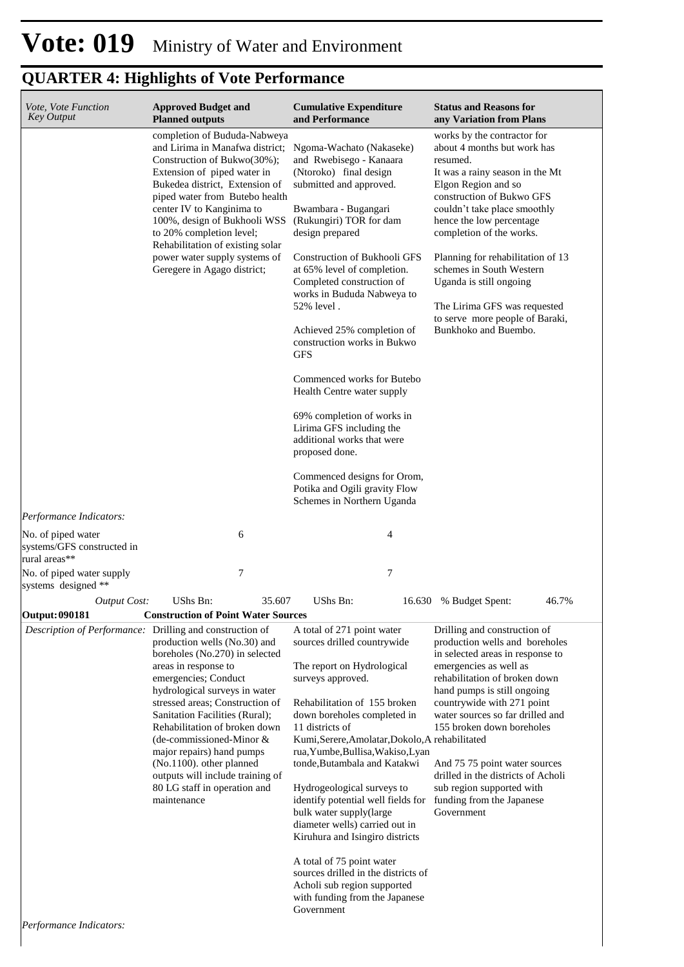| Vote, Vote Function<br><b>Key Output</b>                                                                                                                                                                                                                                                                                                                                                       | <b>Approved Budget and</b><br><b>Planned outputs</b>                                                                                                                                                                                                                                                                                                                                                                            | <b>Cumulative Expenditure</b><br>and Performance                                                                                                                                                                                                                                                                                                                                                                                                                                                                                                                                                                                              | <b>Status and Reasons for</b><br>any Variation from Plans                                                                                                                                                                                                                                                                                                                                                                                    |  |
|------------------------------------------------------------------------------------------------------------------------------------------------------------------------------------------------------------------------------------------------------------------------------------------------------------------------------------------------------------------------------------------------|---------------------------------------------------------------------------------------------------------------------------------------------------------------------------------------------------------------------------------------------------------------------------------------------------------------------------------------------------------------------------------------------------------------------------------|-----------------------------------------------------------------------------------------------------------------------------------------------------------------------------------------------------------------------------------------------------------------------------------------------------------------------------------------------------------------------------------------------------------------------------------------------------------------------------------------------------------------------------------------------------------------------------------------------------------------------------------------------|----------------------------------------------------------------------------------------------------------------------------------------------------------------------------------------------------------------------------------------------------------------------------------------------------------------------------------------------------------------------------------------------------------------------------------------------|--|
| completion of Bududa-Nabweya<br>and Lirima in Manafwa district;<br>Construction of Bukwo(30%);<br>Extension of piped water in<br>Bukedea district, Extension of<br>piped water from Butebo health<br>center IV to Kanginima to<br>100%, design of Bukhooli WSS<br>to 20% completion level;<br>Rehabilitation of existing solar<br>power water supply systems of<br>Geregere in Agago district; |                                                                                                                                                                                                                                                                                                                                                                                                                                 | Ngoma-Wachato (Nakaseke)<br>and Rwebisego - Kanaara<br>(Ntoroko) final design<br>submitted and approved.<br>Bwambara - Bugangari<br>(Rukungiri) TOR for dam<br>design prepared<br>Construction of Bukhooli GFS<br>at 65% level of completion.<br>Completed construction of<br>works in Bududa Nabweya to<br>52% level.<br>Achieved 25% completion of<br>construction works in Bukwo<br><b>GFS</b><br>Commenced works for Butebo<br>Health Centre water supply<br>69% completion of works in<br>Lirima GFS including the<br>additional works that were<br>proposed done.<br>Commenced designs for Orom,                                        | works by the contractor for<br>about 4 months but work has<br>resumed.<br>It was a rainy season in the Mt<br>Elgon Region and so<br>construction of Bukwo GFS<br>couldn't take place smoothly<br>hence the low percentage<br>completion of the works.<br>Planning for rehabilitation of 13<br>schemes in South Western<br>Uganda is still ongoing<br>The Lirima GFS was requested<br>to serve more people of Baraki,<br>Bunkhoko and Buembo. |  |
|                                                                                                                                                                                                                                                                                                                                                                                                |                                                                                                                                                                                                                                                                                                                                                                                                                                 | Potika and Ogili gravity Flow<br>Schemes in Northern Uganda                                                                                                                                                                                                                                                                                                                                                                                                                                                                                                                                                                                   |                                                                                                                                                                                                                                                                                                                                                                                                                                              |  |
| <i>Performance Indicators:</i>                                                                                                                                                                                                                                                                                                                                                                 |                                                                                                                                                                                                                                                                                                                                                                                                                                 |                                                                                                                                                                                                                                                                                                                                                                                                                                                                                                                                                                                                                                               |                                                                                                                                                                                                                                                                                                                                                                                                                                              |  |
| No. of piped water<br>systems/GFS constructed in<br>rural areas**                                                                                                                                                                                                                                                                                                                              | 6                                                                                                                                                                                                                                                                                                                                                                                                                               | 4                                                                                                                                                                                                                                                                                                                                                                                                                                                                                                                                                                                                                                             |                                                                                                                                                                                                                                                                                                                                                                                                                                              |  |
| No. of piped water supply<br>systems designed **                                                                                                                                                                                                                                                                                                                                               | 7                                                                                                                                                                                                                                                                                                                                                                                                                               | 7                                                                                                                                                                                                                                                                                                                                                                                                                                                                                                                                                                                                                                             |                                                                                                                                                                                                                                                                                                                                                                                                                                              |  |
| <b>Output Cost:</b>                                                                                                                                                                                                                                                                                                                                                                            | UShs Bn:<br>35.607                                                                                                                                                                                                                                                                                                                                                                                                              | UShs Bn:                                                                                                                                                                                                                                                                                                                                                                                                                                                                                                                                                                                                                                      | 16.630 % Budget Spent:<br>46.7%                                                                                                                                                                                                                                                                                                                                                                                                              |  |
| Output: 090181                                                                                                                                                                                                                                                                                                                                                                                 | <b>Construction of Point Water Sources</b>                                                                                                                                                                                                                                                                                                                                                                                      |                                                                                                                                                                                                                                                                                                                                                                                                                                                                                                                                                                                                                                               |                                                                                                                                                                                                                                                                                                                                                                                                                                              |  |
| Description of Performance: Drilling and construction of<br>$Performance$ Indicators                                                                                                                                                                                                                                                                                                           | production wells (No.30) and<br>boreholes (No.270) in selected<br>areas in response to<br>emergencies; Conduct<br>hydrological surveys in water<br>stressed areas; Construction of<br>Sanitation Facilities (Rural);<br>Rehabilitation of broken down<br>(de-commissioned-Minor $&$<br>major repairs) hand pumps<br>(No.1100). other planned<br>outputs will include training of<br>80 LG staff in operation and<br>maintenance | A total of 271 point water<br>sources drilled countrywide<br>The report on Hydrological<br>surveys approved.<br>Rehabilitation of 155 broken<br>down boreholes completed in<br>11 districts of<br>Kumi, Serere, Amolatar, Dokolo, A rehabilitated<br>rua, Yumbe, Bullisa, Wakiso, Lyan<br>tonde, Butambala and Katakwi<br>Hydrogeological surveys to<br>identify potential well fields for<br>bulk water supply(large<br>diameter wells) carried out in<br>Kiruhura and Isingiro districts<br>A total of 75 point water<br>sources drilled in the districts of<br>Acholi sub region supported<br>with funding from the Japanese<br>Government | Drilling and construction of<br>production wells and boreholes<br>in selected areas in response to<br>emergencies as well as<br>rehabilitation of broken down<br>hand pumps is still ongoing<br>countrywide with 271 point<br>water sources so far drilled and<br>155 broken down boreholes<br>And 75 75 point water sources<br>drilled in the districts of Acholi<br>sub region supported with<br>funding from the Japanese<br>Government   |  |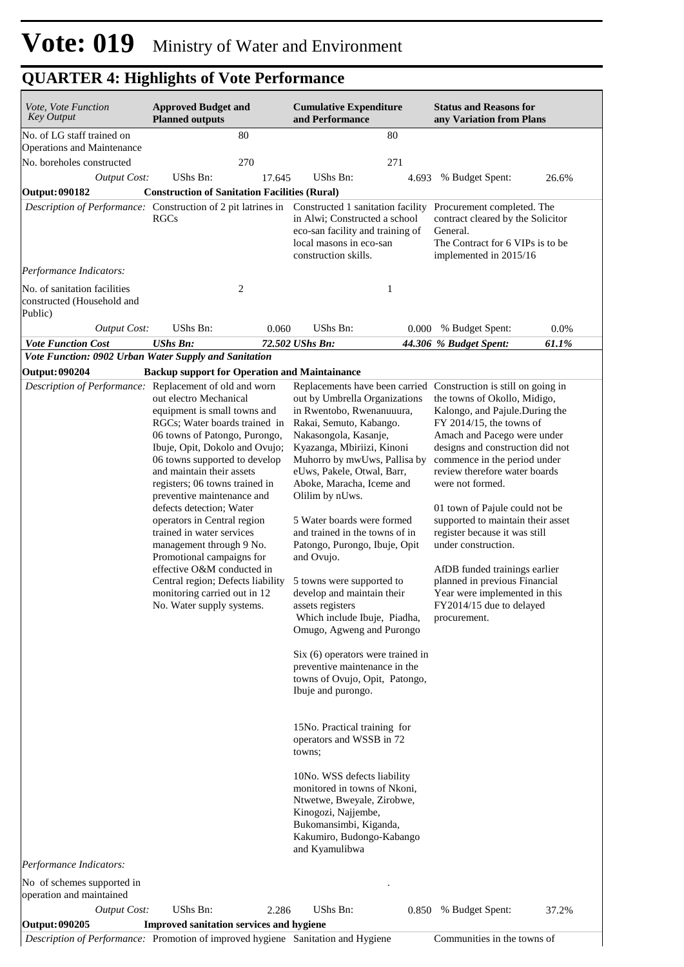| Vote, Vote Function<br><b>Key Output</b>                                                                                                              | <b>Approved Budget and</b><br><b>Planned outputs</b>                                                                                                                                                                                                                                                                                                                                                                                                                                                                                                                      |        | <b>Cumulative Expenditure</b><br>and Performance                                                                                                                                                                                                                                                                                                                                                                                                                                                                                                                                                                                                      |       | <b>Status and Reasons for</b><br>any Variation from Plans                                                                                                                                                                                                                                                                                                                                                                                                                                                                          |       |
|-------------------------------------------------------------------------------------------------------------------------------------------------------|---------------------------------------------------------------------------------------------------------------------------------------------------------------------------------------------------------------------------------------------------------------------------------------------------------------------------------------------------------------------------------------------------------------------------------------------------------------------------------------------------------------------------------------------------------------------------|--------|-------------------------------------------------------------------------------------------------------------------------------------------------------------------------------------------------------------------------------------------------------------------------------------------------------------------------------------------------------------------------------------------------------------------------------------------------------------------------------------------------------------------------------------------------------------------------------------------------------------------------------------------------------|-------|------------------------------------------------------------------------------------------------------------------------------------------------------------------------------------------------------------------------------------------------------------------------------------------------------------------------------------------------------------------------------------------------------------------------------------------------------------------------------------------------------------------------------------|-------|
| No. of LG staff trained on<br><b>Operations and Maintenance</b>                                                                                       |                                                                                                                                                                                                                                                                                                                                                                                                                                                                                                                                                                           | 80     |                                                                                                                                                                                                                                                                                                                                                                                                                                                                                                                                                                                                                                                       | 80    |                                                                                                                                                                                                                                                                                                                                                                                                                                                                                                                                    |       |
| No. boreholes constructed                                                                                                                             |                                                                                                                                                                                                                                                                                                                                                                                                                                                                                                                                                                           | 270    |                                                                                                                                                                                                                                                                                                                                                                                                                                                                                                                                                                                                                                                       | 271   |                                                                                                                                                                                                                                                                                                                                                                                                                                                                                                                                    |       |
| <b>Output Cost:</b>                                                                                                                                   | UShs Bn:                                                                                                                                                                                                                                                                                                                                                                                                                                                                                                                                                                  | 17.645 | UShs Bn:                                                                                                                                                                                                                                                                                                                                                                                                                                                                                                                                                                                                                                              | 4.693 | % Budget Spent:                                                                                                                                                                                                                                                                                                                                                                                                                                                                                                                    | 26.6% |
| Output: 090182                                                                                                                                        | <b>Construction of Sanitation Facilities (Rural)</b>                                                                                                                                                                                                                                                                                                                                                                                                                                                                                                                      |        |                                                                                                                                                                                                                                                                                                                                                                                                                                                                                                                                                                                                                                                       |       |                                                                                                                                                                                                                                                                                                                                                                                                                                                                                                                                    |       |
| Description of Performance: Construction of 2 pit latrines in Constructed 1 sanitation facility Procurement completed. The<br>Performance Indicators: | <b>RGCs</b>                                                                                                                                                                                                                                                                                                                                                                                                                                                                                                                                                               |        | in Alwi; Constructed a school<br>eco-san facility and training of<br>local masons in eco-san<br>construction skills.                                                                                                                                                                                                                                                                                                                                                                                                                                                                                                                                  |       | contract cleared by the Solicitor<br>General.<br>The Contract for 6 VIPs is to be<br>implemented in 2015/16                                                                                                                                                                                                                                                                                                                                                                                                                        |       |
| No. of sanitation facilities<br>constructed (Household and                                                                                            |                                                                                                                                                                                                                                                                                                                                                                                                                                                                                                                                                                           | 2      |                                                                                                                                                                                                                                                                                                                                                                                                                                                                                                                                                                                                                                                       | 1     |                                                                                                                                                                                                                                                                                                                                                                                                                                                                                                                                    |       |
| Public)                                                                                                                                               |                                                                                                                                                                                                                                                                                                                                                                                                                                                                                                                                                                           |        |                                                                                                                                                                                                                                                                                                                                                                                                                                                                                                                                                                                                                                                       |       |                                                                                                                                                                                                                                                                                                                                                                                                                                                                                                                                    |       |
| <b>Output Cost:</b>                                                                                                                                   | UShs Bn:                                                                                                                                                                                                                                                                                                                                                                                                                                                                                                                                                                  | 0.060  | UShs Bn:                                                                                                                                                                                                                                                                                                                                                                                                                                                                                                                                                                                                                                              | 0.000 | % Budget Spent:                                                                                                                                                                                                                                                                                                                                                                                                                                                                                                                    | 0.0%  |
| <b>Vote Function Cost</b>                                                                                                                             | <b>UShs Bn:</b>                                                                                                                                                                                                                                                                                                                                                                                                                                                                                                                                                           |        | 72.502 UShs Bn:                                                                                                                                                                                                                                                                                                                                                                                                                                                                                                                                                                                                                                       |       | 44.306 % Budget Spent:                                                                                                                                                                                                                                                                                                                                                                                                                                                                                                             | 61.1% |
| Vote Function: 0902 Urban Water Supply and Sanitation                                                                                                 |                                                                                                                                                                                                                                                                                                                                                                                                                                                                                                                                                                           |        |                                                                                                                                                                                                                                                                                                                                                                                                                                                                                                                                                                                                                                                       |       |                                                                                                                                                                                                                                                                                                                                                                                                                                                                                                                                    |       |
| <b>Output: 090204</b><br>Description of Performance:                                                                                                  | <b>Backup support for Operation and Maintainance</b><br>Replacement of old and worn                                                                                                                                                                                                                                                                                                                                                                                                                                                                                       |        | Replacements have been carried Construction is still on going in                                                                                                                                                                                                                                                                                                                                                                                                                                                                                                                                                                                      |       |                                                                                                                                                                                                                                                                                                                                                                                                                                                                                                                                    |       |
|                                                                                                                                                       | out electro Mechanical<br>equipment is small towns and<br>RGCs; Water boards trained in<br>06 towns of Patongo, Purongo,<br>Ibuje, Opit, Dokolo and Ovujo;<br>06 towns supported to develop<br>and maintain their assets<br>registers; 06 towns trained in<br>preventive maintenance and<br>defects detection; Water<br>operators in Central region<br>trained in water services<br>management through 9 No.<br>Promotional campaigns for<br>effective O&M conducted in<br>Central region; Defects liability<br>monitoring carried out in 12<br>No. Water supply systems. |        | out by Umbrella Organizations<br>in Rwentobo, Rwenanuuura,<br>Rakai, Semuto, Kabango.<br>Nakasongola, Kasanje,<br>Kyazanga, Mbiriizi, Kinoni<br>Muhorro by mwUws, Pallisa by<br>eUws, Pakele, Otwal, Barr,<br>Aboke, Maracha, Iceme and<br>Olilim by nUws.<br>5 Water boards were formed<br>and trained in the towns of in<br>Patongo, Purongo, Ibuje, Opit<br>and Ovujo.<br>5 towns were supported to<br>develop and maintain their<br>assets registers<br>Which include Ibuje, Piadha,<br>Omugo, Agweng and Purongo<br>$Six (6)$ operators were trained in<br>preventive maintenance in the<br>towns of Ovujo, Opit, Patongo,<br>Ibuje and purongo. |       | the towns of Okollo, Midigo,<br>Kalongo, and Pajule.During the<br>$FY$ 2014/15, the towns of<br>Amach and Pacego were under<br>designs and construction did not<br>commence in the period under<br>review therefore water boards<br>were not formed.<br>01 town of Pajule could not be<br>supported to maintain their asset<br>register because it was still<br>under construction.<br>AfDB funded trainings earlier<br>planned in previous Financial<br>Year were implemented in this<br>FY2014/15 due to delayed<br>procurement. |       |
| Performance Indicators:                                                                                                                               |                                                                                                                                                                                                                                                                                                                                                                                                                                                                                                                                                                           |        | 15No. Practical training for<br>operators and WSSB in 72<br>towns:<br>10No. WSS defects liability<br>monitored in towns of Nkoni,<br>Ntwetwe, Bweyale, Zirobwe,<br>Kinogozi, Najjembe,<br>Bukomansimbi, Kiganda,<br>Kakumiro, Budongo-Kabango<br>and Kyamulibwa                                                                                                                                                                                                                                                                                                                                                                                       |       |                                                                                                                                                                                                                                                                                                                                                                                                                                                                                                                                    |       |
| No of schemes supported in<br>operation and maintained                                                                                                |                                                                                                                                                                                                                                                                                                                                                                                                                                                                                                                                                                           |        |                                                                                                                                                                                                                                                                                                                                                                                                                                                                                                                                                                                                                                                       |       |                                                                                                                                                                                                                                                                                                                                                                                                                                                                                                                                    |       |
| <b>Output Cost:</b><br>Output: 090205                                                                                                                 | UShs Bn:<br><b>Improved sanitation services and hygiene</b>                                                                                                                                                                                                                                                                                                                                                                                                                                                                                                               | 2.286  | UShs Bn:                                                                                                                                                                                                                                                                                                                                                                                                                                                                                                                                                                                                                                              | 0.850 | % Budget Spent:                                                                                                                                                                                                                                                                                                                                                                                                                                                                                                                    | 37.2% |

*Description of Performance:* Promotion of improved hygiene Sanitation and Hygiene Communities in the towns of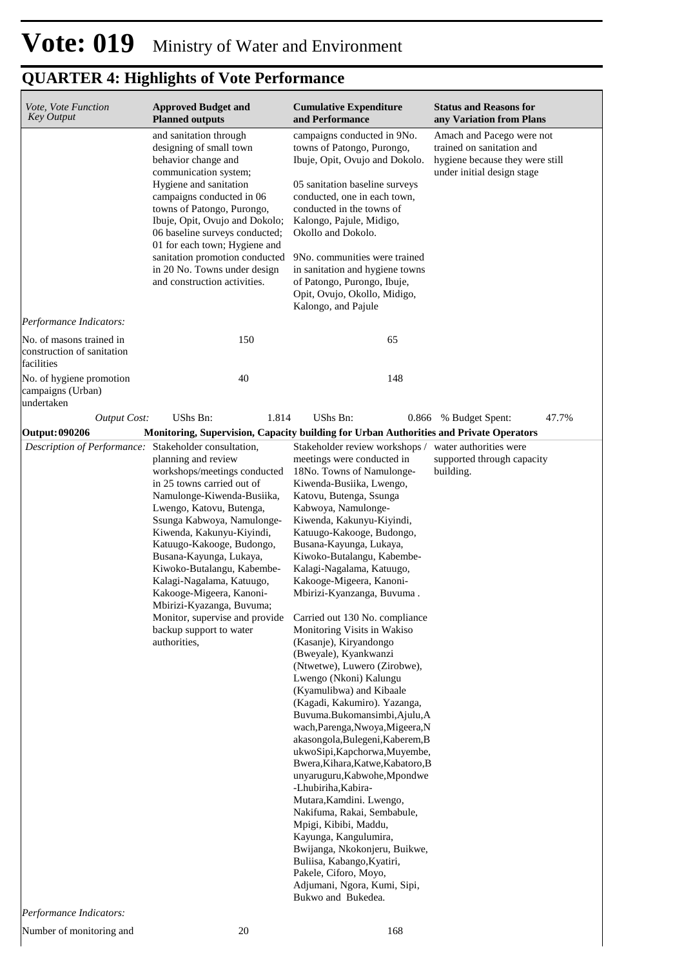| Vote, Vote Function<br><b>Key Output</b>                                                                                                                                                                                                                                                                                                                                                                                                                                                                                                                                                                                                          | <b>Approved Budget and</b><br><b>Planned outputs</b>                                                                                                                                                                                                                                                                                                                                          | <b>Cumulative Expenditure</b><br>and Performance                                                                                                                                                                                                                                                                                                                                                                                                                                                                                                                                                                                                                                                                                                                                                                                                                                                                                                                                                                                                                                         | <b>Status and Reasons for</b><br>any Variation from Plans                                                               |  |  |
|---------------------------------------------------------------------------------------------------------------------------------------------------------------------------------------------------------------------------------------------------------------------------------------------------------------------------------------------------------------------------------------------------------------------------------------------------------------------------------------------------------------------------------------------------------------------------------------------------------------------------------------------------|-----------------------------------------------------------------------------------------------------------------------------------------------------------------------------------------------------------------------------------------------------------------------------------------------------------------------------------------------------------------------------------------------|------------------------------------------------------------------------------------------------------------------------------------------------------------------------------------------------------------------------------------------------------------------------------------------------------------------------------------------------------------------------------------------------------------------------------------------------------------------------------------------------------------------------------------------------------------------------------------------------------------------------------------------------------------------------------------------------------------------------------------------------------------------------------------------------------------------------------------------------------------------------------------------------------------------------------------------------------------------------------------------------------------------------------------------------------------------------------------------|-------------------------------------------------------------------------------------------------------------------------|--|--|
|                                                                                                                                                                                                                                                                                                                                                                                                                                                                                                                                                                                                                                                   | and sanitation through<br>designing of small town<br>behavior change and<br>communication system;<br>Hygiene and sanitation<br>campaigns conducted in 06<br>towns of Patongo, Purongo,<br>Ibuje, Opit, Ovujo and Dokolo;<br>06 baseline surveys conducted;<br>01 for each town; Hygiene and<br>sanitation promotion conducted<br>in 20 No. Towns under design<br>and construction activities. | campaigns conducted in 9No.<br>towns of Patongo, Purongo,<br>Ibuje, Opit, Ovujo and Dokolo.<br>05 sanitation baseline surveys<br>conducted, one in each town,<br>conducted in the towns of<br>Kalongo, Pajule, Midigo,<br>Okollo and Dokolo.<br>9No. communities were trained<br>in sanitation and hygiene towns<br>of Patongo, Purongo, Ibuje,<br>Opit, Ovujo, Okollo, Midigo,<br>Kalongo, and Pajule                                                                                                                                                                                                                                                                                                                                                                                                                                                                                                                                                                                                                                                                                   | Amach and Pacego were not<br>trained on sanitation and<br>hygiene because they were still<br>under initial design stage |  |  |
| Performance Indicators:<br>No. of masons trained in<br>construction of sanitation                                                                                                                                                                                                                                                                                                                                                                                                                                                                                                                                                                 | 150                                                                                                                                                                                                                                                                                                                                                                                           | 65                                                                                                                                                                                                                                                                                                                                                                                                                                                                                                                                                                                                                                                                                                                                                                                                                                                                                                                                                                                                                                                                                       |                                                                                                                         |  |  |
| facilities<br>No. of hygiene promotion<br>campaigns (Urban)<br>undertaken                                                                                                                                                                                                                                                                                                                                                                                                                                                                                                                                                                         | 40                                                                                                                                                                                                                                                                                                                                                                                            | 148                                                                                                                                                                                                                                                                                                                                                                                                                                                                                                                                                                                                                                                                                                                                                                                                                                                                                                                                                                                                                                                                                      |                                                                                                                         |  |  |
| <b>Output Cost:</b>                                                                                                                                                                                                                                                                                                                                                                                                                                                                                                                                                                                                                               | UShs Bn:<br>1.814                                                                                                                                                                                                                                                                                                                                                                             | UShs Bn:                                                                                                                                                                                                                                                                                                                                                                                                                                                                                                                                                                                                                                                                                                                                                                                                                                                                                                                                                                                                                                                                                 | 0.866 % Budget Spent:<br>47.7%                                                                                          |  |  |
| <b>Output: 090206</b>                                                                                                                                                                                                                                                                                                                                                                                                                                                                                                                                                                                                                             |                                                                                                                                                                                                                                                                                                                                                                                               |                                                                                                                                                                                                                                                                                                                                                                                                                                                                                                                                                                                                                                                                                                                                                                                                                                                                                                                                                                                                                                                                                          |                                                                                                                         |  |  |
| Monitoring, Supervision, Capacity building for Urban Authorities and Private Operators<br>Description of Performance: Stakeholder consultation,<br>planning and review<br>workshops/meetings conducted<br>in 25 towns carried out of<br>Namulonge-Kiwenda-Busiika,<br>Lwengo, Katovu, Butenga,<br>Ssunga Kabwoya, Namulonge-<br>Kiwenda, Kakunyu-Kiyindi,<br>Katuugo-Kakooge, Budongo,<br>Busana-Kayunga, Lukaya,<br>Kiwoko-Butalangu, Kabembe-<br>Kalagi-Nagalama, Katuugo,<br>Kakooge-Migeera, Kanoni-<br>Mbirizi-Kyazanga, Buvuma;<br>Monitor, supervise and provide Carried out 130 No. compliance<br>backup support to water<br>authorities, |                                                                                                                                                                                                                                                                                                                                                                                               | Stakeholder review workshops /<br>meetings were conducted in<br>18No. Towns of Namulonge-<br>Kiwenda-Busiika, Lwengo,<br>Katovu, Butenga, Ssunga<br>Kabwoya, Namulonge-<br>Kiwenda, Kakunyu-Kiyindi,<br>Katuugo-Kakooge, Budongo,<br>Busana-Kayunga, Lukaya,<br>Kiwoko-Butalangu, Kabembe-<br>Kalagi-Nagalama, Katuugo,<br>Kakooge-Migeera, Kanoni-<br>Mbirizi-Kyanzanga, Buvuma.<br>Monitoring Visits in Wakiso<br>(Kasanje), Kiryandongo<br>(Bweyale), Kyankwanzi<br>(Ntwetwe), Luwero (Zirobwe),<br>Lwengo (Nkoni) Kalungu<br>(Kyamulibwa) and Kibaale<br>(Kagadi, Kakumiro). Yazanga,<br>Buvuma.Bukomansimbi,Ajulu,A<br>wach, Parenga, Nwoya, Migeera, N<br>akasongola, Bulegeni, Kaberem, B<br>ukwoSipi, Kapchorwa, Muyembe,<br>Bwera, Kihara, Katwe, Kabatoro, B<br>unyaruguru, Kabwohe, Mpondwe<br>-Lhubiriha, Kabira-<br>Mutara, Kamdini. Lwengo,<br>Nakifuma, Rakai, Sembabule,<br>Mpigi, Kibibi, Maddu,<br>Kayunga, Kangulumira,<br>Bwijanga, Nkokonjeru, Buikwe,<br>Buliisa, Kabango, Kyatiri,<br>Pakele, Ciforo, Moyo,<br>Adjumani, Ngora, Kumi, Sipi,<br>Bukwo and Bukedea. | water authorities were<br>supported through capacity<br>building.                                                       |  |  |

Number of monitoring and 20 20 168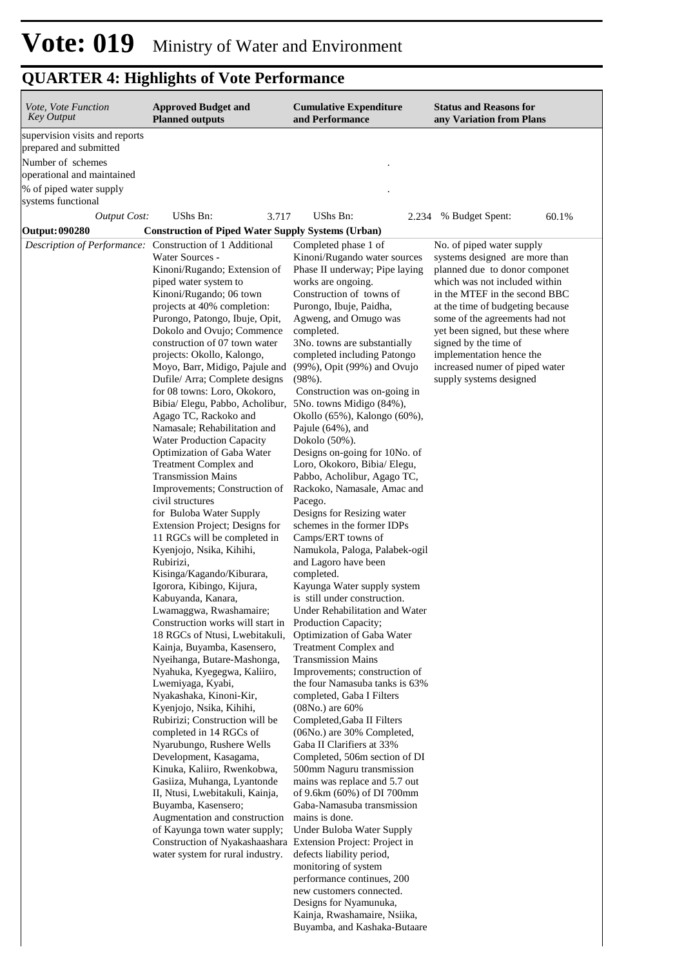| <b>QUARTER 4: Highlights of Vote Performance</b>                                                                                                                                    |                                                                                                                                                                                                                                                                                                                                                                                                                                                                                                                                                                                                                                                                                                                                                                                                                                                                                                                                                                                                                                                                                                                                                                                                                                                                                                                                                                                                                                                                                                                                                                                                                              |                                                                                                                                                                                                                                                                                                                                                                                                                                                                                                                                                                                                                                                                                                                                                                                                                                                                                                                                                                                                                                                                                                                                                                                                                                                                                                                                                                                                                                                                                                                    |                                                                                                                                                                                                                                                                                                                                                                                            |  |  |  |
|-------------------------------------------------------------------------------------------------------------------------------------------------------------------------------------|------------------------------------------------------------------------------------------------------------------------------------------------------------------------------------------------------------------------------------------------------------------------------------------------------------------------------------------------------------------------------------------------------------------------------------------------------------------------------------------------------------------------------------------------------------------------------------------------------------------------------------------------------------------------------------------------------------------------------------------------------------------------------------------------------------------------------------------------------------------------------------------------------------------------------------------------------------------------------------------------------------------------------------------------------------------------------------------------------------------------------------------------------------------------------------------------------------------------------------------------------------------------------------------------------------------------------------------------------------------------------------------------------------------------------------------------------------------------------------------------------------------------------------------------------------------------------------------------------------------------------|--------------------------------------------------------------------------------------------------------------------------------------------------------------------------------------------------------------------------------------------------------------------------------------------------------------------------------------------------------------------------------------------------------------------------------------------------------------------------------------------------------------------------------------------------------------------------------------------------------------------------------------------------------------------------------------------------------------------------------------------------------------------------------------------------------------------------------------------------------------------------------------------------------------------------------------------------------------------------------------------------------------------------------------------------------------------------------------------------------------------------------------------------------------------------------------------------------------------------------------------------------------------------------------------------------------------------------------------------------------------------------------------------------------------------------------------------------------------------------------------------------------------|--------------------------------------------------------------------------------------------------------------------------------------------------------------------------------------------------------------------------------------------------------------------------------------------------------------------------------------------------------------------------------------------|--|--|--|
| Vote, Vote Function<br><b>Key Output</b>                                                                                                                                            | <b>Approved Budget and</b><br><b>Planned outputs</b>                                                                                                                                                                                                                                                                                                                                                                                                                                                                                                                                                                                                                                                                                                                                                                                                                                                                                                                                                                                                                                                                                                                                                                                                                                                                                                                                                                                                                                                                                                                                                                         | <b>Cumulative Expenditure</b><br>and Performance                                                                                                                                                                                                                                                                                                                                                                                                                                                                                                                                                                                                                                                                                                                                                                                                                                                                                                                                                                                                                                                                                                                                                                                                                                                                                                                                                                                                                                                                   | <b>Status and Reasons for</b><br>any Variation from Plans                                                                                                                                                                                                                                                                                                                                  |  |  |  |
| supervision visits and reports<br>prepared and submitted<br>Number of schemes<br>operational and maintained<br>% of piped water supply<br>systems functional<br><b>Output Cost:</b> | UShs Bn:<br>3.717                                                                                                                                                                                                                                                                                                                                                                                                                                                                                                                                                                                                                                                                                                                                                                                                                                                                                                                                                                                                                                                                                                                                                                                                                                                                                                                                                                                                                                                                                                                                                                                                            | UShs Bn:<br>2.234                                                                                                                                                                                                                                                                                                                                                                                                                                                                                                                                                                                                                                                                                                                                                                                                                                                                                                                                                                                                                                                                                                                                                                                                                                                                                                                                                                                                                                                                                                  | % Budget Spent:<br>60.1%                                                                                                                                                                                                                                                                                                                                                                   |  |  |  |
| Output: 090280                                                                                                                                                                      | <b>Construction of Piped Water Supply Systems (Urban)</b>                                                                                                                                                                                                                                                                                                                                                                                                                                                                                                                                                                                                                                                                                                                                                                                                                                                                                                                                                                                                                                                                                                                                                                                                                                                                                                                                                                                                                                                                                                                                                                    |                                                                                                                                                                                                                                                                                                                                                                                                                                                                                                                                                                                                                                                                                                                                                                                                                                                                                                                                                                                                                                                                                                                                                                                                                                                                                                                                                                                                                                                                                                                    |                                                                                                                                                                                                                                                                                                                                                                                            |  |  |  |
|                                                                                                                                                                                     | Description of Performance: Construction of 1 Additional<br>Water Sources -<br>Kinoni/Rugando; Extension of<br>piped water system to<br>Kinoni/Rugando; 06 town<br>projects at 40% completion:<br>Purongo, Patongo, Ibuje, Opit,<br>Dokolo and Ovujo; Commence<br>construction of 07 town water<br>projects: Okollo, Kalongo,<br>Moyo, Barr, Midigo, Pajule and<br>Dufile/ Arra; Complete designs<br>for 08 towns: Loro, Okokoro,<br>Bibia/ Elegu, Pabbo, Acholibur,<br>Agago TC, Rackoko and<br>Namasale; Rehabilitation and<br><b>Water Production Capacity</b><br>Optimization of Gaba Water<br>Treatment Complex and<br><b>Transmission Mains</b><br>Improvements; Construction of<br>civil structures<br>for Buloba Water Supply<br>Extension Project; Designs for<br>11 RGCs will be completed in<br>Kyenjojo, Nsika, Kihihi,<br>Rubirizi,<br>Kisinga/Kagando/Kiburara,<br>Igorora, Kibingo, Kijura,<br>Kabuyanda, Kanara,<br>Lwamaggwa, Rwashamaire;<br>Construction works will start in<br>18 RGCs of Ntusi, Lwebitakuli,<br>Kainja, Buyamba, Kasensero,<br>Nyeihanga, Butare-Mashonga,<br>Nyahuka, Kyegegwa, Kaliiro,<br>Lwemiyaga, Kyabi,<br>Nyakashaka, Kinoni-Kir,<br>Kyenjojo, Nsika, Kihihi,<br>Rubirizi; Construction will be<br>completed in 14 RGCs of<br>Nyarubungo, Rushere Wells<br>Development, Kasagama,<br>Kinuka, Kaliiro, Rwenkobwa,<br>Gasiiza, Muhanga, Lyantonde<br>II, Ntusi, Lwebitakuli, Kainja,<br>Buyamba, Kasensero;<br>Augmentation and construction<br>of Kayunga town water supply;<br>Construction of Nyakashaashara Extension Project: Project in<br>water system for rural industry. | Completed phase 1 of<br>Kinoni/Rugando water sources<br>Phase II underway; Pipe laying<br>works are ongoing.<br>Construction of towns of<br>Purongo, Ibuje, Paidha,<br>Agweng, and Omugo was<br>completed.<br>3No. towns are substantially<br>completed including Patongo<br>(99%), Opit (99%) and Ovujo<br>$(98\%)$ .<br>Construction was on-going in<br>5No. towns Midigo (84%),<br>Okollo (65%), Kalongo (60%),<br>Pajule (64%), and<br>Dokolo (50%).<br>Designs on-going for 10No. of<br>Loro, Okokoro, Bibia/ Elegu,<br>Pabbo, Acholibur, Agago TC,<br>Rackoko, Namasale, Amac and<br>Pacego.<br>Designs for Resizing water<br>schemes in the former IDPs<br>Camps/ERT towns of<br>Namukola, Paloga, Palabek-ogil<br>and Lagoro have been<br>completed.<br>Kayunga Water supply system<br>is still under construction.<br>Under Rehabilitation and Water<br>Production Capacity;<br>Optimization of Gaba Water<br>Treatment Complex and<br><b>Transmission Mains</b><br>Improvements; construction of<br>the four Namasuba tanks is 63%<br>completed, Gaba I Filters<br>$(08No.)$ are $60%$<br>Completed, Gaba II Filters<br>(06No.) are 30% Completed,<br>Gaba II Clarifiers at 33%<br>Completed, 506m section of DI<br>500mm Naguru transmission<br>mains was replace and 5.7 out<br>of 9.6km (60%) of DI 700mm<br>Gaba-Namasuba transmission<br>mains is done.<br>Under Buloba Water Supply<br>defects liability period,<br>monitoring of system<br>performance continues, 200<br>new customers connected. | No. of piped water supply<br>systems designed are more than<br>planned due to donor componet<br>which was not included within<br>in the MTEF in the second BBC<br>at the time of budgeting because<br>some of the agreements had not<br>yet been signed, but these where<br>signed by the time of<br>implementation hence the<br>increased numer of piped water<br>supply systems designed |  |  |  |

Designs for Nyamunuka, Kainja, Rwashamaire, Nsiika, Buyamba, and Kashaka-Butaare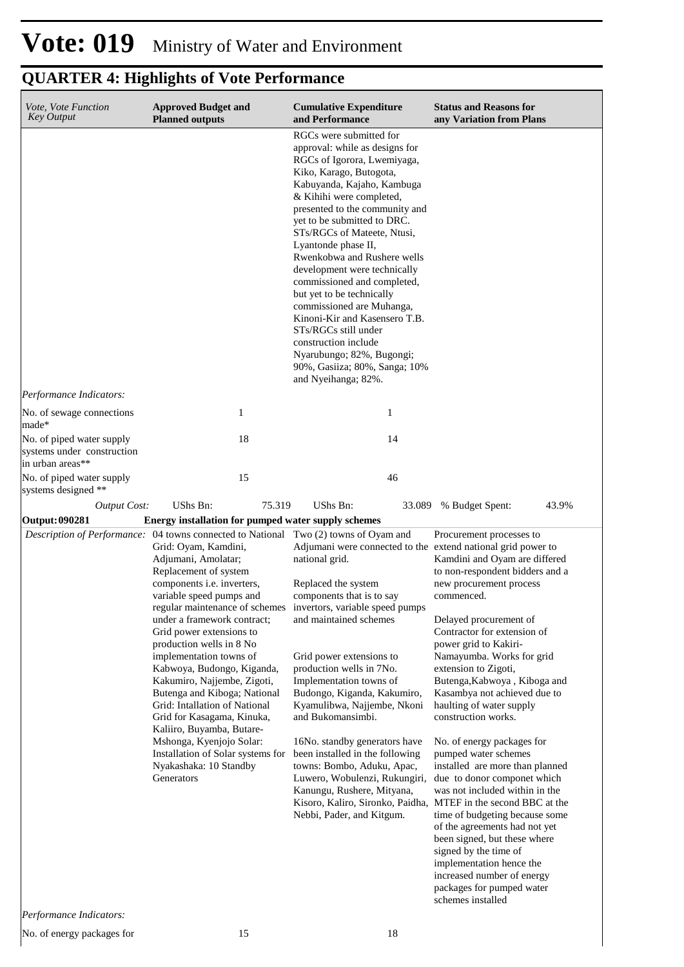## **Vote: 019** Ministry of Water and Environment

| Vote, Vote Function<br><b>Key Output</b>                             | <b>Approved Budget and</b><br><b>Planned outputs</b>                                                                                                                                                                                                                                                                                                                                                                                                                                                                                                                                                                                                                         | <b>Cumulative Expenditure</b><br>and Performance                                                                                                                                                                                                                                                                                                                                                                                                                                                                                                                                                                                   | <b>Status and Reasons for</b><br>any Variation from Plans                                                                                                                                                                                                                                                                                                                                                                                                                                                                                                                                                                                                                                                                                                                                                                                                           |
|----------------------------------------------------------------------|------------------------------------------------------------------------------------------------------------------------------------------------------------------------------------------------------------------------------------------------------------------------------------------------------------------------------------------------------------------------------------------------------------------------------------------------------------------------------------------------------------------------------------------------------------------------------------------------------------------------------------------------------------------------------|------------------------------------------------------------------------------------------------------------------------------------------------------------------------------------------------------------------------------------------------------------------------------------------------------------------------------------------------------------------------------------------------------------------------------------------------------------------------------------------------------------------------------------------------------------------------------------------------------------------------------------|---------------------------------------------------------------------------------------------------------------------------------------------------------------------------------------------------------------------------------------------------------------------------------------------------------------------------------------------------------------------------------------------------------------------------------------------------------------------------------------------------------------------------------------------------------------------------------------------------------------------------------------------------------------------------------------------------------------------------------------------------------------------------------------------------------------------------------------------------------------------|
|                                                                      |                                                                                                                                                                                                                                                                                                                                                                                                                                                                                                                                                                                                                                                                              | RGCs were submitted for<br>approval: while as designs for<br>RGCs of Igorora, Lwemiyaga,<br>Kiko, Karago, Butogota,<br>Kabuyanda, Kajaho, Kambuga<br>& Kihihi were completed,<br>presented to the community and<br>yet to be submitted to DRC.<br>STs/RGCs of Mateete, Ntusi,<br>Lyantonde phase II,<br>Rwenkobwa and Rushere wells<br>development were technically<br>commissioned and completed,<br>but yet to be technically<br>commissioned are Muhanga,<br>Kinoni-Kir and Kasensero T.B.<br>STs/RGCs still under<br>construction include<br>Nyarubungo; 82%, Bugongi;<br>90%, Gasiiza; 80%, Sanga; 10%<br>and Nyeihanga; 82%. |                                                                                                                                                                                                                                                                                                                                                                                                                                                                                                                                                                                                                                                                                                                                                                                                                                                                     |
| Performance Indicators:<br>No. of sewage connections                 | 1                                                                                                                                                                                                                                                                                                                                                                                                                                                                                                                                                                                                                                                                            | 1                                                                                                                                                                                                                                                                                                                                                                                                                                                                                                                                                                                                                                  |                                                                                                                                                                                                                                                                                                                                                                                                                                                                                                                                                                                                                                                                                                                                                                                                                                                                     |
| made*<br>No. of piped water supply<br>systems under construction     | 18                                                                                                                                                                                                                                                                                                                                                                                                                                                                                                                                                                                                                                                                           | 14                                                                                                                                                                                                                                                                                                                                                                                                                                                                                                                                                                                                                                 |                                                                                                                                                                                                                                                                                                                                                                                                                                                                                                                                                                                                                                                                                                                                                                                                                                                                     |
| in urban areas**<br>No. of piped water supply<br>systems designed ** | 15                                                                                                                                                                                                                                                                                                                                                                                                                                                                                                                                                                                                                                                                           | 46                                                                                                                                                                                                                                                                                                                                                                                                                                                                                                                                                                                                                                 |                                                                                                                                                                                                                                                                                                                                                                                                                                                                                                                                                                                                                                                                                                                                                                                                                                                                     |
| <b>Output Cost:</b>                                                  | UShs Bn:<br>75.319                                                                                                                                                                                                                                                                                                                                                                                                                                                                                                                                                                                                                                                           | UShs Bn:<br>33.089                                                                                                                                                                                                                                                                                                                                                                                                                                                                                                                                                                                                                 | 43.9%<br>% Budget Spent:                                                                                                                                                                                                                                                                                                                                                                                                                                                                                                                                                                                                                                                                                                                                                                                                                                            |
| <b>Output: 090281</b>                                                | Energy installation for pumped water supply schemes                                                                                                                                                                                                                                                                                                                                                                                                                                                                                                                                                                                                                          |                                                                                                                                                                                                                                                                                                                                                                                                                                                                                                                                                                                                                                    |                                                                                                                                                                                                                                                                                                                                                                                                                                                                                                                                                                                                                                                                                                                                                                                                                                                                     |
| Performance Indicators:                                              | Description of Performance: 04 towns connected to National Two (2) towns of Oyam and<br>Grid: Oyam, Kamdini,<br>Adjumani, Amolatar;<br>Replacement of system<br>components i.e. inverters,<br>variable speed pumps and<br>regular maintenance of schemes<br>under a framework contract;<br>Grid power extensions to<br>production wells in 8 No<br>implementation towns of<br>Kabwoya, Budongo, Kiganda,<br>Kakumiro, Najjembe, Zigoti,<br>Butenga and Kiboga; National<br>Grid: Intallation of National<br>Grid for Kasagama, Kinuka,<br>Kaliiro, Buyamba, Butare-<br>Mshonga, Kyenjojo Solar:<br>Installation of Solar systems for<br>Nyakashaka: 10 Standby<br>Generators | Adjumani were connected to the extend national grid power to<br>national grid.<br>Replaced the system<br>components that is to say<br>invertors, variable speed pumps<br>and maintained schemes<br>Grid power extensions to<br>production wells in 7No.<br>Implementation towns of<br>Budongo, Kiganda, Kakumiro,<br>Kyamulibwa, Najjembe, Nkoni<br>and Bukomansimbi.<br>16No. standby generators have<br>been installed in the following<br>towns: Bombo, Aduku, Apac,<br>Luwero, Wobulenzi, Rukungiri,<br>Kanungu, Rushere, Mityana,<br>Nebbi, Pader, and Kitgum.                                                                | Procurement processes to<br>Kamdini and Oyam are differed<br>to non-respondent bidders and a<br>new procurement process<br>commenced.<br>Delayed procurement of<br>Contractor for extension of<br>power grid to Kakiri-<br>Namayumba. Works for grid<br>extension to Zigoti,<br>Butenga, Kabwoya, Kiboga and<br>Kasambya not achieved due to<br>haulting of water supply<br>construction works.<br>No. of energy packages for<br>pumped water schemes<br>installed are more than planned<br>due to donor componet which<br>was not included within in the<br>Kisoro, Kaliro, Sironko, Paidha, MTEF in the second BBC at the<br>time of budgeting because some<br>of the agreements had not yet<br>been signed, but these where<br>signed by the time of<br>implementation hence the<br>increased number of energy<br>packages for pumped water<br>schemes installed |
| No. of energy packages for                                           | 15                                                                                                                                                                                                                                                                                                                                                                                                                                                                                                                                                                                                                                                                           | 18                                                                                                                                                                                                                                                                                                                                                                                                                                                                                                                                                                                                                                 |                                                                                                                                                                                                                                                                                                                                                                                                                                                                                                                                                                                                                                                                                                                                                                                                                                                                     |
|                                                                      |                                                                                                                                                                                                                                                                                                                                                                                                                                                                                                                                                                                                                                                                              |                                                                                                                                                                                                                                                                                                                                                                                                                                                                                                                                                                                                                                    |                                                                                                                                                                                                                                                                                                                                                                                                                                                                                                                                                                                                                                                                                                                                                                                                                                                                     |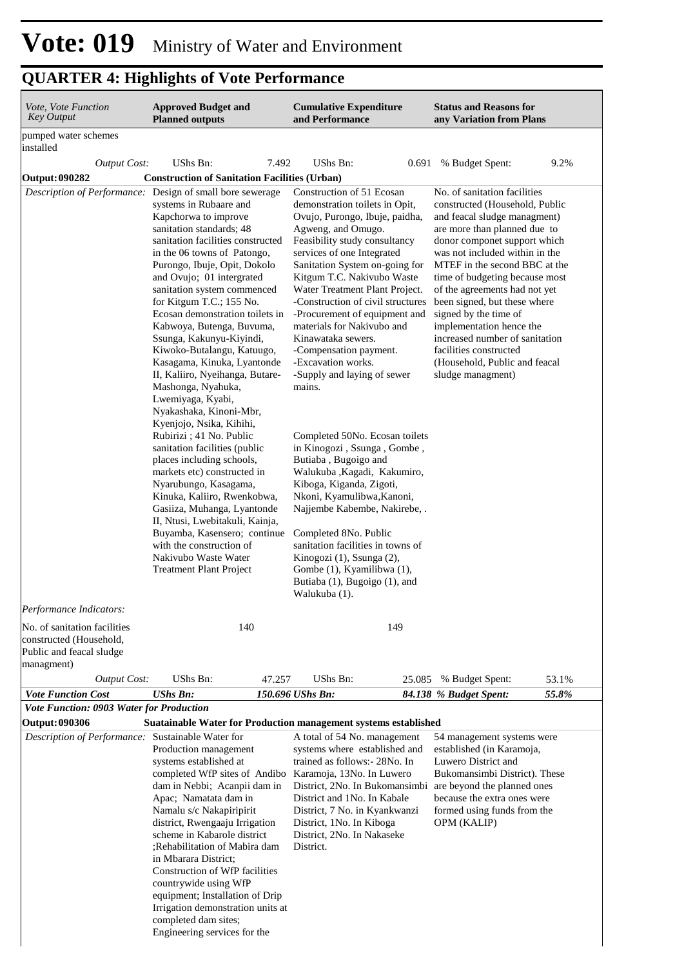| <i>Vote, Vote Function</i><br><b>Key Output</b>                                                   | <b>Approved Budget and</b><br><b>Planned outputs</b>                                                                                                                                                                                                                                                                                                                                                                                                                                                                                                                                                                                                                                                                                                                                                                                                                                                                                          |        | <b>Cumulative Expenditure</b><br>and Performance                                                                                                                                                                                                                                                                                                                                                                                                                                                                                                                                                                                                                                                                                                                                                                                                                                                       |        | <b>Status and Reasons for</b><br>any Variation from Plans                                                                                                                                                                                                                                                                                                                                                                                                                                                   |       |  |
|---------------------------------------------------------------------------------------------------|-----------------------------------------------------------------------------------------------------------------------------------------------------------------------------------------------------------------------------------------------------------------------------------------------------------------------------------------------------------------------------------------------------------------------------------------------------------------------------------------------------------------------------------------------------------------------------------------------------------------------------------------------------------------------------------------------------------------------------------------------------------------------------------------------------------------------------------------------------------------------------------------------------------------------------------------------|--------|--------------------------------------------------------------------------------------------------------------------------------------------------------------------------------------------------------------------------------------------------------------------------------------------------------------------------------------------------------------------------------------------------------------------------------------------------------------------------------------------------------------------------------------------------------------------------------------------------------------------------------------------------------------------------------------------------------------------------------------------------------------------------------------------------------------------------------------------------------------------------------------------------------|--------|-------------------------------------------------------------------------------------------------------------------------------------------------------------------------------------------------------------------------------------------------------------------------------------------------------------------------------------------------------------------------------------------------------------------------------------------------------------------------------------------------------------|-------|--|
| pumped water schemes<br>installed                                                                 |                                                                                                                                                                                                                                                                                                                                                                                                                                                                                                                                                                                                                                                                                                                                                                                                                                                                                                                                               |        |                                                                                                                                                                                                                                                                                                                                                                                                                                                                                                                                                                                                                                                                                                                                                                                                                                                                                                        |        |                                                                                                                                                                                                                                                                                                                                                                                                                                                                                                             |       |  |
| <b>Output Cost:</b>                                                                               | UShs Bn:                                                                                                                                                                                                                                                                                                                                                                                                                                                                                                                                                                                                                                                                                                                                                                                                                                                                                                                                      | 7.492  | UShs Bn:                                                                                                                                                                                                                                                                                                                                                                                                                                                                                                                                                                                                                                                                                                                                                                                                                                                                                               | 0.691  | % Budget Spent:                                                                                                                                                                                                                                                                                                                                                                                                                                                                                             | 9.2%  |  |
| <b>Output: 090282</b>                                                                             | <b>Construction of Sanitation Facilities (Urban)</b>                                                                                                                                                                                                                                                                                                                                                                                                                                                                                                                                                                                                                                                                                                                                                                                                                                                                                          |        |                                                                                                                                                                                                                                                                                                                                                                                                                                                                                                                                                                                                                                                                                                                                                                                                                                                                                                        |        |                                                                                                                                                                                                                                                                                                                                                                                                                                                                                                             |       |  |
| Description of Performance: Design of small bore sewerage                                         | systems in Rubaare and<br>Kapchorwa to improve<br>sanitation standards; 48<br>sanitation facilities constructed<br>in the 06 towns of Patongo,<br>Purongo, Ibuje, Opit, Dokolo<br>and Ovujo; 01 intergrated<br>sanitation system commenced<br>for Kitgum T.C.; 155 No.<br>Ecosan demonstration toilets in<br>Kabwoya, Butenga, Buvuma,<br>Ssunga, Kakunyu-Kiyindi,<br>Kiwoko-Butalangu, Katuugo,<br>Kasagama, Kinuka, Lyantonde<br>II, Kaliiro, Nyeihanga, Butare-<br>Mashonga, Nyahuka,<br>Lwemiyaga, Kyabi,<br>Nyakashaka, Kinoni-Mbr,<br>Kyenjojo, Nsika, Kihihi,<br>Rubirizi ; 41 No. Public<br>sanitation facilities (public<br>places including schools,<br>markets etc) constructed in<br>Nyarubungo, Kasagama,<br>Kinuka, Kaliiro, Rwenkobwa,<br>Gasiiza, Muhanga, Lyantonde<br>II, Ntusi, Lwebitakuli, Kainja,<br>Buyamba, Kasensero; continue<br>with the construction of<br>Nakivubo Waste Water<br><b>Treatment Plant Project</b> |        | Construction of 51 Ecosan<br>demonstration toilets in Opit,<br>Ovujo, Purongo, Ibuje, paidha,<br>Agweng, and Omugo.<br>Feasibility study consultancy<br>services of one Integrated<br>Sanitation System on-going for<br>Kitgum T.C. Nakivubo Waste<br>Water Treatment Plant Project.<br>-Construction of civil structures<br>-Procurement of equipment and<br>materials for Nakivubo and<br>Kinawataka sewers.<br>-Compensation payment.<br>-Excavation works.<br>-Supply and laying of sewer<br>mains.<br>Completed 50No. Ecosan toilets<br>in Kinogozi, Ssunga, Gombe,<br>Butiaba, Bugoigo and<br>Walukuba , Kagadi, Kakumiro,<br>Kiboga, Kiganda, Zigoti,<br>Nkoni, Kyamulibwa, Kanoni,<br>Najjembe Kabembe, Nakirebe, .<br>Completed 8No. Public<br>sanitation facilities in towns of<br>Kinogozi (1), Ssunga (2),<br>Gombe (1), Kyamilibwa (1),<br>Butiaba (1), Bugoigo (1), and<br>Walukuba (1). |        | No. of sanitation facilities<br>constructed (Household, Public<br>and feacal sludge managment)<br>are more than planned due to<br>donor componet support which<br>was not included within in the<br>MTEF in the second BBC at the<br>time of budgeting because most<br>of the agreements had not yet<br>been signed, but these where<br>signed by the time of<br>implementation hence the<br>increased number of sanitation<br>facilities constructed<br>(Household, Public and feacal<br>sludge managment) |       |  |
| Performance Indicators:                                                                           |                                                                                                                                                                                                                                                                                                                                                                                                                                                                                                                                                                                                                                                                                                                                                                                                                                                                                                                                               |        |                                                                                                                                                                                                                                                                                                                                                                                                                                                                                                                                                                                                                                                                                                                                                                                                                                                                                                        |        |                                                                                                                                                                                                                                                                                                                                                                                                                                                                                                             |       |  |
| No. of sanitation facilities<br>constructed (Household,<br>Public and feacal sludge<br>managment) | 140                                                                                                                                                                                                                                                                                                                                                                                                                                                                                                                                                                                                                                                                                                                                                                                                                                                                                                                                           |        | 149                                                                                                                                                                                                                                                                                                                                                                                                                                                                                                                                                                                                                                                                                                                                                                                                                                                                                                    |        |                                                                                                                                                                                                                                                                                                                                                                                                                                                                                                             |       |  |
| <b>Output Cost:</b>                                                                               | UShs Bn:                                                                                                                                                                                                                                                                                                                                                                                                                                                                                                                                                                                                                                                                                                                                                                                                                                                                                                                                      | 47.257 | UShs Bn:                                                                                                                                                                                                                                                                                                                                                                                                                                                                                                                                                                                                                                                                                                                                                                                                                                                                                               | 25.085 | % Budget Spent:                                                                                                                                                                                                                                                                                                                                                                                                                                                                                             | 53.1% |  |
| <b>Vote Function Cost</b>                                                                         | <b>UShs Bn:</b>                                                                                                                                                                                                                                                                                                                                                                                                                                                                                                                                                                                                                                                                                                                                                                                                                                                                                                                               |        | 150.696 UShs Bn:                                                                                                                                                                                                                                                                                                                                                                                                                                                                                                                                                                                                                                                                                                                                                                                                                                                                                       |        | 84.138 % Budget Spent:                                                                                                                                                                                                                                                                                                                                                                                                                                                                                      | 55.8% |  |
| <b>Vote Function: 0903 Water for Production</b>                                                   |                                                                                                                                                                                                                                                                                                                                                                                                                                                                                                                                                                                                                                                                                                                                                                                                                                                                                                                                               |        |                                                                                                                                                                                                                                                                                                                                                                                                                                                                                                                                                                                                                                                                                                                                                                                                                                                                                                        |        |                                                                                                                                                                                                                                                                                                                                                                                                                                                                                                             |       |  |
| <b>Output: 090306</b>                                                                             | Suatainable Water for Production management systems established                                                                                                                                                                                                                                                                                                                                                                                                                                                                                                                                                                                                                                                                                                                                                                                                                                                                               |        |                                                                                                                                                                                                                                                                                                                                                                                                                                                                                                                                                                                                                                                                                                                                                                                                                                                                                                        |        |                                                                                                                                                                                                                                                                                                                                                                                                                                                                                                             |       |  |
| Description of Performance: Sustainable Water for                                                 | Production management<br>systems established at<br>completed WfP sites of Andibo Karamoja, 13No. In Luwero<br>dam in Nebbi; Acanpii dam in<br>Apac; Namatata dam in<br>Namalu s/c Nakapiripirit<br>district, Rwengaaju Irrigation<br>scheme in Kabarole district<br>:Rehabilitation of Mabira dam<br>in Mbarara District;<br>Construction of WfP facilities<br>countrywide using WfP<br>equipment; Installation of Drip<br>Irrigation demonstration units at<br>completed dam sites;<br>Engineering services for the                                                                                                                                                                                                                                                                                                                                                                                                                          |        | A total of 54 No. management<br>systems where established and<br>trained as follows: - 28No. In<br>District, 2No. In Bukomansimbi are beyond the planned ones<br>District and 1No. In Kabale<br>District, 7 No. in Kyankwanzi<br>District, 1No. In Kiboga<br>District, 2No. In Nakaseke<br>District.                                                                                                                                                                                                                                                                                                                                                                                                                                                                                                                                                                                                   |        | 54 management systems were<br>established (in Karamoja,<br>Luwero District and<br>Bukomansimbi District). These<br>because the extra ones were<br>formed using funds from the<br><b>OPM</b> (KALIP)                                                                                                                                                                                                                                                                                                         |       |  |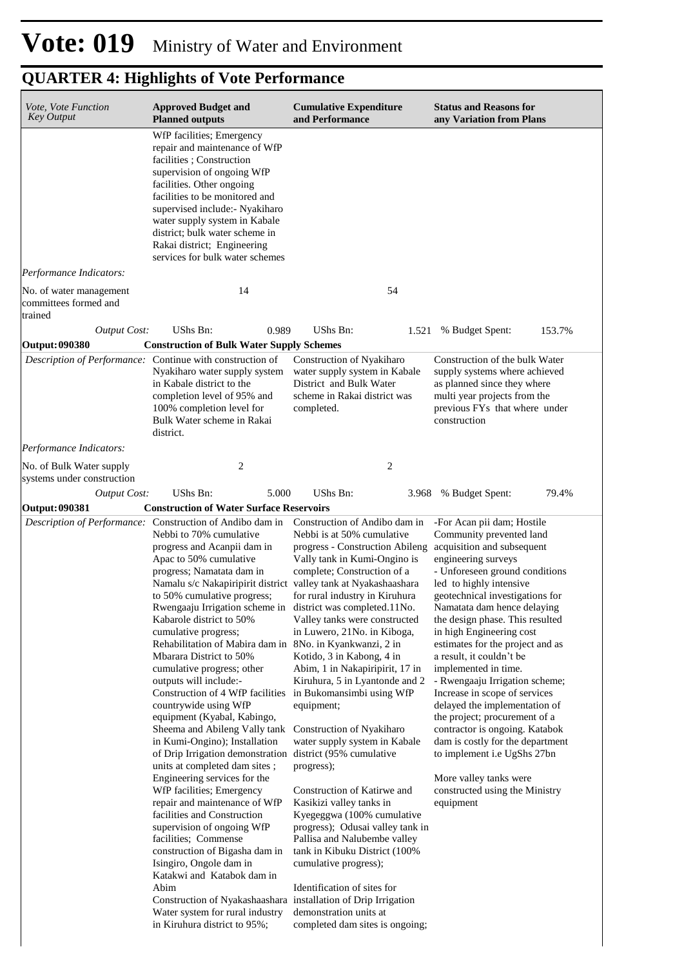| Vote, Vote Function<br><b>Key Output</b>               | <b>Approved Budget and</b><br><b>Planned outputs</b>                                                                                                                                                                                                                                                                                                                                                                                                                                                                                                                                                                                                                                                                                                                                                                                                                                                                                                                                                                                                                                                                                                                                                                                                                | <b>Cumulative Expenditure</b><br>and Performance                                                                                                                                                                                                                                                                                                                                                                                                                                                                                                                                                                                                                                                                                                                           | <b>Status and Reasons for</b><br>any Variation from Plans                                                                                                                                                                                                                                                                                                                                                                                                                                                                                                                                                                                                                                                            |  |  |
|--------------------------------------------------------|---------------------------------------------------------------------------------------------------------------------------------------------------------------------------------------------------------------------------------------------------------------------------------------------------------------------------------------------------------------------------------------------------------------------------------------------------------------------------------------------------------------------------------------------------------------------------------------------------------------------------------------------------------------------------------------------------------------------------------------------------------------------------------------------------------------------------------------------------------------------------------------------------------------------------------------------------------------------------------------------------------------------------------------------------------------------------------------------------------------------------------------------------------------------------------------------------------------------------------------------------------------------|----------------------------------------------------------------------------------------------------------------------------------------------------------------------------------------------------------------------------------------------------------------------------------------------------------------------------------------------------------------------------------------------------------------------------------------------------------------------------------------------------------------------------------------------------------------------------------------------------------------------------------------------------------------------------------------------------------------------------------------------------------------------------|----------------------------------------------------------------------------------------------------------------------------------------------------------------------------------------------------------------------------------------------------------------------------------------------------------------------------------------------------------------------------------------------------------------------------------------------------------------------------------------------------------------------------------------------------------------------------------------------------------------------------------------------------------------------------------------------------------------------|--|--|
|                                                        | WfP facilities; Emergency<br>repair and maintenance of WfP<br>facilities; Construction<br>supervision of ongoing WfP<br>facilities. Other ongoing<br>facilities to be monitored and<br>supervised include:- Nyakiharo<br>water supply system in Kabale<br>district; bulk water scheme in<br>Rakai district; Engineering<br>services for bulk water schemes                                                                                                                                                                                                                                                                                                                                                                                                                                                                                                                                                                                                                                                                                                                                                                                                                                                                                                          |                                                                                                                                                                                                                                                                                                                                                                                                                                                                                                                                                                                                                                                                                                                                                                            |                                                                                                                                                                                                                                                                                                                                                                                                                                                                                                                                                                                                                                                                                                                      |  |  |
| Performance Indicators:<br>No. of water management     | 14                                                                                                                                                                                                                                                                                                                                                                                                                                                                                                                                                                                                                                                                                                                                                                                                                                                                                                                                                                                                                                                                                                                                                                                                                                                                  | 54                                                                                                                                                                                                                                                                                                                                                                                                                                                                                                                                                                                                                                                                                                                                                                         |                                                                                                                                                                                                                                                                                                                                                                                                                                                                                                                                                                                                                                                                                                                      |  |  |
| committees formed and<br>trained                       |                                                                                                                                                                                                                                                                                                                                                                                                                                                                                                                                                                                                                                                                                                                                                                                                                                                                                                                                                                                                                                                                                                                                                                                                                                                                     |                                                                                                                                                                                                                                                                                                                                                                                                                                                                                                                                                                                                                                                                                                                                                                            |                                                                                                                                                                                                                                                                                                                                                                                                                                                                                                                                                                                                                                                                                                                      |  |  |
| <b>Output Cost:</b>                                    | UShs Bn:<br>0.989                                                                                                                                                                                                                                                                                                                                                                                                                                                                                                                                                                                                                                                                                                                                                                                                                                                                                                                                                                                                                                                                                                                                                                                                                                                   | UShs Bn:<br>1.521                                                                                                                                                                                                                                                                                                                                                                                                                                                                                                                                                                                                                                                                                                                                                          | 153.7%<br>% Budget Spent:                                                                                                                                                                                                                                                                                                                                                                                                                                                                                                                                                                                                                                                                                            |  |  |
| <b>Output: 090380</b>                                  | <b>Construction of Bulk Water Supply Schemes</b>                                                                                                                                                                                                                                                                                                                                                                                                                                                                                                                                                                                                                                                                                                                                                                                                                                                                                                                                                                                                                                                                                                                                                                                                                    |                                                                                                                                                                                                                                                                                                                                                                                                                                                                                                                                                                                                                                                                                                                                                                            |                                                                                                                                                                                                                                                                                                                                                                                                                                                                                                                                                                                                                                                                                                                      |  |  |
|                                                        | Description of Performance: Continue with construction of<br>Nyakiharo water supply system<br>in Kabale district to the<br>completion level of 95% and<br>100% completion level for<br>Bulk Water scheme in Rakai<br>district.                                                                                                                                                                                                                                                                                                                                                                                                                                                                                                                                                                                                                                                                                                                                                                                                                                                                                                                                                                                                                                      | Construction of Nyakiharo<br>water supply system in Kabale<br>District and Bulk Water<br>scheme in Rakai district was<br>completed.                                                                                                                                                                                                                                                                                                                                                                                                                                                                                                                                                                                                                                        | Construction of the bulk Water<br>supply systems where achieved<br>as planned since they where<br>multi year projects from the<br>previous FYs that where under<br>construction                                                                                                                                                                                                                                                                                                                                                                                                                                                                                                                                      |  |  |
| Performance Indicators:                                |                                                                                                                                                                                                                                                                                                                                                                                                                                                                                                                                                                                                                                                                                                                                                                                                                                                                                                                                                                                                                                                                                                                                                                                                                                                                     |                                                                                                                                                                                                                                                                                                                                                                                                                                                                                                                                                                                                                                                                                                                                                                            |                                                                                                                                                                                                                                                                                                                                                                                                                                                                                                                                                                                                                                                                                                                      |  |  |
| No. of Bulk Water supply<br>systems under construction | 2                                                                                                                                                                                                                                                                                                                                                                                                                                                                                                                                                                                                                                                                                                                                                                                                                                                                                                                                                                                                                                                                                                                                                                                                                                                                   | 2                                                                                                                                                                                                                                                                                                                                                                                                                                                                                                                                                                                                                                                                                                                                                                          |                                                                                                                                                                                                                                                                                                                                                                                                                                                                                                                                                                                                                                                                                                                      |  |  |
| <b>Output Cost:</b>                                    | UShs Bn:<br>5.000                                                                                                                                                                                                                                                                                                                                                                                                                                                                                                                                                                                                                                                                                                                                                                                                                                                                                                                                                                                                                                                                                                                                                                                                                                                   | UShs Bn:<br>3.968                                                                                                                                                                                                                                                                                                                                                                                                                                                                                                                                                                                                                                                                                                                                                          | % Budget Spent:<br>79.4%                                                                                                                                                                                                                                                                                                                                                                                                                                                                                                                                                                                                                                                                                             |  |  |
| Output: 090381                                         | <b>Construction of Water Surface Reservoirs</b>                                                                                                                                                                                                                                                                                                                                                                                                                                                                                                                                                                                                                                                                                                                                                                                                                                                                                                                                                                                                                                                                                                                                                                                                                     |                                                                                                                                                                                                                                                                                                                                                                                                                                                                                                                                                                                                                                                                                                                                                                            |                                                                                                                                                                                                                                                                                                                                                                                                                                                                                                                                                                                                                                                                                                                      |  |  |
|                                                        | Description of Performance: Construction of Andibo dam in Construction of Andibo dam in<br>Nebbi to 70% cumulative<br>progress and Acanpii dam in<br>Apac to 50% cumulative<br>progress; Namatata dam in<br>Namalu s/c Nakapiripirit district valley tank at Nyakashaashara<br>to 50% cumulative progress;<br>Rwengaaju Irrigation scheme in district was completed.11No.<br>Kabarole district to 50%<br>cumulative progress;<br>Rehabilitation of Mabira dam in 8No. in Kyankwanzi, 2 in<br>Mbarara District to 50%<br>cumulative progress; other<br>outputs will include:-<br>Construction of 4 WfP facilities<br>countrywide using WfP<br>equipment (Kyabal, Kabingo,<br>Sheema and Abileng Vally tank<br>in Kumi-Ongino); Installation<br>of Drip Irrigation demonstration district (95% cumulative<br>units at completed dam sites;<br>Engineering services for the<br>WfP facilities; Emergency<br>repair and maintenance of WfP<br>facilities and Construction<br>supervision of ongoing WfP<br>facilities; Commense<br>construction of Bigasha dam in<br>Isingiro, Ongole dam in<br>Katakwi and Katabok dam in<br>Abim<br>Construction of Nyakashaashara installation of Drip Irrigation<br>Water system for rural industry<br>in Kiruhura district to 95%; | Nebbi is at 50% cumulative<br>progress - Construction Abileng<br>Vally tank in Kumi-Ongino is<br>complete; Construction of a<br>for rural industry in Kiruhura<br>Valley tanks were constructed<br>in Luwero, 21No. in Kiboga,<br>Kotido, 3 in Kabong, 4 in<br>Abim, 1 in Nakapiripirit, 17 in<br>Kiruhura, 5 in Lyantonde and 2<br>in Bukomansimbi using WfP<br>equipment;<br>Construction of Nyakiharo<br>water supply system in Kabale<br>progress);<br>Construction of Katirwe and<br>Kasikizi valley tanks in<br>Kyegeggwa (100% cumulative<br>progress); Odusai valley tank in<br>Pallisa and Nalubembe valley<br>tank in Kibuku District (100%<br>cumulative progress);<br>Identification of sites for<br>demonstration units at<br>completed dam sites is ongoing; | -For Acan pii dam; Hostile<br>Community prevented land<br>acquisition and subsequent<br>engineering surveys<br>- Unforeseen ground conditions<br>led to highly intensive<br>geotechnical investigations for<br>Namatata dam hence delaying<br>the design phase. This resulted<br>in high Engineering cost<br>estimates for the project and as<br>a result, it couldn't be<br>implemented in time.<br>- Rwengaaju Irrigation scheme;<br>Increase in scope of services<br>delayed the implementation of<br>the project; procurement of a<br>contractor is ongoing. Katabok<br>dam is costly for the department<br>to implement i.e UgShs 27bn<br>More valley tanks were<br>constructed using the Ministry<br>equipment |  |  |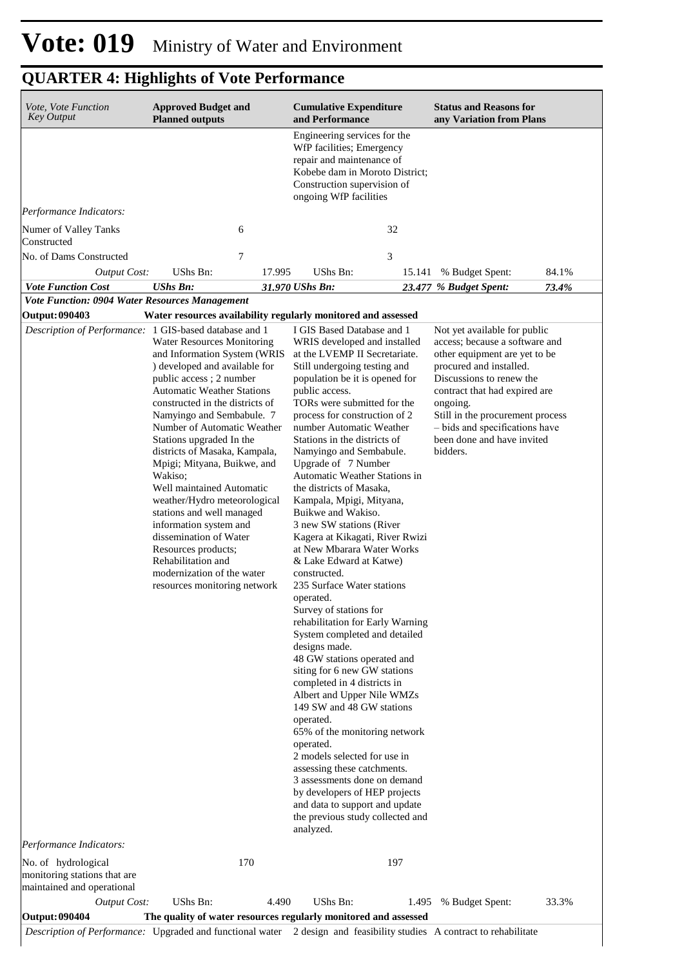| <b>Key Output</b>                                                                                                                                                      | <b>Approved Budget and</b><br><b>Planned outputs</b>                                                                                                                                                                                                                                                                                                                                                                                                                                                                                                                                                                              |        | <b>Cumulative Expenditure</b><br>and Performance                                                                                                                                                                                                                                                                                                                                                                                                                                                                                                                                                                                                                                                                                                                                                                                                                                                                                                                                                                                                                                                                                                                                                                       |        | <b>Status and Reasons for</b><br>any Variation from Plans                                                                                                                                                                                                                                                           |       |
|------------------------------------------------------------------------------------------------------------------------------------------------------------------------|-----------------------------------------------------------------------------------------------------------------------------------------------------------------------------------------------------------------------------------------------------------------------------------------------------------------------------------------------------------------------------------------------------------------------------------------------------------------------------------------------------------------------------------------------------------------------------------------------------------------------------------|--------|------------------------------------------------------------------------------------------------------------------------------------------------------------------------------------------------------------------------------------------------------------------------------------------------------------------------------------------------------------------------------------------------------------------------------------------------------------------------------------------------------------------------------------------------------------------------------------------------------------------------------------------------------------------------------------------------------------------------------------------------------------------------------------------------------------------------------------------------------------------------------------------------------------------------------------------------------------------------------------------------------------------------------------------------------------------------------------------------------------------------------------------------------------------------------------------------------------------------|--------|---------------------------------------------------------------------------------------------------------------------------------------------------------------------------------------------------------------------------------------------------------------------------------------------------------------------|-------|
|                                                                                                                                                                        |                                                                                                                                                                                                                                                                                                                                                                                                                                                                                                                                                                                                                                   |        | Engineering services for the<br>WfP facilities; Emergency<br>repair and maintenance of<br>Kobebe dam in Moroto District;<br>Construction supervision of<br>ongoing WfP facilities                                                                                                                                                                                                                                                                                                                                                                                                                                                                                                                                                                                                                                                                                                                                                                                                                                                                                                                                                                                                                                      |        |                                                                                                                                                                                                                                                                                                                     |       |
| Performance Indicators:                                                                                                                                                |                                                                                                                                                                                                                                                                                                                                                                                                                                                                                                                                                                                                                                   |        |                                                                                                                                                                                                                                                                                                                                                                                                                                                                                                                                                                                                                                                                                                                                                                                                                                                                                                                                                                                                                                                                                                                                                                                                                        |        |                                                                                                                                                                                                                                                                                                                     |       |
| Numer of Valley Tanks<br>Constructed                                                                                                                                   |                                                                                                                                                                                                                                                                                                                                                                                                                                                                                                                                                                                                                                   | 6      |                                                                                                                                                                                                                                                                                                                                                                                                                                                                                                                                                                                                                                                                                                                                                                                                                                                                                                                                                                                                                                                                                                                                                                                                                        | 32     |                                                                                                                                                                                                                                                                                                                     |       |
| No. of Dams Constructed                                                                                                                                                |                                                                                                                                                                                                                                                                                                                                                                                                                                                                                                                                                                                                                                   | 7      |                                                                                                                                                                                                                                                                                                                                                                                                                                                                                                                                                                                                                                                                                                                                                                                                                                                                                                                                                                                                                                                                                                                                                                                                                        | 3      |                                                                                                                                                                                                                                                                                                                     |       |
| <b>Output Cost:</b>                                                                                                                                                    | UShs Bn:                                                                                                                                                                                                                                                                                                                                                                                                                                                                                                                                                                                                                          | 17.995 | UShs Bn:                                                                                                                                                                                                                                                                                                                                                                                                                                                                                                                                                                                                                                                                                                                                                                                                                                                                                                                                                                                                                                                                                                                                                                                                               | 15.141 | % Budget Spent:                                                                                                                                                                                                                                                                                                     | 84.1% |
| <b>Vote Function Cost</b><br>Vote Function: 0904 Water Resources Management                                                                                            | <b>UShs Bn:</b>                                                                                                                                                                                                                                                                                                                                                                                                                                                                                                                                                                                                                   |        | 31.970 UShs Bn:                                                                                                                                                                                                                                                                                                                                                                                                                                                                                                                                                                                                                                                                                                                                                                                                                                                                                                                                                                                                                                                                                                                                                                                                        |        | 23.477 % Budget Spent:                                                                                                                                                                                                                                                                                              | 73.4% |
| <b>Output: 090403</b>                                                                                                                                                  |                                                                                                                                                                                                                                                                                                                                                                                                                                                                                                                                                                                                                                   |        | Water resources availability regularly monitored and assessed                                                                                                                                                                                                                                                                                                                                                                                                                                                                                                                                                                                                                                                                                                                                                                                                                                                                                                                                                                                                                                                                                                                                                          |        |                                                                                                                                                                                                                                                                                                                     |       |
| Description of Performance: 1 GIS-based database and 1<br>Performance Indicators:<br>No. of hydrological<br>monitoring stations that are<br>maintained and operational | <b>Water Resources Monitoring</b><br>and Information System (WRIS<br>) developed and available for<br>public access; 2 number<br><b>Automatic Weather Stations</b><br>constructed in the districts of<br>Namyingo and Sembabule. 7<br>Number of Automatic Weather<br>Stations upgraded In the<br>districts of Masaka, Kampala,<br>Mpigi; Mityana, Buikwe, and<br>Wakiso;<br>Well maintained Automatic<br>weather/Hydro meteorological<br>stations and well managed<br>information system and<br>dissemination of Water<br>Resources products;<br>Rehabilitation and<br>modernization of the water<br>resources monitoring network | 170    | I GIS Based Database and 1<br>WRIS developed and installed<br>at the LVEMP II Secretariate.<br>Still undergoing testing and<br>population be it is opened for<br>public access.<br>TORs were submitted for the<br>process for construction of 2<br>number Automatic Weather<br>Stations in the districts of<br>Namyingo and Sembabule.<br>Upgrade of 7 Number<br>Automatic Weather Stations in<br>the districts of Masaka,<br>Kampala, Mpigi, Mityana,<br>Buikwe and Wakiso.<br>3 new SW stations (River<br>Kagera at Kikagati, River Rwizi<br>at New Mbarara Water Works<br>& Lake Edward at Katwe)<br>constructed.<br>235 Surface Water stations<br>operated.<br>Survey of stations for<br>rehabilitation for Early Warning<br>System completed and detailed<br>designs made.<br>48 GW stations operated and<br>siting for 6 new GW stations<br>completed in 4 districts in<br>Albert and Upper Nile WMZs<br>149 SW and 48 GW stations<br>operated.<br>65% of the monitoring network<br>operated.<br>2 models selected for use in<br>assessing these catchments.<br>3 assessments done on demand<br>by developers of HEP projects<br>and data to support and update<br>the previous study collected and<br>analyzed. | 197    | Not yet available for public<br>access; because a software and<br>other equipment are yet to be<br>procured and installed.<br>Discussions to renew the<br>contract that had expired are<br>ongoing.<br>Still in the procurement process<br>- bids and specifications have<br>been done and have invited<br>bidders. |       |
| Output Cost:                                                                                                                                                           | UShs Bn:                                                                                                                                                                                                                                                                                                                                                                                                                                                                                                                                                                                                                          | 4.490  | UShs Bn:                                                                                                                                                                                                                                                                                                                                                                                                                                                                                                                                                                                                                                                                                                                                                                                                                                                                                                                                                                                                                                                                                                                                                                                                               | 1.495  | % Budget Spent:                                                                                                                                                                                                                                                                                                     | 33.3% |
| Output: 090404                                                                                                                                                         |                                                                                                                                                                                                                                                                                                                                                                                                                                                                                                                                                                                                                                   |        | The quality of water resources regularly monitored and assessed                                                                                                                                                                                                                                                                                                                                                                                                                                                                                                                                                                                                                                                                                                                                                                                                                                                                                                                                                                                                                                                                                                                                                        |        | Description of Performance: Upgraded and functional water 2 design and feasibility studies A contract to rehabilitate                                                                                                                                                                                               |       |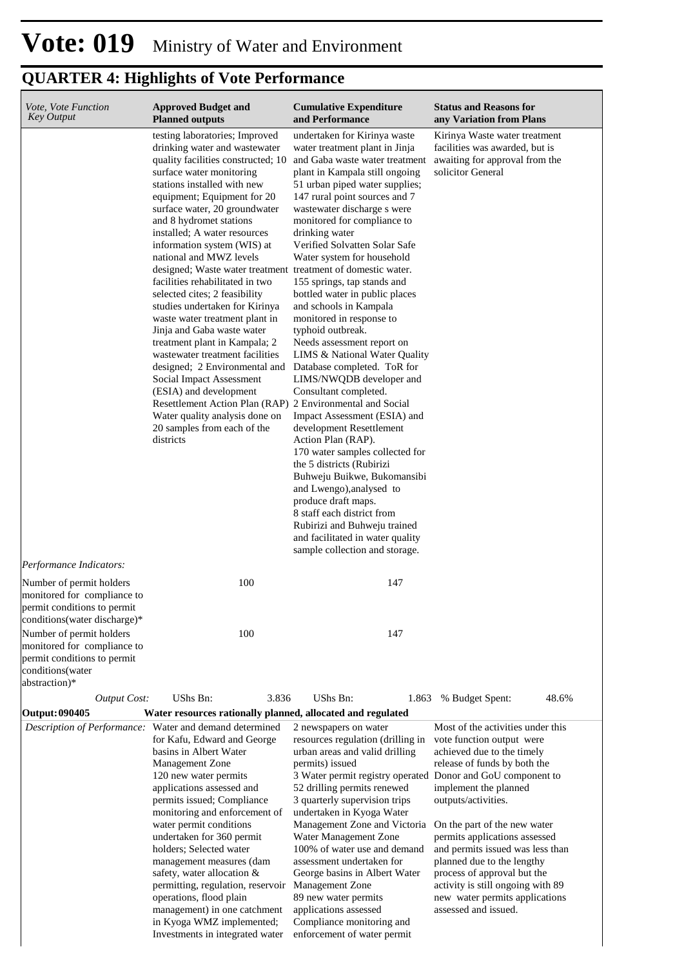| Vote, Vote Function<br><b>Key Output</b>                                                                                | <b>Approved Budget and</b><br><b>Planned outputs</b>                                                                                                                                                                                                                                                                                                                                                                                                                                                                                                                                                                                                                                                                                                                                                                                                                   | <b>Cumulative Expenditure</b><br>and Performance                                                                                                                                                                                                                                                                                                                                                                                                                                                                                                                                                                                                                                                                                                                                                                                                                                                                                                                                                                                                           | <b>Status and Reasons for</b><br>any Variation from Plans                                                                                                                                                                                                                                                                                                                                                                                                                   |
|-------------------------------------------------------------------------------------------------------------------------|------------------------------------------------------------------------------------------------------------------------------------------------------------------------------------------------------------------------------------------------------------------------------------------------------------------------------------------------------------------------------------------------------------------------------------------------------------------------------------------------------------------------------------------------------------------------------------------------------------------------------------------------------------------------------------------------------------------------------------------------------------------------------------------------------------------------------------------------------------------------|------------------------------------------------------------------------------------------------------------------------------------------------------------------------------------------------------------------------------------------------------------------------------------------------------------------------------------------------------------------------------------------------------------------------------------------------------------------------------------------------------------------------------------------------------------------------------------------------------------------------------------------------------------------------------------------------------------------------------------------------------------------------------------------------------------------------------------------------------------------------------------------------------------------------------------------------------------------------------------------------------------------------------------------------------------|-----------------------------------------------------------------------------------------------------------------------------------------------------------------------------------------------------------------------------------------------------------------------------------------------------------------------------------------------------------------------------------------------------------------------------------------------------------------------------|
|                                                                                                                         | testing laboratories; Improved<br>drinking water and wastewater<br>quality facilities constructed; 10<br>surface water monitoring<br>stations installed with new<br>equipment; Equipment for 20<br>surface water, 20 groundwater<br>and 8 hydromet stations<br>installed; A water resources<br>information system (WIS) at<br>national and MWZ levels<br>designed; Waste water treatment treatment of domestic water.<br>facilities rehabilitated in two<br>selected cites; 2 feasibility<br>studies undertaken for Kirinya<br>waste water treatment plant in<br>Jinja and Gaba waste water<br>treatment plant in Kampala; 2<br>wastewater treatment facilities<br>designed; 2 Environmental and<br>Social Impact Assessment<br>(ESIA) and development<br>Resettlement Action Plan (RAP)<br>Water quality analysis done on<br>20 samples from each of the<br>districts | undertaken for Kirinya waste<br>water treatment plant in Jinja<br>and Gaba waste water treatment<br>plant in Kampala still ongoing<br>51 urban piped water supplies;<br>147 rural point sources and 7<br>wastewater discharge s were<br>monitored for compliance to<br>drinking water<br>Verified Solvatten Solar Safe<br>Water system for household<br>155 springs, tap stands and<br>bottled water in public places<br>and schools in Kampala<br>monitored in response to<br>typhoid outbreak.<br>Needs assessment report on<br>LIMS & National Water Quality<br>Database completed. ToR for<br>LIMS/NWQDB developer and<br>Consultant completed.<br>2 Environmental and Social<br>Impact Assessment (ESIA) and<br>development Resettlement<br>Action Plan (RAP).<br>170 water samples collected for<br>the 5 districts (Rubirizi)<br>Buhweju Buikwe, Bukomansibi<br>and Lwengo), analysed to<br>produce draft maps.<br>8 staff each district from<br>Rubirizi and Buhweju trained<br>and facilitated in water quality<br>sample collection and storage. | Kirinya Waste water treatment<br>facilities was awarded, but is<br>awaiting for approval from the<br>solicitor General                                                                                                                                                                                                                                                                                                                                                      |
| Performance Indicators:<br>Number of permit holders<br>monitored for compliance to                                      | 100                                                                                                                                                                                                                                                                                                                                                                                                                                                                                                                                                                                                                                                                                                                                                                                                                                                                    | 147                                                                                                                                                                                                                                                                                                                                                                                                                                                                                                                                                                                                                                                                                                                                                                                                                                                                                                                                                                                                                                                        |                                                                                                                                                                                                                                                                                                                                                                                                                                                                             |
| permit conditions to permit<br>conditions (water discharge)*<br>Number of permit holders<br>monitored for compliance to | 100                                                                                                                                                                                                                                                                                                                                                                                                                                                                                                                                                                                                                                                                                                                                                                                                                                                                    | 147                                                                                                                                                                                                                                                                                                                                                                                                                                                                                                                                                                                                                                                                                                                                                                                                                                                                                                                                                                                                                                                        |                                                                                                                                                                                                                                                                                                                                                                                                                                                                             |
| permit conditions to permit<br>conditions(water<br>abstraction)*                                                        |                                                                                                                                                                                                                                                                                                                                                                                                                                                                                                                                                                                                                                                                                                                                                                                                                                                                        |                                                                                                                                                                                                                                                                                                                                                                                                                                                                                                                                                                                                                                                                                                                                                                                                                                                                                                                                                                                                                                                            |                                                                                                                                                                                                                                                                                                                                                                                                                                                                             |
| <b>Output Cost:</b>                                                                                                     | UShs Bn:<br>3.836                                                                                                                                                                                                                                                                                                                                                                                                                                                                                                                                                                                                                                                                                                                                                                                                                                                      | UShs Bn:<br>1.863                                                                                                                                                                                                                                                                                                                                                                                                                                                                                                                                                                                                                                                                                                                                                                                                                                                                                                                                                                                                                                          | 48.6%<br>% Budget Spent:                                                                                                                                                                                                                                                                                                                                                                                                                                                    |
| <b>Output: 090405</b>                                                                                                   | Water resources rationally planned, allocated and regulated                                                                                                                                                                                                                                                                                                                                                                                                                                                                                                                                                                                                                                                                                                                                                                                                            |                                                                                                                                                                                                                                                                                                                                                                                                                                                                                                                                                                                                                                                                                                                                                                                                                                                                                                                                                                                                                                                            |                                                                                                                                                                                                                                                                                                                                                                                                                                                                             |
|                                                                                                                         | Description of Performance: Water and demand determined<br>for Kafu, Edward and George<br>basins in Albert Water<br>Management Zone<br>120 new water permits<br>applications assessed and<br>permits issued; Compliance<br>monitoring and enforcement of<br>water permit conditions<br>undertaken for 360 permit<br>holders; Selected water<br>management measures (dam<br>safety, water allocation $&$<br>permitting, regulation, reservoir<br>operations, flood plain<br>management) in one catchment<br>in Kyoga WMZ implemented;<br>Investments in integrated water                                                                                                                                                                                                                                                                                                | 2 newspapers on water<br>resources regulation (drilling in<br>urban areas and valid drilling<br>permits) issued<br>3 Water permit registry operated<br>52 drilling permits renewed<br>3 quarterly supervision trips<br>undertaken in Kyoga Water<br>Management Zone and Victoria<br>Water Management Zone<br>100% of water use and demand<br>assessment undertaken for<br>George basins in Albert Water<br>Management Zone<br>89 new water permits<br>applications assessed<br>Compliance monitoring and<br>enforcement of water permit                                                                                                                                                                                                                                                                                                                                                                                                                                                                                                                    | Most of the activities under this<br>vote function output were<br>achieved due to the timely<br>release of funds by both the<br>Donor and GoU component to<br>implement the planned<br>outputs/activities.<br>On the part of the new water<br>permits applications assessed<br>and permits issued was less than<br>planned due to the lengthy<br>process of approval but the<br>activity is still ongoing with 89<br>new water permits applications<br>assessed and issued. |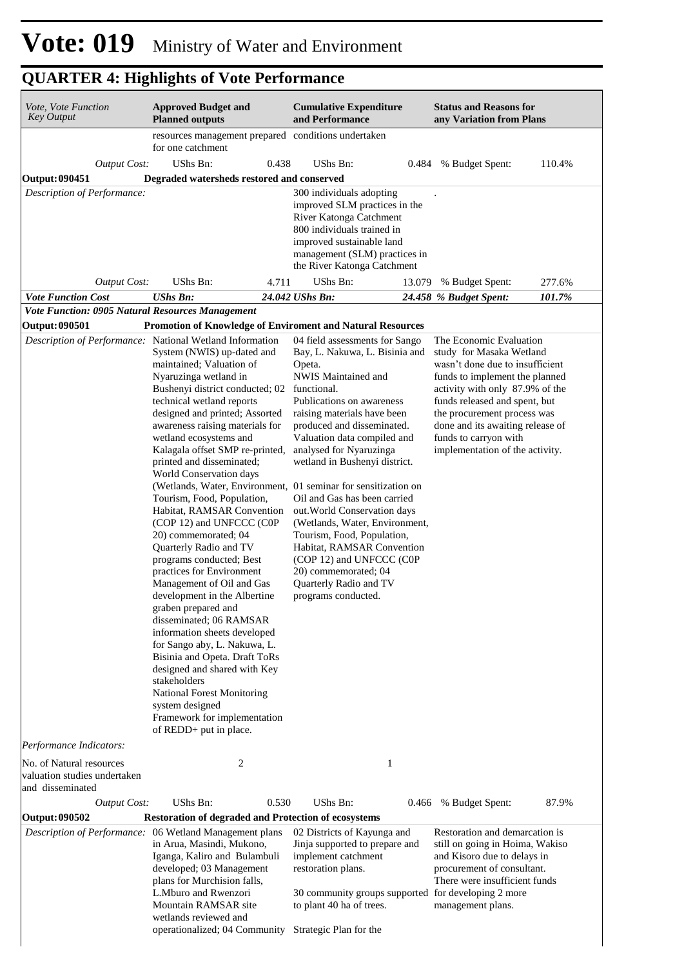| Vote, Vote Function<br><b>Key Output</b>                                     | <b>Approved Budget and</b><br><b>Planned outputs</b>                                                                                                                                                                                                                                                                                                                                                                                                                                                                                                                                                                                                                                                                                                                                                                                                                                                                                                                                                                                                  | <b>Cumulative Expenditure</b><br>and Performance                                                                                                                                                                                                                                                                                                                                                                                                                                                                                                                         | <b>Status and Reasons for</b><br>any Variation from Plans                                                                                                                                                                                                                                                                   |
|------------------------------------------------------------------------------|-------------------------------------------------------------------------------------------------------------------------------------------------------------------------------------------------------------------------------------------------------------------------------------------------------------------------------------------------------------------------------------------------------------------------------------------------------------------------------------------------------------------------------------------------------------------------------------------------------------------------------------------------------------------------------------------------------------------------------------------------------------------------------------------------------------------------------------------------------------------------------------------------------------------------------------------------------------------------------------------------------------------------------------------------------|--------------------------------------------------------------------------------------------------------------------------------------------------------------------------------------------------------------------------------------------------------------------------------------------------------------------------------------------------------------------------------------------------------------------------------------------------------------------------------------------------------------------------------------------------------------------------|-----------------------------------------------------------------------------------------------------------------------------------------------------------------------------------------------------------------------------------------------------------------------------------------------------------------------------|
|                                                                              | resources management prepared conditions undertaken<br>for one catchment                                                                                                                                                                                                                                                                                                                                                                                                                                                                                                                                                                                                                                                                                                                                                                                                                                                                                                                                                                              |                                                                                                                                                                                                                                                                                                                                                                                                                                                                                                                                                                          |                                                                                                                                                                                                                                                                                                                             |
| <b>Output Cost:</b>                                                          | UShs Bn:<br>0.438                                                                                                                                                                                                                                                                                                                                                                                                                                                                                                                                                                                                                                                                                                                                                                                                                                                                                                                                                                                                                                     | UShs Bn:<br>0.484                                                                                                                                                                                                                                                                                                                                                                                                                                                                                                                                                        | % Budget Spent:<br>110.4%                                                                                                                                                                                                                                                                                                   |
| <b>Output: 090451</b>                                                        | Degraded watersheds restored and conserved                                                                                                                                                                                                                                                                                                                                                                                                                                                                                                                                                                                                                                                                                                                                                                                                                                                                                                                                                                                                            |                                                                                                                                                                                                                                                                                                                                                                                                                                                                                                                                                                          |                                                                                                                                                                                                                                                                                                                             |
| Description of Performance:<br><b>Output Cost:</b>                           | UShs Bn:<br>4.711                                                                                                                                                                                                                                                                                                                                                                                                                                                                                                                                                                                                                                                                                                                                                                                                                                                                                                                                                                                                                                     | 300 individuals adopting<br>improved SLM practices in the<br>River Katonga Catchment<br>800 individuals trained in<br>improved sustainable land<br>management (SLM) practices in<br>the River Katonga Catchment<br>UShs Bn:<br>13.079                                                                                                                                                                                                                                                                                                                                    | % Budget Spent:<br>277.6%                                                                                                                                                                                                                                                                                                   |
| <b>Vote Function Cost</b>                                                    | <b>UShs Bn:</b>                                                                                                                                                                                                                                                                                                                                                                                                                                                                                                                                                                                                                                                                                                                                                                                                                                                                                                                                                                                                                                       | 24.042 UShs Bn:                                                                                                                                                                                                                                                                                                                                                                                                                                                                                                                                                          | 101.7%<br>24.458 % Budget Spent:                                                                                                                                                                                                                                                                                            |
| Vote Function: 0905 Natural Resources Management                             |                                                                                                                                                                                                                                                                                                                                                                                                                                                                                                                                                                                                                                                                                                                                                                                                                                                                                                                                                                                                                                                       |                                                                                                                                                                                                                                                                                                                                                                                                                                                                                                                                                                          |                                                                                                                                                                                                                                                                                                                             |
| <b>Output: 090501</b>                                                        |                                                                                                                                                                                                                                                                                                                                                                                                                                                                                                                                                                                                                                                                                                                                                                                                                                                                                                                                                                                                                                                       | Promotion of Knowledge of Enviroment and Natural Resources                                                                                                                                                                                                                                                                                                                                                                                                                                                                                                               |                                                                                                                                                                                                                                                                                                                             |
|                                                                              | Description of Performance: National Wetland Information<br>System (NWIS) up-dated and<br>maintained; Valuation of<br>Nyaruzinga wetland in<br>Bushenyi district conducted; 02<br>technical wetland reports<br>designed and printed; Assorted<br>awareness raising materials for<br>wetland ecosystems and<br>Kalagala offset SMP re-printed,<br>printed and disseminated;<br>World Conservation days<br>(Wetlands, Water, Environment, 01 seminar for sensitization on<br>Tourism, Food, Population,<br>Habitat, RAMSAR Convention<br>(COP 12) and UNFCCC (COP<br>20) commemorated; 04<br>Quarterly Radio and TV<br>programs conducted; Best<br>practices for Environment<br>Management of Oil and Gas<br>development in the Albertine<br>graben prepared and<br>disseminated; 06 RAMSAR<br>information sheets developed<br>for Sango aby, L. Nakuwa, L.<br>Bisinia and Opeta. Draft ToRs<br>designed and shared with Key<br>stakeholders<br>National Forest Monitoring<br>system designed<br>Framework for implementation<br>of REDD+ put in place. | 04 field assessments for Sango<br>Bay, L. Nakuwa, L. Bisinia and<br>Opeta.<br>NWIS Maintained and<br>functional.<br>Publications on awareness<br>raising materials have been<br>produced and disseminated.<br>Valuation data compiled and<br>analysed for Nyaruzinga<br>wetland in Bushenyi district.<br>Oil and Gas has been carried<br>out. World Conservation days<br>(Wetlands, Water, Environment,<br>Tourism, Food, Population,<br>Habitat, RAMSAR Convention<br>(COP 12) and UNFCCC (COP<br>20) commemorated; 04<br>Quarterly Radio and TV<br>programs conducted. | The Economic Evaluation<br>study for Masaka Wetland<br>wasn't done due to insufficient<br>funds to implement the planned<br>activity with only 87.9% of the<br>funds released and spent, but<br>the procurement process was<br>done and its awaiting release of<br>funds to carryon with<br>implementation of the activity. |
| Performance Indicators:                                                      |                                                                                                                                                                                                                                                                                                                                                                                                                                                                                                                                                                                                                                                                                                                                                                                                                                                                                                                                                                                                                                                       |                                                                                                                                                                                                                                                                                                                                                                                                                                                                                                                                                                          |                                                                                                                                                                                                                                                                                                                             |
| No. of Natural resources<br>valuation studies undertaken<br>and disseminated | 2                                                                                                                                                                                                                                                                                                                                                                                                                                                                                                                                                                                                                                                                                                                                                                                                                                                                                                                                                                                                                                                     | 1                                                                                                                                                                                                                                                                                                                                                                                                                                                                                                                                                                        |                                                                                                                                                                                                                                                                                                                             |
| <b>Output Cost:</b>                                                          | UShs Bn:<br>0.530                                                                                                                                                                                                                                                                                                                                                                                                                                                                                                                                                                                                                                                                                                                                                                                                                                                                                                                                                                                                                                     | UShs Bn:<br>0.466                                                                                                                                                                                                                                                                                                                                                                                                                                                                                                                                                        | 87.9%<br>% Budget Spent:                                                                                                                                                                                                                                                                                                    |
| <b>Output: 090502</b>                                                        | <b>Restoration of degraded and Protection of ecosystems</b><br>Description of Performance: 06 Wetland Management plans<br>in Arua, Masindi, Mukono,<br>Iganga, Kaliro and Bulambuli<br>developed; 03 Management<br>plans for Murchision falls,<br>L.Mburo and Rwenzori<br>Mountain RAMSAR site<br>wetlands reviewed and<br>operationalized; 04 Community Strategic Plan for the                                                                                                                                                                                                                                                                                                                                                                                                                                                                                                                                                                                                                                                                       | 02 Districts of Kayunga and<br>Jinja supported to prepare and<br>implement catchment<br>restoration plans.<br>30 community groups supported for developing 2 more<br>to plant 40 ha of trees.                                                                                                                                                                                                                                                                                                                                                                            | Restoration and demarcation is<br>still on going in Hoima, Wakiso<br>and Kisoro due to delays in<br>procurement of consultant.<br>There were insufficient funds<br>management plans.                                                                                                                                        |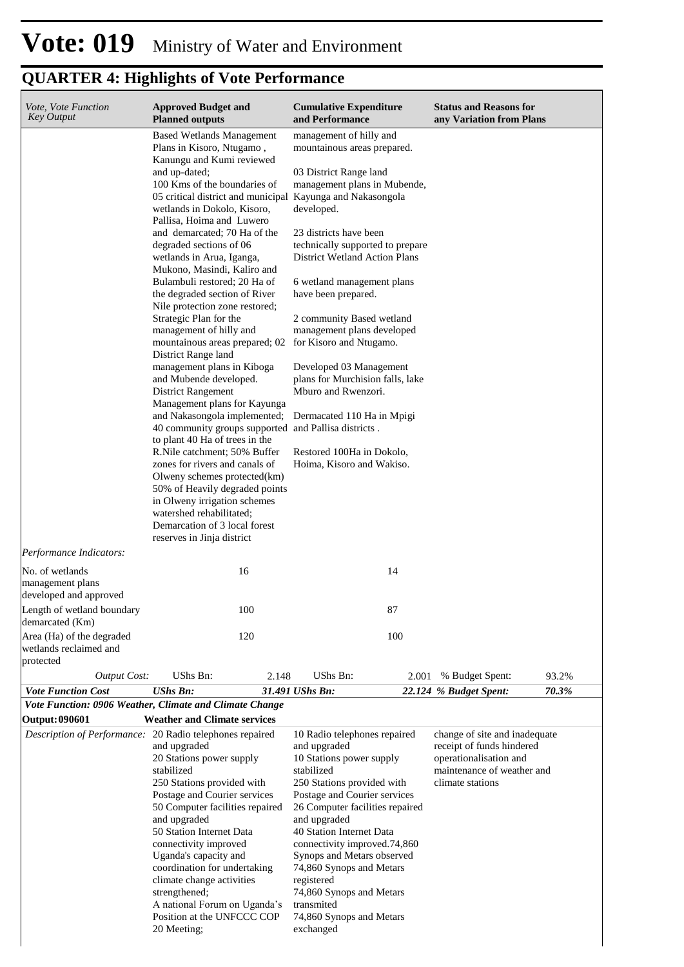| Vote, Vote Function<br>Key Output                                | <b>Approved Budget and</b><br><b>Planned outputs</b>                                                                                                                                                                                                                                                                                                                                                                                                                                                                                                                                                                                                                                                                                                                                                                                                                                                                                                                                                                                                                                                                        | <b>Cumulative Expenditure</b><br>and Performance                                                                                                                                                                                                                                                                                                                                                                                                                                                                                                              | <b>Status and Reasons for</b><br>any Variation from Plans                                                                              |
|------------------------------------------------------------------|-----------------------------------------------------------------------------------------------------------------------------------------------------------------------------------------------------------------------------------------------------------------------------------------------------------------------------------------------------------------------------------------------------------------------------------------------------------------------------------------------------------------------------------------------------------------------------------------------------------------------------------------------------------------------------------------------------------------------------------------------------------------------------------------------------------------------------------------------------------------------------------------------------------------------------------------------------------------------------------------------------------------------------------------------------------------------------------------------------------------------------|---------------------------------------------------------------------------------------------------------------------------------------------------------------------------------------------------------------------------------------------------------------------------------------------------------------------------------------------------------------------------------------------------------------------------------------------------------------------------------------------------------------------------------------------------------------|----------------------------------------------------------------------------------------------------------------------------------------|
| Performance Indicators:                                          | <b>Based Wetlands Management</b><br>Plans in Kisoro, Ntugamo,<br>Kanungu and Kumi reviewed<br>and up-dated;<br>100 Kms of the boundaries of<br>05 critical district and municipal Kayunga and Nakasongola<br>wetlands in Dokolo, Kisoro,<br>Pallisa, Hoima and Luwero<br>and demarcated; 70 Ha of the<br>degraded sections of 06<br>wetlands in Arua, Iganga,<br>Mukono, Masindi, Kaliro and<br>Bulambuli restored; 20 Ha of<br>the degraded section of River<br>Nile protection zone restored;<br>Strategic Plan for the<br>management of hilly and<br>mountainous areas prepared; 02<br>District Range land<br>management plans in Kiboga<br>and Mubende developed.<br><b>District Rangement</b><br>Management plans for Kayunga<br>and Nakasongola implemented;<br>40 community groups supported and Pallisa districts.<br>to plant 40 Ha of trees in the<br>R.Nile catchment; 50% Buffer<br>zones for rivers and canals of<br>Olweny schemes protected(km)<br>50% of Heavily degraded points<br>in Olweny irrigation schemes<br>watershed rehabilitated;<br>Demarcation of 3 local forest<br>reserves in Jinja district | management of hilly and<br>mountainous areas prepared.<br>03 District Range land<br>management plans in Mubende,<br>developed.<br>23 districts have been<br>technically supported to prepare<br><b>District Wetland Action Plans</b><br>6 wetland management plans<br>have been prepared.<br>2 community Based wetland<br>management plans developed<br>for Kisoro and Ntugamo.<br>Developed 03 Management<br>plans for Murchision falls, lake<br>Mburo and Rwenzori.<br>Dermacated 110 Ha in Mpigi<br>Restored 100Ha in Dokolo,<br>Hoima, Kisoro and Wakiso. |                                                                                                                                        |
| No. of wetlands<br>management plans<br>developed and approved    | 16                                                                                                                                                                                                                                                                                                                                                                                                                                                                                                                                                                                                                                                                                                                                                                                                                                                                                                                                                                                                                                                                                                                          | 14                                                                                                                                                                                                                                                                                                                                                                                                                                                                                                                                                            |                                                                                                                                        |
| Length of wetland boundary<br>demarcated (Km)                    | 100                                                                                                                                                                                                                                                                                                                                                                                                                                                                                                                                                                                                                                                                                                                                                                                                                                                                                                                                                                                                                                                                                                                         | 87                                                                                                                                                                                                                                                                                                                                                                                                                                                                                                                                                            |                                                                                                                                        |
| Area (Ha) of the degraded<br>wetlands reclaimed and<br>protected | 120                                                                                                                                                                                                                                                                                                                                                                                                                                                                                                                                                                                                                                                                                                                                                                                                                                                                                                                                                                                                                                                                                                                         | 100                                                                                                                                                                                                                                                                                                                                                                                                                                                                                                                                                           |                                                                                                                                        |
| <b>Output Cost:</b><br><b>Vote Function Cost</b>                 | UShs Bn:<br>2.148<br><b>UShs Bn:</b>                                                                                                                                                                                                                                                                                                                                                                                                                                                                                                                                                                                                                                                                                                                                                                                                                                                                                                                                                                                                                                                                                        | UShs Bn:<br>2.001<br>31.491 UShs Bn:                                                                                                                                                                                                                                                                                                                                                                                                                                                                                                                          | % Budget Spent:<br>93.2%<br>70.3%<br>22.124 % Budget Spent:                                                                            |
|                                                                  | Vote Function: 0906 Weather, Climate and Climate Change                                                                                                                                                                                                                                                                                                                                                                                                                                                                                                                                                                                                                                                                                                                                                                                                                                                                                                                                                                                                                                                                     |                                                                                                                                                                                                                                                                                                                                                                                                                                                                                                                                                               |                                                                                                                                        |
| <b>Output: 090601</b>                                            | <b>Weather and Climate services</b><br>Description of Performance: 20 Radio telephones repaired<br>and upgraded<br>20 Stations power supply<br>stabilized<br>250 Stations provided with<br>Postage and Courier services<br>50 Computer facilities repaired<br>and upgraded<br>50 Station Internet Data<br>connectivity improved<br>Uganda's capacity and<br>coordination for undertaking<br>climate change activities<br>strengthened;<br>A national Forum on Uganda's<br>Position at the UNFCCC COP<br>20 Meeting;                                                                                                                                                                                                                                                                                                                                                                                                                                                                                                                                                                                                         | 10 Radio telephones repaired<br>and upgraded<br>10 Stations power supply<br>stabilized<br>250 Stations provided with<br>Postage and Courier services<br>26 Computer facilities repaired<br>and upgraded<br>40 Station Internet Data<br>connectivity improved.74,860<br>Synops and Metars observed<br>74,860 Synops and Metars<br>registered<br>74,860 Synops and Metars<br>transmited<br>74,860 Synops and Metars<br>exchanged                                                                                                                                | change of site and inadequate<br>receipt of funds hindered<br>operationalisation and<br>maintenance of weather and<br>climate stations |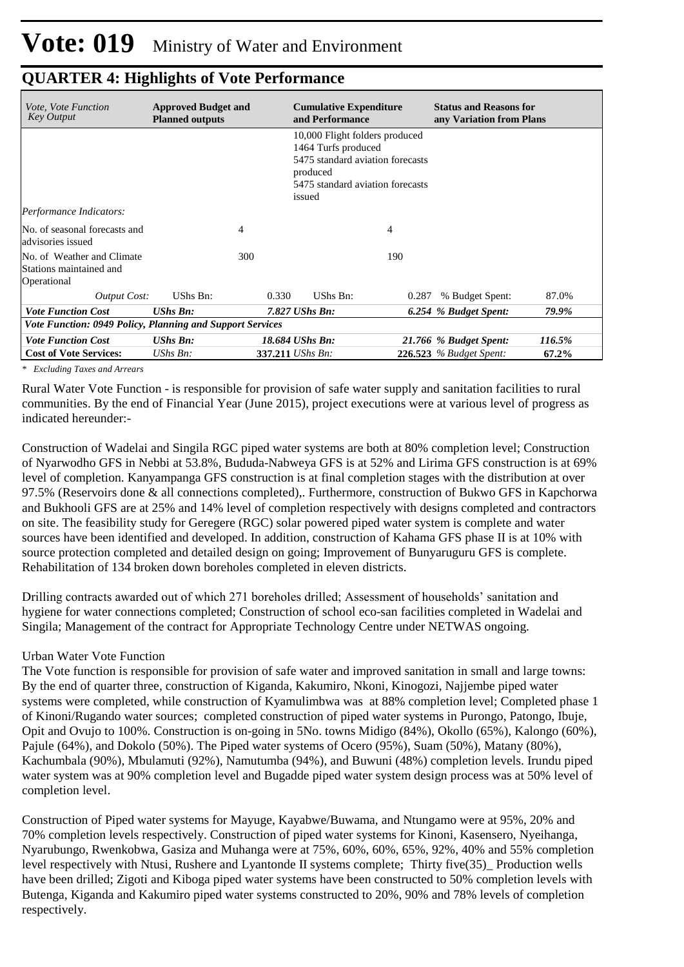| <i>Vote, Vote Function</i><br><b>Key Output</b>                      | <b>Approved Budget and</b><br><b>Planned outputs</b> | <b>Cumulative Expenditure</b><br>and Performance |                                                                                                                                                     |       | <b>Status and Reasons for</b><br>any Variation from Plans |        |  |  |
|----------------------------------------------------------------------|------------------------------------------------------|--------------------------------------------------|-----------------------------------------------------------------------------------------------------------------------------------------------------|-------|-----------------------------------------------------------|--------|--|--|
|                                                                      |                                                      |                                                  | 10,000 Flight folders produced<br>1464 Turfs produced<br>5475 standard aviation forecasts<br>produced<br>5475 standard aviation forecasts<br>issued |       |                                                           |        |  |  |
| Performance Indicators:                                              |                                                      |                                                  |                                                                                                                                                     |       |                                                           |        |  |  |
| No. of seasonal forecasts and<br>advisories issued                   |                                                      | 4                                                |                                                                                                                                                     | 4     |                                                           |        |  |  |
| No. of Weather and Climate<br>Stations maintained and<br>Operational |                                                      | 300                                              |                                                                                                                                                     | 190   |                                                           |        |  |  |
| Output Cost:                                                         | UShs Bn:                                             | 0.330                                            | UShs Bn:                                                                                                                                            | 0.287 | % Budget Spent:                                           | 87.0%  |  |  |
| <b>Vote Function Cost</b>                                            | $UShs$ $Bn$ :                                        |                                                  | $7.827$ UShs Bn:                                                                                                                                    |       | 6.254 % Budget Spent:                                     | 79.9%  |  |  |
| Vote Function: 0949 Policy, Planning and Support Services            |                                                      |                                                  |                                                                                                                                                     |       |                                                           |        |  |  |
| <b>Vote Function Cost</b>                                            | $UShs Bn$ :                                          |                                                  | 18.684 UShs Bn:                                                                                                                                     |       | 21.766 % Budget Spent:                                    | 116.5% |  |  |
| <b>Cost of Vote Services:</b>                                        | UShs $Bn$ :                                          |                                                  | 337.211 UShs Bn:                                                                                                                                    |       | <b>226.523</b> % Budget Spent:                            | 67.2%  |  |  |

*\* Excluding Taxes and Arrears*

Rural Water Vote Function - is responsible for provision of safe water supply and sanitation facilities to rural communities. By the end of Financial Year (June 2015), project executions were at various level of progress as indicated hereunder:-

Construction of Wadelai and Singila RGC piped water systems are both at 80% completion level; Construction of Nyarwodho GFS in Nebbi at 53.8%, Bududa-Nabweya GFS is at 52% and Lirima GFS construction is at 69% level of completion. Kanyampanga GFS construction is at final completion stages with the distribution at over 97.5% (Reservoirs done & all connections completed),. Furthermore, construction of Bukwo GFS in Kapchorwa and Bukhooli GFS are at 25% and 14% level of completion respectively with designs completed and contractors on site. The feasibility study for Geregere (RGC) solar powered piped water system is complete and water sources have been identified and developed. In addition, construction of Kahama GFS phase II is at 10% with source protection completed and detailed design on going; Improvement of Bunyaruguru GFS is complete. Rehabilitation of 134 broken down boreholes completed in eleven districts.

Drilling contracts awarded out of which 271 boreholes drilled; Assessment of households' sanitation and hygiene for water connections completed; Construction of school eco-san facilities completed in Wadelai and Singila; Management of the contract for Appropriate Technology Centre under NETWAS ongoing.

#### Urban Water Vote Function

The Vote function is responsible for provision of safe water and improved sanitation in small and large towns: By the end of quarter three, construction of Kiganda, Kakumiro, Nkoni, Kinogozi, Najjembe piped water systems were completed, while construction of Kyamulimbwa was at 88% completion level; Completed phase 1 of Kinoni/Rugando water sources; completed construction of piped water systems in Purongo, Patongo, Ibuje, Opit and Ovujo to 100%. Construction is on-going in 5No. towns Midigo (84%), Okollo (65%), Kalongo (60%), Pajule (64%), and Dokolo (50%). The Piped water systems of Ocero (95%), Suam (50%), Matany (80%), Kachumbala (90%), Mbulamuti (92%), Namutumba (94%), and Buwuni (48%) completion levels. Irundu piped water system was at 90% completion level and Bugadde piped water system design process was at 50% level of completion level.

Construction of Piped water systems for Mayuge, Kayabwe/Buwama, and Ntungamo were at 95%, 20% and 70% completion levels respectively. Construction of piped water systems for Kinoni, Kasensero, Nyeihanga, Nyarubungo, Rwenkobwa, Gasiza and Muhanga were at 75%, 60%, 60%, 65%, 92%, 40% and 55% completion level respectively with Ntusi, Rushere and Lyantonde II systems complete; Thirty five(35)\_ Production wells have been drilled; Zigoti and Kiboga piped water systems have been constructed to 50% completion levels with Butenga, Kiganda and Kakumiro piped water systems constructed to 20%, 90% and 78% levels of completion respectively.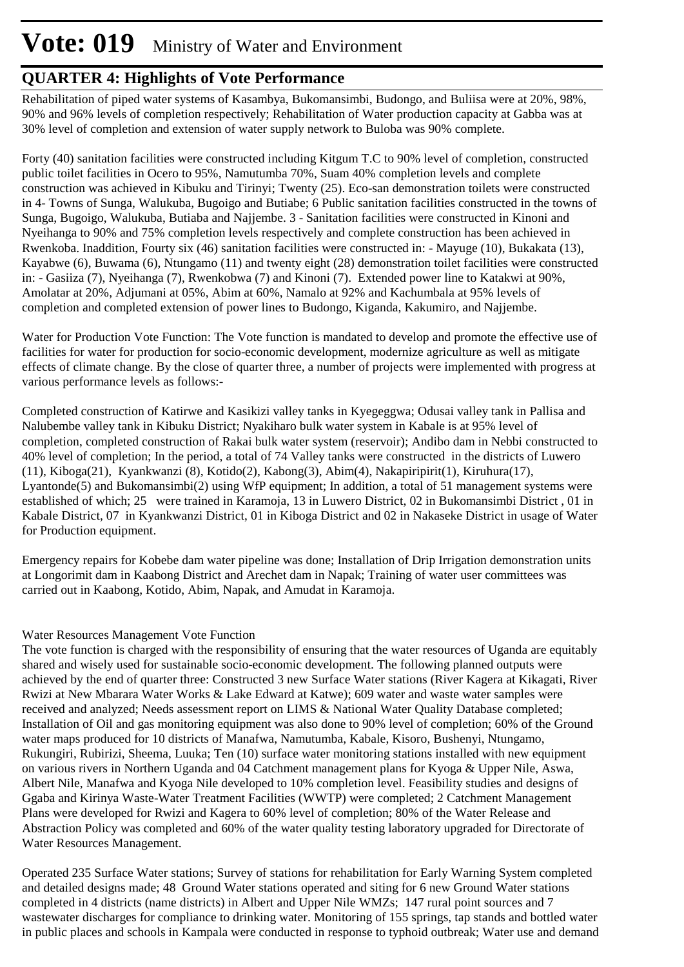## **Vote: 019** Ministry of Water and Environment

#### **QUARTER 4: Highlights of Vote Performance**

Rehabilitation of piped water systems of Kasambya, Bukomansimbi, Budongo, and Buliisa were at 20%, 98%, 90% and 96% levels of completion respectively; Rehabilitation of Water production capacity at Gabba was at 30% level of completion and extension of water supply network to Buloba was 90% complete.

Forty (40) sanitation facilities were constructed including Kitgum T.C to 90% level of completion, constructed public toilet facilities in Ocero to 95%, Namutumba 70%, Suam 40% completion levels and complete construction was achieved in Kibuku and Tirinyi; Twenty (25). Eco-san demonstration toilets were constructed in 4- Towns of Sunga, Walukuba, Bugoigo and Butiabe; 6 Public sanitation facilities constructed in the towns of Sunga, Bugoigo, Walukuba, Butiaba and Najjembe. 3 - Sanitation facilities were constructed in Kinoni and Nyeihanga to 90% and 75% completion levels respectively and complete construction has been achieved in Rwenkoba. Inaddition, Fourty six (46) sanitation facilities were constructed in: - Mayuge (10), Bukakata (13), Kayabwe (6), Buwama (6), Ntungamo (11) and twenty eight (28) demonstration toilet facilities were constructed in: - Gasiiza (7), Nyeihanga (7), Rwenkobwa (7) and Kinoni (7). Extended power line to Katakwi at 90%, Amolatar at 20%, Adjumani at 05%, Abim at 60%, Namalo at 92% and Kachumbala at 95% levels of completion and completed extension of power lines to Budongo, Kiganda, Kakumiro, and Najjembe.

Water for Production Vote Function: The Vote function is mandated to develop and promote the effective use of facilities for water for production for socio-economic development, modernize agriculture as well as mitigate effects of climate change. By the close of quarter three, a number of projects were implemented with progress at various performance levels as follows:-

Completed construction of Katirwe and Kasikizi valley tanks in Kyegeggwa; Odusai valley tank in Pallisa and Nalubembe valley tank in Kibuku District; Nyakiharo bulk water system in Kabale is at 95% level of completion, completed construction of Rakai bulk water system (reservoir); Andibo dam in Nebbi constructed to 40% level of completion; In the period, a total of 74 Valley tanks were constructed in the districts of Luwero (11), Kiboga(21), Kyankwanzi (8), Kotido(2), Kabong(3), Abim(4), Nakapiripirit(1), Kiruhura(17), Lyantonde(5) and Bukomansimbi(2) using WfP equipment; In addition, a total of 51 management systems were established of which; 25 were trained in Karamoja, 13 in Luwero District, 02 in Bukomansimbi District , 01 in Kabale District, 07 in Kyankwanzi District, 01 in Kiboga District and 02 in Nakaseke District in usage of Water for Production equipment.

Emergency repairs for Kobebe dam water pipeline was done; Installation of Drip Irrigation demonstration units at Longorimit dam in Kaabong District and Arechet dam in Napak; Training of water user committees was carried out in Kaabong, Kotido, Abim, Napak, and Amudat in Karamoja.

#### Water Resources Management Vote Function

The vote function is charged with the responsibility of ensuring that the water resources of Uganda are equitably shared and wisely used for sustainable socio-economic development. The following planned outputs were achieved by the end of quarter three: Constructed 3 new Surface Water stations (River Kagera at Kikagati, River Rwizi at New Mbarara Water Works & Lake Edward at Katwe); 609 water and waste water samples were received and analyzed; Needs assessment report on LIMS & National Water Quality Database completed; Installation of Oil and gas monitoring equipment was also done to 90% level of completion; 60% of the Ground water maps produced for 10 districts of Manafwa, Namutumba, Kabale, Kisoro, Bushenyi, Ntungamo, Rukungiri, Rubirizi, Sheema, Luuka; Ten (10) surface water monitoring stations installed with new equipment on various rivers in Northern Uganda and 04 Catchment management plans for Kyoga & Upper Nile, Aswa, Albert Nile, Manafwa and Kyoga Nile developed to 10% completion level. Feasibility studies and designs of Ggaba and Kirinya Waste-Water Treatment Facilities (WWTP) were completed; 2 Catchment Management Plans were developed for Rwizi and Kagera to 60% level of completion; 80% of the Water Release and Abstraction Policy was completed and 60% of the water quality testing laboratory upgraded for Directorate of Water Resources Management.

Operated 235 Surface Water stations; Survey of stations for rehabilitation for Early Warning System completed and detailed designs made; 48 Ground Water stations operated and siting for 6 new Ground Water stations completed in 4 districts (name districts) in Albert and Upper Nile WMZs; 147 rural point sources and 7 wastewater discharges for compliance to drinking water. Monitoring of 155 springs, tap stands and bottled water in public places and schools in Kampala were conducted in response to typhoid outbreak; Water use and demand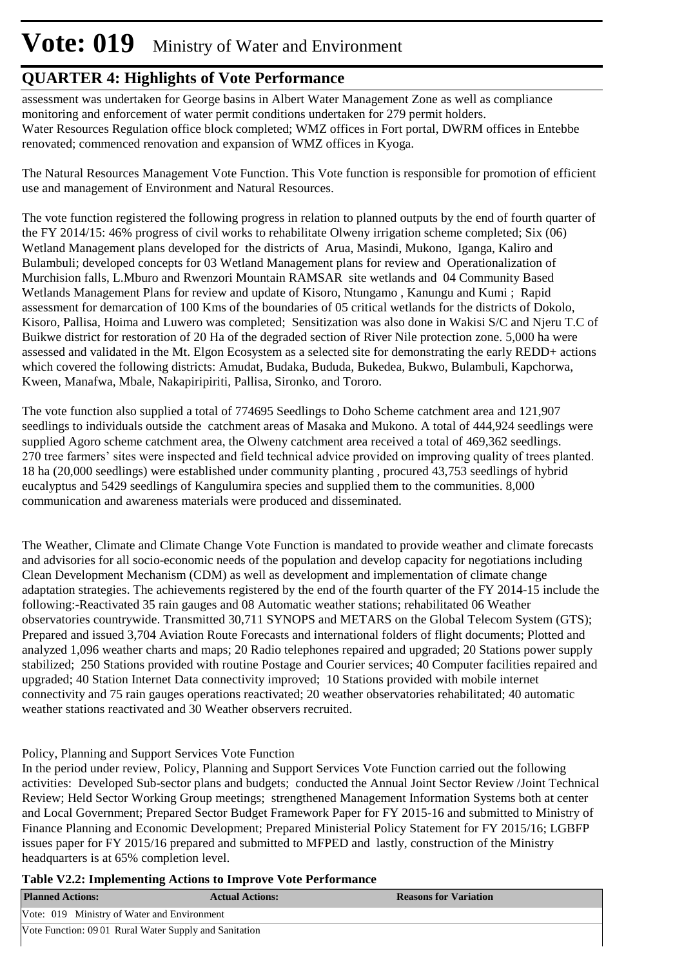## **Vote: 019** Ministry of Water and Environment

#### **QUARTER 4: Highlights of Vote Performance**

assessment was undertaken for George basins in Albert Water Management Zone as well as compliance monitoring and enforcement of water permit conditions undertaken for 279 permit holders. Water Resources Regulation office block completed; WMZ offices in Fort portal, DWRM offices in Entebbe renovated; commenced renovation and expansion of WMZ offices in Kyoga.

The Natural Resources Management Vote Function. This Vote function is responsible for promotion of efficient use and management of Environment and Natural Resources.

The vote function registered the following progress in relation to planned outputs by the end of fourth quarter of the FY 2014/15: 46% progress of civil works to rehabilitate Olweny irrigation scheme completed; Six (06) Wetland Management plans developed for the districts of Arua, Masindi, Mukono, Iganga, Kaliro and Bulambuli; developed concepts for 03 Wetland Management plans for review and Operationalization of Murchision falls, L.Mburo and Rwenzori Mountain RAMSAR site wetlands and 04 Community Based Wetlands Management Plans for review and update of Kisoro, Ntungamo , Kanungu and Kumi ; Rapid assessment for demarcation of 100 Kms of the boundaries of 05 critical wetlands for the districts of Dokolo, Kisoro, Pallisa, Hoima and Luwero was completed; Sensitization was also done in Wakisi S/C and Njeru T.C of Buikwe district for restoration of 20 Ha of the degraded section of River Nile protection zone. 5,000 ha were assessed and validated in the Mt. Elgon Ecosystem as a selected site for demonstrating the early REDD+ actions which covered the following districts: Amudat, Budaka, Bududa, Bukedea, Bukwo, Bulambuli, Kapchorwa, Kween, Manafwa, Mbale, Nakapiripiriti, Pallisa, Sironko, and Tororo.

The vote function also supplied a total of 774695 Seedlings to Doho Scheme catchment area and 121,907 seedlings to individuals outside the catchment areas of Masaka and Mukono. A total of 444,924 seedlings were supplied Agoro scheme catchment area, the Olweny catchment area received a total of 469,362 seedlings. 270 tree farmers' sites were inspected and field technical advice provided on improving quality of trees planted. 18 ha (20,000 seedlings) were established under community planting , procured 43,753 seedlings of hybrid eucalyptus and 5429 seedlings of Kangulumira species and supplied them to the communities. 8,000 communication and awareness materials were produced and disseminated.

The Weather, Climate and Climate Change Vote Function is mandated to provide weather and climate forecasts and advisories for all socio-economic needs of the population and develop capacity for negotiations including Clean Development Mechanism (CDM) as well as development and implementation of climate change adaptation strategies. The achievements registered by the end of the fourth quarter of the FY 2014-15 include the following:-Reactivated 35 rain gauges and 08 Automatic weather stations; rehabilitated 06 Weather observatories countrywide. Transmitted 30,711 SYNOPS and METARS on the Global Telecom System (GTS); Prepared and issued 3,704 Aviation Route Forecasts and international folders of flight documents; Plotted and analyzed 1,096 weather charts and maps; 20 Radio telephones repaired and upgraded; 20 Stations power supply stabilized; 250 Stations provided with routine Postage and Courier services; 40 Computer facilities repaired and upgraded; 40 Station Internet Data connectivity improved; 10 Stations provided with mobile internet connectivity and 75 rain gauges operations reactivated; 20 weather observatories rehabilitated; 40 automatic weather stations reactivated and 30 Weather observers recruited.

#### Policy, Planning and Support Services Vote Function

In the period under review, Policy, Planning and Support Services Vote Function carried out the following activities: Developed Sub-sector plans and budgets; conducted the Annual Joint Sector Review /Joint Technical Review; Held Sector Working Group meetings; strengthened Management Information Systems both at center and Local Government; Prepared Sector Budget Framework Paper for FY 2015-16 and submitted to Ministry of Finance Planning and Economic Development; Prepared Ministerial Policy Statement for FY 2015/16; LGBFP issues paper for FY 2015/16 prepared and submitted to MFPED and lastly, construction of the Ministry headquarters is at 65% completion level.

| Table V2.2: Implementing Actions to Improve Vote Performance |  |  |
|--------------------------------------------------------------|--|--|
|--------------------------------------------------------------|--|--|

| <b>Planned Actions:</b>                               | <b>Actual Actions:</b> | <b>Reasons for Variation</b> |  |  |  |  |
|-------------------------------------------------------|------------------------|------------------------------|--|--|--|--|
| Vote: 019 Ministry of Water and Environment           |                        |                              |  |  |  |  |
| Vote Function: 0901 Rural Water Supply and Sanitation |                        |                              |  |  |  |  |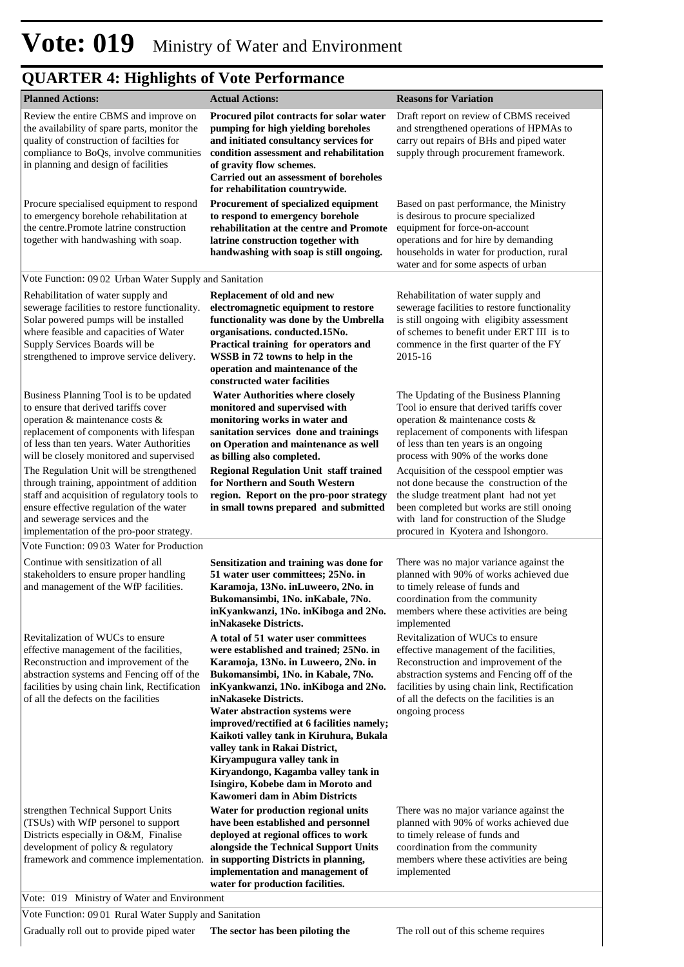| <b>Planned Actions:</b>                                                                                                                                                                                                                                                                           | <b>Actual Actions:</b>                                                                                                                                                                                                                                                                                                                                                                                                                                                                                                                                                               | <b>Reasons for Variation</b>                                                                                                                                                                                                                                                                                                    |
|---------------------------------------------------------------------------------------------------------------------------------------------------------------------------------------------------------------------------------------------------------------------------------------------------|--------------------------------------------------------------------------------------------------------------------------------------------------------------------------------------------------------------------------------------------------------------------------------------------------------------------------------------------------------------------------------------------------------------------------------------------------------------------------------------------------------------------------------------------------------------------------------------|---------------------------------------------------------------------------------------------------------------------------------------------------------------------------------------------------------------------------------------------------------------------------------------------------------------------------------|
| Review the entire CBMS and improve on<br>the availability of spare parts, monitor the<br>quality of construction of facilties for<br>compliance to BoQs, involve communities<br>in planning and design of facilities                                                                              | Procured pilot contracts for solar water<br>pumping for high yielding boreholes<br>and initiated consultancy services for<br>condition assessment and rehabilitation<br>of gravity flow schemes.<br>Carried out an assessment of boreholes<br>for rehabilitation countrywide.                                                                                                                                                                                                                                                                                                        | Draft report on review of CBMS received<br>and strengthened operations of HPMAs to<br>carry out repairs of BHs and piped water<br>supply through procurement framework.                                                                                                                                                         |
| Procure specialised equipment to respond<br>to emergency borehole rehabilitation at<br>the centre.Promote latrine construction<br>together with handwashing with soap.                                                                                                                            | Procurement of specialized equipment<br>to respond to emergency borehole<br>rehabilitation at the centre and Promote<br>latrine construction together with<br>handwashing with soap is still ongoing.                                                                                                                                                                                                                                                                                                                                                                                | Based on past performance, the Ministry<br>is desirous to procure specialized<br>equipment for force-on-account<br>operations and for hire by demanding<br>households in water for production, rural<br>water and for some aspects of urban                                                                                     |
| Vote Function: 09 02 Urban Water Supply and Sanitation                                                                                                                                                                                                                                            |                                                                                                                                                                                                                                                                                                                                                                                                                                                                                                                                                                                      |                                                                                                                                                                                                                                                                                                                                 |
| Rehabilitation of water supply and<br>sewerage facilities to restore functionality.<br>Solar powered pumps will be installed<br>where feasible and capacities of Water<br>Supply Services Boards will be<br>strengthened to improve service delivery.                                             | Replacement of old and new<br>electromagnetic equipment to restore<br>functionality was done by the Umbrella<br>organisations. conducted.15No.<br>Practical training for operators and<br>WSSB in 72 towns to help in the<br>operation and maintenance of the<br>constructed water facilities                                                                                                                                                                                                                                                                                        | Rehabilitation of water supply and<br>sewerage facilities to restore functionality<br>is still ongoing with eligibity assessment<br>of schemes to benefit under ERT III is to<br>commence in the first quarter of the FY<br>2015-16                                                                                             |
| Business Planning Tool is to be updated<br>to ensure that derived tariffs cover<br>operation & maintenance costs &<br>replacement of components with lifespan<br>of less than ten years. Water Authorities<br>will be closely monitored and supervised                                            | <b>Water Authorities where closely</b><br>monitored and supervised with<br>monitoring works in water and<br>sanitation services done and trainings<br>on Operation and maintenance as well<br>as billing also completed.                                                                                                                                                                                                                                                                                                                                                             | The Updating of the Business Planning<br>Tool io ensure that derived tariffs cover<br>operation & maintenance costs &<br>replacement of components with lifespan<br>of less than ten years is an ongoing<br>process with 90% of the works done                                                                                  |
| The Regulation Unit will be strengthened<br>through training, appointment of addition<br>staff and acquisition of regulatory tools to<br>ensure effective regulation of the water<br>and sewerage services and the<br>implementation of the pro-poor strategy.                                    | <b>Regional Regulation Unit staff trained</b><br>for Northern and South Western<br>region. Report on the pro-poor strategy<br>in small towns prepared and submitted                                                                                                                                                                                                                                                                                                                                                                                                                  | Acquisition of the cesspool emptier was<br>not done because the construction of the<br>the sludge treatment plant had not yet<br>been completed but works are still onoing<br>with land for construction of the Sludge<br>procured in Kyotera and Ishongoro.                                                                    |
| Vote Function: 09 03 Water for Production                                                                                                                                                                                                                                                         |                                                                                                                                                                                                                                                                                                                                                                                                                                                                                                                                                                                      |                                                                                                                                                                                                                                                                                                                                 |
| Continue with sensitization of all<br>stakeholders to ensure proper handling<br>and management of the WfP facilities.                                                                                                                                                                             | Sensitization and training was done for<br>51 water user committees; 25No. in<br>Karamoja, 13No. inLuweero, 2No. in<br>Bukomansimbi, 1No. inKabale, 7No.<br>inKyankwanzi, 1No. inKiboga and 2No. members where these activities are being<br>inNakaseke Districts.                                                                                                                                                                                                                                                                                                                   | There was no major variance against the<br>planned with 90% of works achieved due<br>to timely release of funds and<br>coordination from the community<br>implemented                                                                                                                                                           |
| Revitalization of WUCs to ensure<br>effective management of the facilities,<br>Reconstruction and improvement of the<br>abstraction systems and Fencing off of the<br>facilities by using chain link, Rectification<br>of all the defects on the facilities<br>strengthen Technical Support Units | A total of 51 water user committees<br>were established and trained; 25No. in<br>Karamoja, 13No. in Luweero, 2No. in<br>Bukomansimbi, 1No. in Kabale, 7No.<br>inKyankwanzi, 1No. inKiboga and 2No.<br>inNakaseke Districts.<br>Water abstraction systems were<br>improved/rectified at 6 facilities namely;<br>Kaikoti valley tank in Kiruhura, Bukala<br>valley tank in Rakai District,<br>Kiryampugura valley tank in<br>Kiryandongo, Kagamba valley tank in<br>Isingiro, Kobebe dam in Moroto and<br><b>Kawomeri dam in Abim Districts</b><br>Water for production regional units | Revitalization of WUCs to ensure<br>effective management of the facilities,<br>Reconstruction and improvement of the<br>abstraction systems and Fencing off of the<br>facilities by using chain link, Rectification<br>of all the defects on the facilities is an<br>ongoing process<br>There was no major variance against the |
| (TSUs) with WfP personel to support<br>Districts especially in O&M, Finalise<br>development of policy & regulatory<br>framework and commence implementation.<br>Vote: 019 Ministry of Water and Environment                                                                                       | have been established and personnel<br>deployed at regional offices to work<br>alongside the Technical Support Units<br>in supporting Districts in planning,<br>implementation and management of<br>water for production facilities.                                                                                                                                                                                                                                                                                                                                                 | planned with 90% of works achieved due<br>to timely release of funds and<br>coordination from the community<br>members where these activities are being<br>implemented                                                                                                                                                          |

Vote Function: 09 01 Rural Water Supply and Sanitation

Gradually roll out to provide piped water **The sector has been piloting the** The roll out of this scheme requires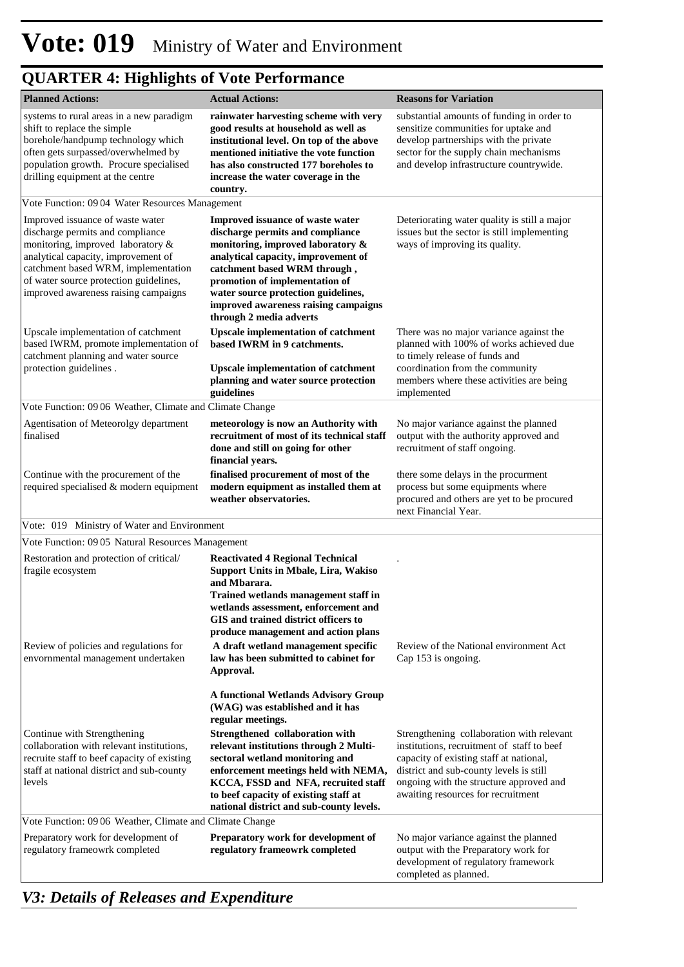| <b>Planned Actions:</b>                                                                                                                                                                                                                                                   | <b>Actual Actions:</b>                                                                                                                                                                                                                                                                                                       | <b>Reasons for Variation</b>                                                                                                                                                                                                                                   |
|---------------------------------------------------------------------------------------------------------------------------------------------------------------------------------------------------------------------------------------------------------------------------|------------------------------------------------------------------------------------------------------------------------------------------------------------------------------------------------------------------------------------------------------------------------------------------------------------------------------|----------------------------------------------------------------------------------------------------------------------------------------------------------------------------------------------------------------------------------------------------------------|
| systems to rural areas in a new paradigm<br>shift to replace the simple<br>borehole/handpump technology which<br>often gets surpassed/overwhelmed by<br>population growth. Procure specialised<br>drilling equipment at the centre                                        | rainwater harvesting scheme with very<br>good results at household as well as<br>institutional level. On top of the above<br>mentioned initiative the vote function<br>has also constructed 177 boreholes to<br>increase the water coverage in the<br>country.                                                               | substantial amounts of funding in order to<br>sensitize communities for uptake and<br>develop partnerships with the private<br>sector for the supply chain mechanisms<br>and develop infrastructure countrywide.                                               |
| Vote Function: 09 04 Water Resources Management                                                                                                                                                                                                                           |                                                                                                                                                                                                                                                                                                                              |                                                                                                                                                                                                                                                                |
| Improved issuance of waste water<br>discharge permits and compliance<br>monitoring, improved laboratory &<br>analytical capacity, improvement of<br>catchment based WRM, implementation<br>of water source protection guidelines,<br>improved awareness raising campaigns | Improved issuance of waste water<br>discharge permits and compliance<br>monitoring, improved laboratory &<br>analytical capacity, improvement of<br>catchment based WRM through,<br>promotion of implementation of<br>water source protection guidelines,<br>improved awareness raising campaigns<br>through 2 media adverts | Deteriorating water quality is still a major<br>issues but the sector is still implementing<br>ways of improving its quality.                                                                                                                                  |
| Upscale implementation of catchment<br>based IWRM, promote implementation of<br>catchment planning and water source<br>protection guidelines.                                                                                                                             | <b>Upscale implementation of catchment</b><br>based IWRM in 9 catchments.<br><b>Upscale implementation of catchment</b><br>planning and water source protection<br>guidelines                                                                                                                                                | There was no major variance against the<br>planned with 100% of works achieved due<br>to timely release of funds and<br>coordination from the community<br>members where these activities are being<br>implemented                                             |
| Vote Function: 09 06 Weather, Climate and Climate Change                                                                                                                                                                                                                  |                                                                                                                                                                                                                                                                                                                              |                                                                                                                                                                                                                                                                |
| Agentisation of Meteorolgy department<br>finalised                                                                                                                                                                                                                        | meteorology is now an Authority with<br>recruitment of most of its technical staff<br>done and still on going for other<br>financial years.                                                                                                                                                                                  | No major variance against the planned<br>output with the authority approved and<br>recruitment of staff ongoing.                                                                                                                                               |
| Continue with the procurement of the<br>required specialised & modern equipment                                                                                                                                                                                           | finalised procurement of most of the<br>modern equipment as installed them at<br>weather observatories.                                                                                                                                                                                                                      | there some delays in the procurment<br>process but some equipments where<br>procured and others are yet to be procured<br>next Financial Year.                                                                                                                 |
| Vote: 019 Ministry of Water and Environment                                                                                                                                                                                                                               |                                                                                                                                                                                                                                                                                                                              |                                                                                                                                                                                                                                                                |
| Vote Function: 09 05 Natural Resources Management                                                                                                                                                                                                                         |                                                                                                                                                                                                                                                                                                                              |                                                                                                                                                                                                                                                                |
| Restoration and protection of critical/<br>fragile ecosystem                                                                                                                                                                                                              | <b>Reactivated 4 Regional Technical</b><br>Support Units in Mbale, Lira, Wakiso<br>and Mbarara.<br>Trained wetlands management staff in<br>wetlands assessment, enforcement and<br>GIS and trained district officers to<br>produce management and action plans                                                               |                                                                                                                                                                                                                                                                |
| Review of policies and regulations for<br>envornmental management undertaken                                                                                                                                                                                              | A draft wetland management specific<br>law has been submitted to cabinet for<br>Approval.                                                                                                                                                                                                                                    | Review of the National environment Act<br>Cap 153 is ongoing.                                                                                                                                                                                                  |
|                                                                                                                                                                                                                                                                           | A functional Wetlands Advisory Group<br>(WAG) was established and it has<br>regular meetings.                                                                                                                                                                                                                                |                                                                                                                                                                                                                                                                |
| Continue with Strengthening<br>collaboration with relevant institutions,<br>recruite staff to beef capacity of existing<br>staff at national district and sub-county<br>levels                                                                                            | Strengthened collaboration with<br>relevant institutions through 2 Multi-<br>sectoral wetland monitoring and<br>enforcement meetings held with NEMA,<br>KCCA, FSSD and NFA, recruited staff<br>to beef capacity of existing staff at<br>national district and sub-county levels.                                             | Strengthening collaboration with relevant<br>institutions, recruitment of staff to beef<br>capacity of existing staff at national,<br>district and sub-county levels is still<br>ongoing with the structure approved and<br>awaiting resources for recruitment |
| Vote Function: 0906 Weather, Climate and Climate Change                                                                                                                                                                                                                   |                                                                                                                                                                                                                                                                                                                              |                                                                                                                                                                                                                                                                |
| Preparatory work for development of<br>regulatory frameowrk completed                                                                                                                                                                                                     | Preparatory work for development of<br>regulatory frameowrk completed                                                                                                                                                                                                                                                        | No major variance against the planned<br>output with the Preparatory work for<br>development of regulatory framework<br>completed as planned.                                                                                                                  |

*V3: Details of Releases and Expenditure*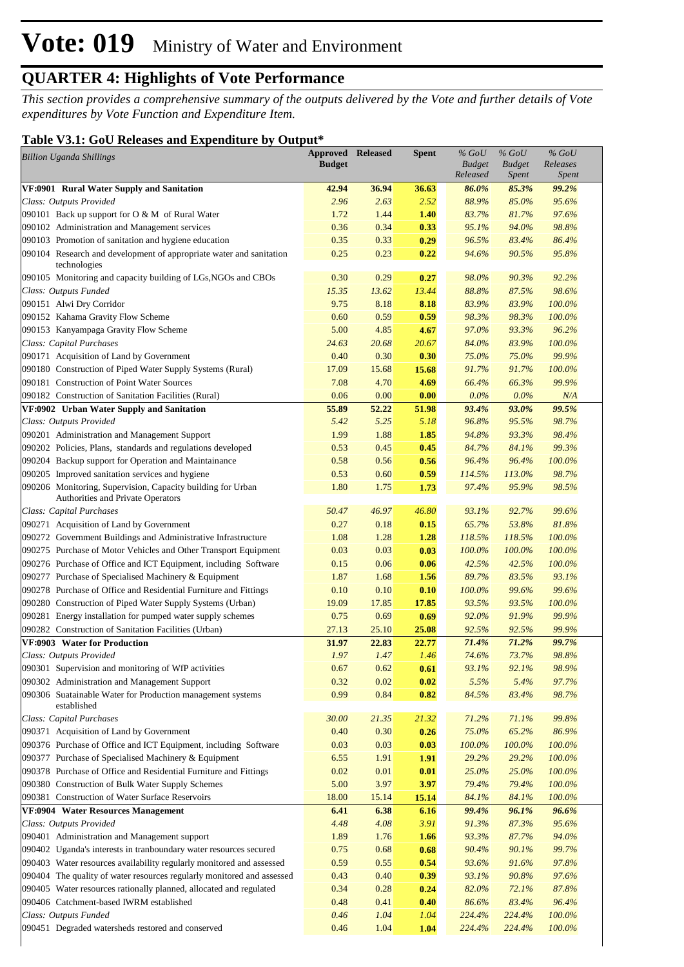*This section provides a comprehensive summary of the outputs delivered by the Vote and further details of Vote expenditures by Vote Function and Expenditure Item.*

#### **Table V3.1: GoU Releases and Expenditure by Output\***

| Table 19.1. Ooc Kerases and Expenditure by Output<br><b>Billion Uganda Shillings</b>             | <b>Approved Released</b><br><b>Budget</b> |       | <b>Spent</b> | $\%$ GoU<br><b>Budget</b><br>Released | $%$ GoU<br><b>Budget</b><br><i>Spent</i> | $\%$ GoU<br>Releases<br><i>Spent</i> |  |
|--------------------------------------------------------------------------------------------------|-------------------------------------------|-------|--------------|---------------------------------------|------------------------------------------|--------------------------------------|--|
| VF:0901 Rural Water Supply and Sanitation                                                        | 42.94                                     | 36.94 | 36.63        | 86.0%                                 | 85.3%                                    | 99.2%                                |  |
| Class: Outputs Provided                                                                          | 2.96                                      | 2.63  | 2.52         | 88.9%                                 | 85.0%                                    | 95.6%                                |  |
| 090101 Back up support for O & M of Rural Water                                                  | 1.72                                      | 1.44  | 1.40         | 83.7%                                 | 81.7%                                    | 97.6%                                |  |
| 090102 Administration and Management services                                                    | 0.36                                      | 0.34  | 0.33         | 95.1%                                 | 94.0%                                    | 98.8%                                |  |
| 090103 Promotion of sanitation and hygiene education                                             | 0.35                                      | 0.33  | 0.29         | 96.5%                                 | 83.4%                                    | 86.4%                                |  |
| 090104 Research and development of appropriate water and sanitation<br>technologies              | 0.25                                      | 0.23  | 0.22         | 94.6%                                 | 90.5%                                    | 95.8%                                |  |
| 090105 Monitoring and capacity building of LGs, NGOs and CBOs                                    | 0.30                                      | 0.29  | 0.27         | 98.0%                                 | 90.3%                                    | 92.2%                                |  |
| Class: Outputs Funded                                                                            | 15.35                                     | 13.62 | 13.44        | 88.8%                                 | 87.5%                                    | 98.6%                                |  |
| 090151 Alwi Dry Corridor                                                                         | 9.75                                      | 8.18  | 8.18         | 83.9%                                 | 83.9%                                    | 100.0%                               |  |
| 090152 Kahama Gravity Flow Scheme                                                                | 0.60                                      | 0.59  | 0.59         | 98.3%                                 | 98.3%                                    | 100.0%                               |  |
| 090153 Kanyampaga Gravity Flow Scheme                                                            | 5.00                                      | 4.85  | 4.67         | 97.0%                                 | 93.3%                                    | 96.2%                                |  |
| Class: Capital Purchases                                                                         | 24.63                                     | 20.68 | 20.67        | 84.0%                                 | 83.9%                                    | 100.0%                               |  |
| 090171 Acquisition of Land by Government                                                         | 0.40                                      | 0.30  | 0.30         | 75.0%                                 | 75.0%                                    | 99.9%                                |  |
| 090180 Construction of Piped Water Supply Systems (Rural)                                        | 17.09                                     | 15.68 | 15.68        | 91.7%                                 | 91.7%                                    | 100.0%                               |  |
| 090181 Construction of Point Water Sources                                                       | 7.08                                      | 4.70  | 4.69         | 66.4%                                 | 66.3%                                    | 99.9%                                |  |
| 090182 Construction of Sanitation Facilities (Rural)                                             | 0.06                                      | 0.00  | 0.00         | 0.0%                                  | $0.0\%$                                  | N/A                                  |  |
| VF:0902 Urban Water Supply and Sanitation                                                        | 55.89                                     | 52.22 | 51.98        | 93.4%                                 | 93.0%                                    | 99.5%                                |  |
| Class: Outputs Provided                                                                          | 5.42                                      | 5.25  | 5.18         | 96.8%                                 | 95.5%                                    | 98.7%                                |  |
| 090201 Administration and Management Support                                                     | 1.99                                      | 1.88  | 1.85         | 94.8%                                 | 93.3%                                    | 98.4%                                |  |
| 090202 Policies, Plans, standards and regulations developed                                      | 0.53                                      | 0.45  | 0.45         | 84.7%                                 | 84.1%                                    | 99.3%                                |  |
| 090204 Backup support for Operation and Maintainance                                             | 0.58                                      | 0.56  | 0.56         | 96.4%                                 | 96.4%                                    | 100.0%                               |  |
| 090205 Improved sanitation services and hygiene                                                  | 0.53                                      | 0.60  | 0.59         | 114.5%                                | 113.0%                                   | 98.7%                                |  |
| 090206 Monitoring, Supervision, Capacity building for Urban<br>Authorities and Private Operators | 1.80                                      | 1.75  | 1.73         | 97.4%                                 | 95.9%                                    | 98.5%                                |  |
| Class: Capital Purchases                                                                         | 50.47                                     | 46.97 | 46.80        | 93.1%                                 | 92.7%                                    | 99.6%                                |  |
| 090271 Acquisition of Land by Government                                                         | 0.27                                      | 0.18  | 0.15         | 65.7%                                 | 53.8%                                    | 81.8%                                |  |
| 090272 Government Buildings and Administrative Infrastructure                                    | 1.08                                      | 1.28  | 1.28         | 118.5%                                | 118.5%                                   | 100.0%                               |  |
| 090275 Purchase of Motor Vehicles and Other Transport Equipment                                  | 0.03                                      | 0.03  | 0.03         | 100.0%                                | 100.0%                                   | 100.0%                               |  |
| 090276 Purchase of Office and ICT Equipment, including Software                                  | 0.15                                      | 0.06  | 0.06         | 42.5%                                 | 42.5%                                    | 100.0%                               |  |
| 090277 Purchase of Specialised Machinery & Equipment                                             | 1.87                                      | 1.68  | 1.56         | 89.7%                                 | 83.5%                                    | 93.1%                                |  |
| 090278 Purchase of Office and Residential Furniture and Fittings                                 | 0.10                                      | 0.10  | 0.10         | 100.0%                                | 99.6%                                    | 99.6%                                |  |
| 090280 Construction of Piped Water Supply Systems (Urban)                                        | 19.09                                     | 17.85 | 17.85        | 93.5%                                 | 93.5%                                    | 100.0%                               |  |
| 090281 Energy installation for pumped water supply schemes                                       | 0.75                                      | 0.69  | 0.69         | 92.0%                                 | 91.9%                                    | 99.9%                                |  |
| 090282 Construction of Sanitation Facilities (Urban)                                             | 27.13                                     | 25.10 | 25.08        | 92.5%                                 | 92.5%                                    | 99.9%                                |  |
| VF:0903 Water for Production                                                                     | 31.97                                     | 22.83 | 22.77        | 71.4%                                 | 71.2%                                    | 99.7%                                |  |
| Class: Outputs Provided                                                                          | 1.97                                      | 1.47  | 1.46         | 74.6%                                 | 73.7%                                    | 98.8%                                |  |
| 090301 Supervision and monitoring of WfP activities                                              | 0.67                                      | 0.62  | 0.61         | 93.1%                                 | 92.1%                                    | 98.9%                                |  |
| 090302 Administration and Management Support                                                     | 0.32                                      | 0.02  | 0.02         | 5.5%                                  | 5.4%                                     | 97.7%                                |  |
| 090306 Suatainable Water for Production management systems<br>established                        | 0.99                                      | 0.84  | 0.82         | 84.5%                                 | 83.4%                                    | 98.7%                                |  |
| Class: Capital Purchases                                                                         | 30.00                                     | 21.35 | 21.32        | 71.2%                                 | 71.1%                                    | 99.8%                                |  |
| 090371 Acquisition of Land by Government                                                         | 0.40                                      | 0.30  | 0.26         | 75.0%                                 | 65.2%                                    | 86.9%                                |  |
| 090376 Purchase of Office and ICT Equipment, including Software                                  | 0.03                                      | 0.03  | 0.03         | 100.0%                                | 100.0%                                   | 100.0%                               |  |
| 090377 Purchase of Specialised Machinery & Equipment                                             | 6.55                                      | 1.91  | 1.91         | 29.2%                                 | 29.2%                                    | 100.0%                               |  |
| 090378 Purchase of Office and Residential Furniture and Fittings                                 | 0.02                                      | 0.01  | 0.01         | 25.0%                                 | 25.0%                                    | 100.0%                               |  |
| 090380 Construction of Bulk Water Supply Schemes                                                 | 5.00                                      | 3.97  | 3.97         | 79.4%                                 | 79.4%                                    | 100.0%                               |  |
| 090381 Construction of Water Surface Reservoirs                                                  | 18.00                                     | 15.14 | 15.14        | 84.1%                                 | 84.1%                                    | 100.0%                               |  |
| VF:0904 Water Resources Management                                                               | 6.41                                      | 6.38  | 6.16         | 99.4%                                 | 96.1%                                    | 96.6%                                |  |
| Class: Outputs Provided                                                                          | 4.48                                      | 4.08  | 3.91         | 91.3%                                 | 87.3%                                    | 95.6%                                |  |
| 090401 Administration and Management support                                                     | 1.89                                      | 1.76  | 1.66         | 93.3%                                 | 87.7%                                    | 94.0%                                |  |
| 090402 Uganda's interests in tranboundary water resources secured                                | 0.75                                      | 0.68  | 0.68         | 90.4%                                 | 90.1%                                    | 99.7%                                |  |
| 090403 Water resources availability regularly monitored and assessed                             | 0.59                                      | 0.55  | 0.54         | 93.6%                                 | 91.6%                                    | 97.8%                                |  |
| 090404 The quality of water resources regularly monitored and assessed                           | 0.43                                      | 0.40  | 0.39         | 93.1%                                 | 90.8%                                    | 97.6%                                |  |
| 090405 Water resources rationally planned, allocated and regulated                               | 0.34                                      | 0.28  | 0.24         | 82.0%                                 | 72.1%                                    | 87.8%                                |  |
| 090406 Catchment-based IWRM established                                                          | 0.48                                      | 0.41  | 0.40         | 86.6%                                 | 83.4%                                    | 96.4%                                |  |
| Class: Outputs Funded                                                                            | 0.46                                      | 1.04  | 1.04         | 224.4%                                | 224.4%                                   | 100.0%                               |  |
| 090451 Degraded watersheds restored and conserved                                                | 0.46                                      | 1.04  | 1.04         | 224.4%                                | 224.4%                                   | 100.0%                               |  |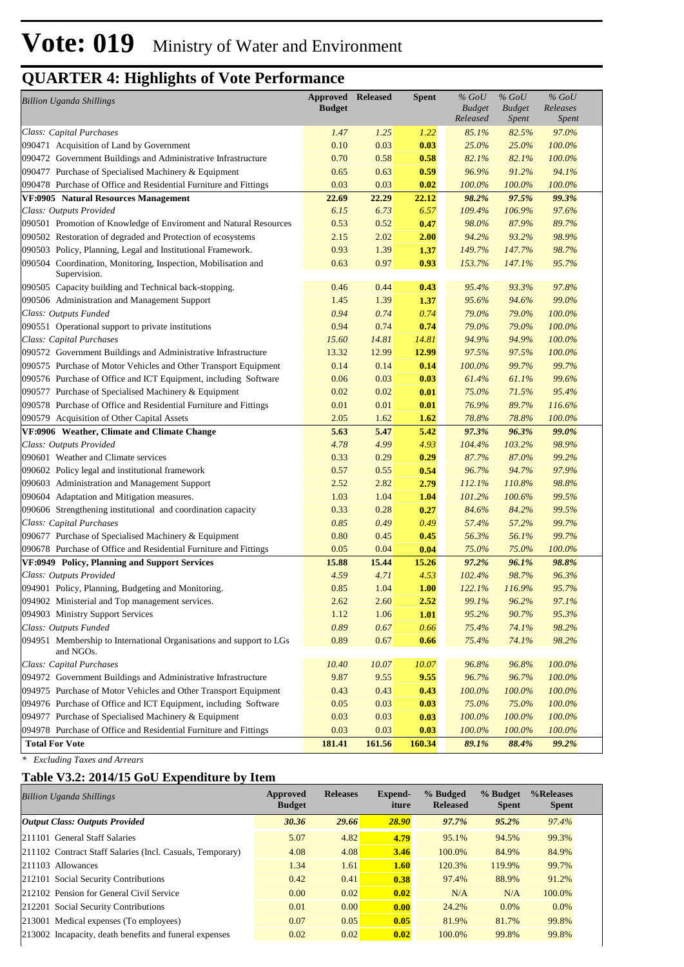| <b>Billion Uganda Shillings</b>                                                  | <b>Approved Released</b><br><b>Budget</b> |        | <b>Spent</b> | $%$ GoU<br><b>Budget</b><br>Released | $%$ GoU<br><b>Budget</b><br><i>Spent</i> | $%$ GoU<br>Releases<br><i>Spent</i> |
|----------------------------------------------------------------------------------|-------------------------------------------|--------|--------------|--------------------------------------|------------------------------------------|-------------------------------------|
| Class: Capital Purchases                                                         | 1.47                                      | 1.25   | 1.22         | 85.1%                                | 82.5%                                    | 97.0%                               |
| 090471 Acquisition of Land by Government                                         | 0.10                                      | 0.03   | 0.03         | 25.0%                                | 25.0%                                    | 100.0%                              |
| 090472 Government Buildings and Administrative Infrastructure                    | 0.70                                      | 0.58   | 0.58         | 82.1%                                | 82.1%                                    | 100.0%                              |
| 090477 Purchase of Specialised Machinery & Equipment                             | 0.65                                      | 0.63   | 0.59         | 96.9%                                | 91.2%                                    | 94.1%                               |
| 090478 Purchase of Office and Residential Furniture and Fittings                 | 0.03                                      | 0.03   | 0.02         | 100.0%                               | 100.0%                                   | 100.0%                              |
| VF:0905 Natural Resources Management                                             | 22.69                                     | 22.29  | 22.12        | 98.2%                                | 97.5%                                    | 99.3%                               |
| Class: Outputs Provided                                                          | 6.15                                      | 6.73   | 6.57         | 109.4%                               | 106.9%                                   | 97.6%                               |
| 090501 Promotion of Knowledge of Enviroment and Natural Resources                | 0.53                                      | 0.52   | 0.47         | 98.0%                                | 87.9%                                    | 89.7%                               |
| 090502 Restoration of degraded and Protection of ecosystems                      | 2.15                                      | 2.02   | 2.00         | 94.2%                                | 93.2%                                    | 98.9%                               |
| 090503 Policy, Planning, Legal and Institutional Framework.                      | 0.93                                      | 1.39   | 1.37         | 149.7%                               | 147.7%                                   | 98.7%                               |
| 090504 Coordination, Monitoring, Inspection, Mobilisation and<br>Supervision.    | 0.63                                      | 0.97   | 0.93         | 153.7%                               | 147.1%                                   | 95.7%                               |
| 090505 Capacity building and Technical back-stopping.                            | 0.46                                      | 0.44   | 0.43         | 95.4%                                | 93.3%                                    | 97.8%                               |
| 090506 Administration and Management Support                                     | 1.45                                      | 1.39   | 1.37         | 95.6%                                | 94.6%                                    | 99.0%                               |
| Class: Outputs Funded                                                            | 0.94                                      | 0.74   | 0.74         | 79.0%                                | 79.0%                                    | 100.0%                              |
| 090551 Operational support to private institutions                               | 0.94                                      | 0.74   | 0.74         | 79.0%                                | 79.0%                                    | 100.0%                              |
| Class: Capital Purchases                                                         | 15.60                                     | 14.81  | 14.81        | 94.9%                                | 94.9%                                    | 100.0%                              |
| 090572 Government Buildings and Administrative Infrastructure                    | 13.32                                     | 12.99  | 12.99        | 97.5%                                | 97.5%                                    | 100.0%                              |
| 090575 Purchase of Motor Vehicles and Other Transport Equipment                  | 0.14                                      | 0.14   | 0.14         | 100.0%                               | 99.7%                                    | 99.7%                               |
| 090576 Purchase of Office and ICT Equipment, including Software                  | 0.06                                      | 0.03   | 0.03         | 61.4%                                | 61.1%                                    | 99.6%                               |
| 090577 Purchase of Specialised Machinery & Equipment                             | 0.02                                      | 0.02   | 0.01         | 75.0%                                | 71.5%                                    | 95.4%                               |
| 090578 Purchase of Office and Residential Furniture and Fittings                 | 0.01                                      | 0.01   | 0.01         | 76.9%                                | 89.7%                                    | 116.6%                              |
| 090579 Acquisition of Other Capital Assets                                       | 2.05                                      | 1.62   | 1.62         | 78.8%                                | 78.8%                                    | 100.0%                              |
| VF:0906 Weather, Climate and Climate Change                                      | 5.63                                      | 5.47   | 5.42         | 97.3%                                | 96.3%                                    | 99.0%                               |
| Class: Outputs Provided                                                          | 4.78                                      | 4.99   | 4.93         | 104.4%                               | 103.2%                                   | 98.9%                               |
| 090601 Weather and Climate services                                              | 0.33                                      | 0.29   | 0.29         | 87.7%                                | 87.0%                                    | 99.2%                               |
| 090602 Policy legal and institutional framework                                  | 0.57                                      | 0.55   | 0.54         | 96.7%                                | 94.7%                                    | 97.9%                               |
| 090603 Administration and Management Support                                     | 2.52                                      | 2.82   | 2.79         | 112.1%                               | 110.8%                                   | 98.8%                               |
| 090604 Adaptation and Mitigation measures.                                       | 1.03                                      | 1.04   | 1.04         | 101.2%                               | 100.6%                                   | 99.5%                               |
| 090606 Strengthening institutional and coordination capacity                     | 0.33                                      | 0.28   | 0.27         | 84.6%                                | 84.2%                                    | 99.5%                               |
| Class: Capital Purchases                                                         | 0.85                                      | 0.49   | 0.49         | 57.4%                                | 57.2%                                    | 99.7%                               |
| 090677 Purchase of Specialised Machinery & Equipment                             | 0.80                                      | 0.45   | 0.45         | 56.3%                                | 56.1%                                    | 99.7%                               |
| 090678 Purchase of Office and Residential Furniture and Fittings                 | 0.05                                      | 0.04   | 0.04         | 75.0%                                | 75.0%                                    | 100.0%                              |
| VF:0949 Policy, Planning and Support Services                                    | 15.88                                     | 15.44  | 15.26        | 97.2%                                | 96.1%                                    | 98.8%                               |
| Class: Outputs Provided                                                          | 4.59                                      | 4.71   | 4.53         | 102.4%                               | 98.7%                                    | 96.3%                               |
| 094901 Policy, Planning, Budgeting and Monitoring.                               | 0.85                                      | 1.04   | 1.00         | 122.1%                               | 116.9%                                   | 95.7%                               |
| 094902 Ministerial and Top management services.                                  | 2.62                                      | 2.60   | 2.52         | 99.1%                                | 96.2%                                    | 97.1%                               |
| 094903 Ministry Support Services                                                 | 1.12                                      | 1.06   | 1.01         | 95.2%                                | 90.7%                                    | 95.3%                               |
| Class: Outputs Funded                                                            | 0.89                                      | 0.67   | 0.66         | 75.4%                                | 74.1%                                    | 98.2%                               |
| 094951 Membership to International Organisations and support to LGs<br>and NGOs. | 0.89                                      | 0.67   | 0.66         | 75.4%                                | 74.1%                                    | 98.2%                               |
| Class: Capital Purchases                                                         | 10.40                                     | 10.07  | 10.07        | 96.8%                                | 96.8%                                    | 100.0%                              |
| 094972 Government Buildings and Administrative Infrastructure                    | 9.87                                      | 9.55   | 9.55         | 96.7%                                | 96.7%                                    | $100.0\%$                           |
| 094975 Purchase of Motor Vehicles and Other Transport Equipment                  | 0.43                                      | 0.43   | 0.43         | 100.0%                               | 100.0%                                   | 100.0%                              |
| 094976 Purchase of Office and ICT Equipment, including Software                  | 0.05                                      | 0.03   | 0.03         | 75.0%                                | 75.0%                                    | $100.0\%$                           |
| 094977 Purchase of Specialised Machinery & Equipment                             | 0.03                                      | 0.03   | 0.03         | 100.0%                               | 100.0%                                   | $100.0\%$                           |
| 094978 Purchase of Office and Residential Furniture and Fittings                 | 0.03                                      | 0.03   | 0.03         | 100.0%                               | 100.0%                                   | $100.0\%$                           |
| <b>Total For Vote</b>                                                            | 181.41                                    | 161.56 | 160.34       | 89.1%                                | 88.4%                                    | 99.2%                               |

*\* Excluding Taxes and Arrears*

#### **Table V3.2: 2014/15 GoU Expenditure by Item**

| <b>Billion Uganda Shillings</b>                           | Approved<br><b>Budget</b> | <b>Releases</b> | Expend-<br>iture | % Budged<br><b>Released</b> | % Budget<br><b>Spent</b> | %Releases<br><b>Spent</b> |
|-----------------------------------------------------------|---------------------------|-----------------|------------------|-----------------------------|--------------------------|---------------------------|
| <b>Output Class: Outputs Provided</b>                     | 30.36                     | 29.66           | 28.90            | 97.7%                       | 95.2%                    | 97.4%                     |
| 211101 General Staff Salaries                             | 5.07                      | 4.82            | 4.79             | 95.1%                       | 94.5%                    | 99.3%                     |
| 211102 Contract Staff Salaries (Incl. Casuals, Temporary) | 4.08                      | 4.08            | 3.46             | 100.0%                      | 84.9%                    | 84.9%                     |
| $ 211103$ Allowances                                      | 1.34                      | 1.61            | 1.60             | 120.3%                      | 119.9%                   | 99.7%                     |
| 212101 Social Security Contributions                      | 0.42                      | 0.41            | 0.38             | 97.4%                       | 88.9%                    | 91.2%                     |
| 212102 Pension for General Civil Service                  | 0.00                      | 0.02            | 0.02             | N/A                         | N/A                      | 100.0%                    |
| 212201 Social Security Contributions                      | 0.01                      | 0.00            | 0.00             | 24.2%                       | $0.0\%$                  | 0.0%                      |
| 213001 Medical expenses (To employees)                    | 0.07                      | 0.05            | 0.05             | 81.9%                       | 81.7%                    | 99.8%                     |
| 213002 Incapacity, death benefits and funeral expenses    | 0.02                      | 0.02            | 0.02             | 100.0%                      | 99.8%                    | 99.8%                     |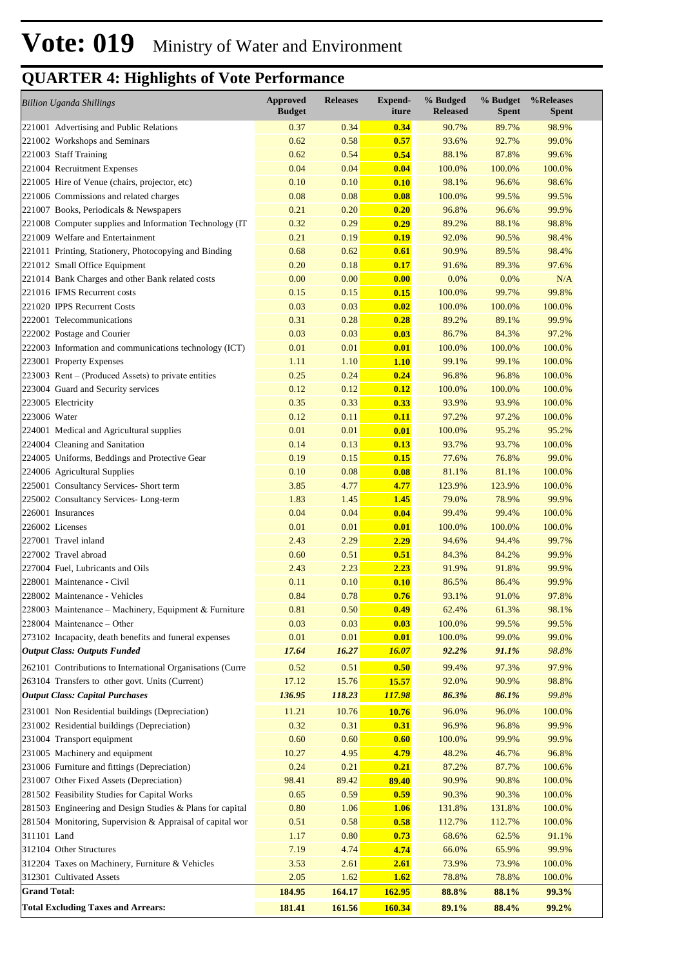| <b>Billion Uganda Shillings</b>                                                        | <b>Approved</b><br><b>Budget</b> | <b>Releases</b> | <b>Expend-</b><br>iture | % Budged<br><b>Released</b> | % Budget<br><b>Spent</b> | %Releases<br><b>Spent</b> |
|----------------------------------------------------------------------------------------|----------------------------------|-----------------|-------------------------|-----------------------------|--------------------------|---------------------------|
| 221001 Advertising and Public Relations                                                | 0.37                             | 0.34            | 0.34                    | 90.7%                       | 89.7%                    | 98.9%                     |
| 221002 Workshops and Seminars                                                          | 0.62                             | 0.58            | 0.57                    | 93.6%                       | 92.7%                    | 99.0%                     |
| 221003 Staff Training                                                                  | 0.62                             | 0.54            | 0.54                    | 88.1%                       | 87.8%                    | 99.6%                     |
| 221004 Recruitment Expenses                                                            | 0.04                             | 0.04            | 0.04                    | 100.0%                      | 100.0%                   | 100.0%                    |
| 221005 Hire of Venue (chairs, projector, etc)                                          | 0.10                             | 0.10            | 0.10                    | 98.1%                       | 96.6%                    | 98.6%                     |
| 221006 Commissions and related charges                                                 | 0.08                             | 0.08            | 0.08                    | 100.0%                      | 99.5%                    | 99.5%                     |
| 221007 Books, Periodicals & Newspapers                                                 | 0.21                             | 0.20            | 0.20                    | 96.8%                       | 96.6%                    | 99.9%                     |
| 221008 Computer supplies and Information Technology (IT                                | 0.32                             | 0.29            | 0.29                    | 89.2%                       | 88.1%                    | 98.8%                     |
| 221009 Welfare and Entertainment                                                       | 0.21                             | 0.19            | 0.19                    | 92.0%                       | 90.5%                    | 98.4%                     |
| 221011 Printing, Stationery, Photocopying and Binding<br>221012 Small Office Equipment | 0.68<br>0.20                     | 0.62<br>0.18    | 0.61<br>0.17            | 90.9%<br>91.6%              | 89.5%<br>89.3%           | 98.4%<br>97.6%            |
| 221014 Bank Charges and other Bank related costs                                       | 0.00                             | 0.00            | 0.00                    | 0.0%                        | 0.0%                     | N/A                       |
| 221016 IFMS Recurrent costs                                                            | 0.15                             | 0.15            | 0.15                    | 100.0%                      | 99.7%                    | 99.8%                     |
| 221020 IPPS Recurrent Costs                                                            | 0.03                             | 0.03            | 0.02                    | 100.0%                      | 100.0%                   | 100.0%                    |
| 222001 Telecommunications                                                              | 0.31                             | 0.28            | 0.28                    | 89.2%                       | 89.1%                    | 99.9%                     |
| 222002 Postage and Courier                                                             | 0.03                             | 0.03            | 0.03                    | 86.7%                       | 84.3%                    | 97.2%                     |
| 222003 Information and communications technology (ICT)                                 | 0.01                             | 0.01            | 0.01                    | 100.0%                      | 100.0%                   | 100.0%                    |
| 223001 Property Expenses                                                               | 1.11                             | 1.10            | 1.10                    | 99.1%                       | 99.1%                    | 100.0%                    |
| 223003 Rent – (Produced Assets) to private entities                                    | 0.25                             | 0.24            | 0.24                    | 96.8%                       | 96.8%                    | 100.0%                    |
| 223004 Guard and Security services                                                     | 0.12                             | 0.12            | 0.12                    | 100.0%                      | 100.0%                   | 100.0%                    |
| 223005 Electricity                                                                     | 0.35                             | 0.33            | 0.33                    | 93.9%                       | 93.9%                    | 100.0%                    |
| 223006 Water                                                                           | 0.12                             | 0.11            | 0.11                    | 97.2%                       | 97.2%                    | 100.0%                    |
| 224001 Medical and Agricultural supplies                                               | 0.01                             | 0.01            | 0.01                    | 100.0%                      | 95.2%                    | 95.2%                     |
| 224004 Cleaning and Sanitation                                                         | 0.14                             | 0.13            | 0.13                    | 93.7%                       | 93.7%                    | 100.0%                    |
| 224005 Uniforms, Beddings and Protective Gear                                          | 0.19                             | 0.15            | 0.15                    | 77.6%                       | 76.8%                    | 99.0%                     |
| 224006 Agricultural Supplies                                                           | 0.10                             | 0.08            | 0.08                    | 81.1%                       | 81.1%                    | 100.0%                    |
| 225001 Consultancy Services- Short term                                                | 3.85                             | 4.77            | 4.77                    | 123.9%                      | 123.9%                   | 100.0%                    |
| 225002 Consultancy Services-Long-term                                                  | 1.83                             | 1.45            | 1.45                    | 79.0%                       | 78.9%                    | 99.9%                     |
| 226001 Insurances                                                                      | 0.04                             | 0.04            | 0.04                    | 99.4%                       | 99.4%                    | 100.0%                    |
| 226002 Licenses                                                                        | 0.01                             | 0.01            | 0.01                    | 100.0%                      | 100.0%                   | 100.0%                    |
| 227001 Travel inland                                                                   | 2.43                             | 2.29            | 2.29                    | 94.6%                       | 94.4%                    | 99.7%                     |
| 227002 Travel abroad                                                                   | 0.60                             | 0.51            | 0.51                    | 84.3%                       | 84.2%                    | 99.9%                     |
| 227004 Fuel, Lubricants and Oils                                                       | 2.43                             | 2.23            | 2.23                    | 91.9%                       | 91.8%                    | 99.9%                     |
| 228001 Maintenance - Civil<br>228002 Maintenance - Vehicles                            | 0.11<br>0.84                     | 0.10<br>0.78    | 0.10<br>0.76            | 86.5%<br>93.1%              | 86.4%<br>91.0%           | 99.9%<br>97.8%            |
| 228003 Maintenance - Machinery, Equipment & Furniture                                  | 0.81                             | 0.50            | 0.49                    | 62.4%                       | 61.3%                    | 98.1%                     |
| 228004 Maintenance – Other                                                             | 0.03                             | 0.03            | 0.03                    | 100.0%                      | 99.5%                    | 99.5%                     |
| 273102 Incapacity, death benefits and funeral expenses                                 | 0.01                             | 0.01            | 0.01                    | 100.0%                      | 99.0%                    | 99.0%                     |
| <b>Output Class: Outputs Funded</b>                                                    | 17.64                            | 16.27           | <b>16.07</b>            | 92.2%                       | 91.1%                    | 98.8%                     |
| 262101 Contributions to International Organisations (Curre                             | 0.52                             | 0.51            | 0.50                    | 99.4%                       | 97.3%                    | 97.9%                     |
| 263104 Transfers to other govt. Units (Current)                                        | 17.12                            | 15.76           | 15.57                   | 92.0%                       | 90.9%                    | 98.8%                     |
| <b>Output Class: Capital Purchases</b>                                                 | 136.95                           | 118.23          | <b>117.98</b>           | 86.3%                       | 86.1%                    | 99.8%                     |
| 231001 Non Residential buildings (Depreciation)                                        | 11.21                            | 10.76           | 10.76                   | 96.0%                       | 96.0%                    | 100.0%                    |
| 231002 Residential buildings (Depreciation)                                            | 0.32                             | 0.31            | 0.31                    | 96.9%                       | 96.8%                    | 99.9%                     |
| 231004 Transport equipment                                                             | 0.60                             | 0.60            | 0.60                    | 100.0%                      | 99.9%                    | 99.9%                     |
| 231005 Machinery and equipment                                                         | 10.27                            | 4.95            | 4.79                    | 48.2%                       | 46.7%                    | 96.8%                     |
| 231006 Furniture and fittings (Depreciation)                                           | 0.24                             | 0.21            | 0.21                    | 87.2%                       | 87.7%                    | 100.6%                    |
| 231007 Other Fixed Assets (Depreciation)                                               | 98.41                            | 89.42           | 89.40                   | 90.9%                       | 90.8%                    | 100.0%                    |
| 281502 Feasibility Studies for Capital Works                                           | 0.65                             | 0.59            | 0.59                    | 90.3%                       | 90.3%                    | 100.0%                    |
| 281503 Engineering and Design Studies & Plans for capital                              | 0.80                             | 1.06            | 1.06                    | 131.8%                      | 131.8%                   | 100.0%                    |
| 281504 Monitoring, Supervision & Appraisal of capital wor                              | 0.51                             | 0.58            | 0.58                    | 112.7%                      | 112.7%                   | 100.0%                    |
| 311101 Land                                                                            | 1.17                             | 0.80            | 0.73                    | 68.6%                       | 62.5%                    | 91.1%                     |
| 312104 Other Structures                                                                | 7.19                             | 4.74            | 4.74                    | 66.0%                       | 65.9%                    | 99.9%                     |
| 312204 Taxes on Machinery, Furniture & Vehicles                                        | 3.53                             | 2.61            | 2.61                    | 73.9%                       | 73.9%                    | 100.0%                    |
| 312301 Cultivated Assets                                                               | 2.05                             | 1.62            | 1.62                    | 78.8%                       | 78.8%                    | 100.0%                    |
| <b>Grand Total:</b>                                                                    | 184.95                           | 164.17          | 162.95                  | 88.8%                       | 88.1%                    | 99.3%                     |
| <b>Total Excluding Taxes and Arrears:</b>                                              | 181.41                           | 161.56          | 160.34                  | 89.1%                       | 88.4%                    | 99.2%                     |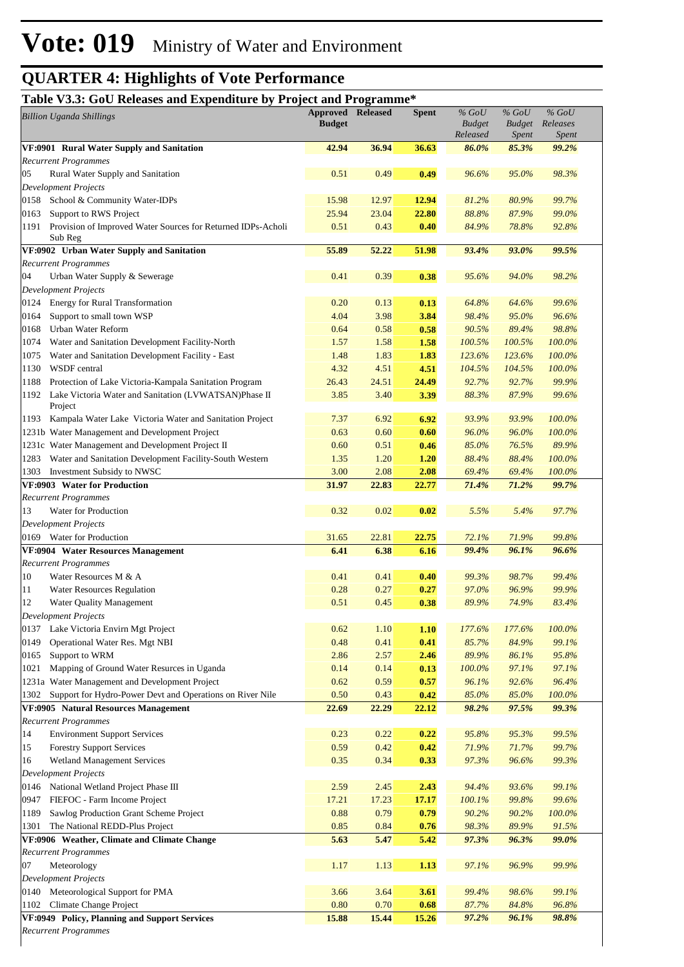#### **Table V3.3: GoU Releases and Expenditure by Project and Programme\***

|                             | <b>Billion Uganda Shillings</b>                                                                     | <b>Approved Released</b><br><b>Budget</b> |              | <b>Spent</b> | $%$ GoU<br><b>Budget</b><br>Released | $%$ GoU<br><b>Budget</b><br>Spent | $%$ GoU<br>Releases<br>Spent |
|-----------------------------|-----------------------------------------------------------------------------------------------------|-------------------------------------------|--------------|--------------|--------------------------------------|-----------------------------------|------------------------------|
|                             | VF:0901 Rural Water Supply and Sanitation                                                           | 42.94                                     | 36.94        | 36.63        | 86.0%                                | 85.3%                             | 99.2%                        |
|                             | <b>Recurrent Programmes</b>                                                                         |                                           |              |              |                                      |                                   |                              |
| 05                          | Rural Water Supply and Sanitation                                                                   | 0.51                                      | 0.49         | 0.49         | 96.6%                                | 95.0%                             | 98.3%                        |
|                             | <b>Development Projects</b>                                                                         |                                           |              |              |                                      |                                   |                              |
| 0158                        | School & Community Water-IDPs                                                                       | 15.98                                     | 12.97        | 12.94        | 81.2%                                | 80.9%                             | 99.7%                        |
| 0163                        | Support to RWS Project                                                                              | 25.94                                     | 23.04        | 22.80        | 88.8%                                | 87.9%                             | 99.0%                        |
| 1191                        | Provision of Improved Water Sources for Returned IDPs-Acholi<br>Sub Reg                             | 0.51                                      | 0.43         | 0.40         | 84.9%                                | 78.8%                             | 92.8%                        |
|                             | VF:0902 Urban Water Supply and Sanitation                                                           | 55.89                                     | 52.22        | 51.98        | 93.4%                                | 93.0%                             | 99.5%                        |
|                             | <b>Recurrent Programmes</b>                                                                         |                                           |              |              |                                      |                                   |                              |
| 04                          | Urban Water Supply & Sewerage                                                                       | 0.41                                      | 0.39         | 0.38         | 95.6%                                | 94.0%                             | 98.2%                        |
|                             | <b>Development Projects</b>                                                                         |                                           |              |              |                                      |                                   |                              |
| 0124                        | <b>Energy for Rural Transformation</b>                                                              | 0.20                                      | 0.13         | 0.13         | 64.8%                                | 64.6%                             | 99.6%                        |
| 0164                        | Support to small town WSP                                                                           | 4.04                                      | 3.98         | 3.84         | 98.4%                                | 95.0%                             | 96.6%                        |
| 0168                        | Urban Water Reform                                                                                  | 0.64                                      | 0.58         | 0.58         | 90.5%                                | 89.4%<br>100.5%                   | 98.8%<br>100.0%              |
| 1074                        | Water and Sanitation Development Facility-North<br>Water and Sanitation Development Facility - East | 1.57<br>1.48                              | 1.58         | 1.58<br>1.83 | 100.5%<br>123.6%                     | 123.6%                            | 100.0%                       |
| 1075<br>1130                | WSDF central                                                                                        | 4.32                                      | 1.83<br>4.51 | 4.51         | 104.5%                               | 104.5%                            | 100.0%                       |
| 1188                        | Protection of Lake Victoria-Kampala Sanitation Program                                              | 26.43                                     | 24.51        | 24.49        | 92.7%                                | 92.7%                             | 99.9%                        |
| 1192                        | Lake Victoria Water and Sanitation (LVWATSAN)Phase II                                               | 3.85                                      | 3.40         | 3.39         | 88.3%                                | 87.9%                             | 99.6%                        |
|                             | Project                                                                                             |                                           |              |              |                                      |                                   |                              |
| 1193                        | Kampala Water Lake Victoria Water and Sanitation Project                                            | 7.37                                      | 6.92         | 6.92         | 93.9%                                | 93.9%                             | 100.0%                       |
|                             | 1231b Water Management and Development Project                                                      | 0.63                                      | 0.60         | 0.60         | 96.0%                                | 96.0%                             | 100.0%                       |
|                             | 1231c Water Management and Development Project II                                                   | 0.60                                      | 0.51         | 0.46         | 85.0%                                | 76.5%                             | 89.9%                        |
| 1283                        | Water and Sanitation Development Facility-South Western                                             | 1.35                                      | 1.20         | 1.20         | 88.4%                                | 88.4%                             | 100.0%                       |
| 1303                        | Investment Subsidy to NWSC                                                                          | 3.00                                      | 2.08         | 2.08         | 69.4%                                | 69.4%                             | 100.0%                       |
|                             | VF:0903 Water for Production                                                                        | 31.97                                     | 22.83        | 22.77        | 71.4%                                | 71.2%                             | 99.7%                        |
|                             | <b>Recurrent Programmes</b>                                                                         |                                           |              |              |                                      |                                   |                              |
| 13                          | Water for Production                                                                                | 0.32                                      | 0.02         | 0.02         | 5.5%                                 | 5.4%                              | 97.7%                        |
|                             | <b>Development Projects</b>                                                                         |                                           |              |              |                                      |                                   |                              |
|                             | 0169 Water for Production                                                                           | 31.65                                     | 22.81        | 22.75        | 72.1%                                | 71.9%                             | 99.8%                        |
|                             | VF:0904 Water Resources Management                                                                  | 6.41                                      | 6.38         | 6.16         | 99.4%                                | 96.1%                             | 96.6%                        |
|                             | <b>Recurrent Programmes</b>                                                                         |                                           |              |              |                                      |                                   |                              |
| 10                          | Water Resources M & A                                                                               | 0.41                                      | 0.41         | 0.40         | 99.3%                                | 98.7%                             | 99.4%                        |
| 11                          | <b>Water Resources Regulation</b>                                                                   | 0.28                                      | 0.27         | 0.27         | 97.0%                                | 96.9%                             | 99.9%                        |
| 12                          | <b>Water Quality Management</b>                                                                     | 0.51                                      | 0.45         | 0.38         | 89.9%                                | 74.9%                             | 83.4%                        |
|                             | <b>Development Projects</b>                                                                         |                                           |              |              |                                      |                                   |                              |
| 0137<br>0149                | Lake Victoria Envirn Mgt Project                                                                    | 0.62<br>0.48                              | 1.10         | 1.10         | 177.6%<br>85.7%                      | 177.6%<br>84.9%                   | 100.0%<br>99.1%              |
|                             | Operational Water Res. Mgt NBI<br>Support to WRM                                                    | 2.86                                      | 0.41         | 0.41         | 89.9%                                | 86.1%                             | 95.8%                        |
| 0165<br>1021                | Mapping of Ground Water Resurces in Uganda                                                          | 0.14                                      | 2.57<br>0.14 | 2.46<br>0.13 | 100.0%                               | 97.1%                             | 97.1%                        |
|                             | 1231a Water Management and Development Project                                                      | 0.62                                      | 0.59         | 0.57         | 96.1%                                | 92.6%                             | 96.4%                        |
| 1302                        | Support for Hydro-Power Devt and Operations on River Nile                                           | 0.50                                      | 0.43         | 0.42         | 85.0%                                | 85.0%                             | 100.0%                       |
|                             | VF:0905 Natural Resources Management                                                                | 22.69                                     | 22.29        | 22.12        | 98.2%                                | 97.5%                             | 99.3%                        |
|                             | <b>Recurrent Programmes</b>                                                                         |                                           |              |              |                                      |                                   |                              |
| 14                          | <b>Environment Support Services</b>                                                                 | 0.23                                      | 0.22         | 0.22         | 95.8%                                | 95.3%                             | 99.5%                        |
| 15                          | <b>Forestry Support Services</b>                                                                    | 0.59                                      | 0.42         | 0.42         | 71.9%                                | 71.7%                             | 99.7%                        |
| 16                          | Wetland Management Services                                                                         | 0.35                                      | 0.34         | 0.33         | 97.3%                                | 96.6%                             | 99.3%                        |
|                             | <b>Development Projects</b>                                                                         |                                           |              |              |                                      |                                   |                              |
| 0146                        | National Wetland Project Phase III                                                                  | 2.59                                      | 2.45         | 2.43         | 94.4%                                | 93.6%                             | 99.1%                        |
| 0947                        | FIEFOC - Farm Income Project                                                                        | 17.21                                     | 17.23        | 17.17        | 100.1%                               | 99.8%                             | 99.6%                        |
| 1189                        | Sawlog Production Grant Scheme Project                                                              | 0.88                                      | 0.79         | 0.79         | 90.2%                                | 90.2%                             | 100.0%                       |
| 1301                        | The National REDD-Plus Project                                                                      | 0.85                                      | 0.84         | 0.76         | 98.3%                                | 89.9%                             | 91.5%                        |
|                             | VF:0906 Weather, Climate and Climate Change                                                         | 5.63                                      | 5.47         | 5.42         | 97.3%                                | 96.3%                             | 99.0%                        |
|                             | <b>Recurrent Programmes</b>                                                                         |                                           |              |              |                                      |                                   |                              |
| 07                          | Meteorology                                                                                         | 1.17                                      | 1.13         | 1.13         | 97.1%                                | 96.9%                             | 99.9%                        |
|                             | <b>Development Projects</b>                                                                         |                                           |              |              |                                      |                                   |                              |
| 0140                        | Meteorological Support for PMA                                                                      | 3.66                                      | 3.64         | 3.61         | 99.4%                                | 98.6%                             | 99.1%                        |
| 1102                        | Climate Change Project                                                                              | 0.80                                      | 0.70         | 0.68         | 87.7%                                | 84.8%                             | 96.8%                        |
|                             | VF:0949 Policy, Planning and Support Services                                                       | 15.88                                     | 15.44        | 15.26        | 97.2%                                | 96.1%                             | 98.8%                        |
| <b>Recurrent Programmes</b> |                                                                                                     |                                           |              |              |                                      |                                   |                              |